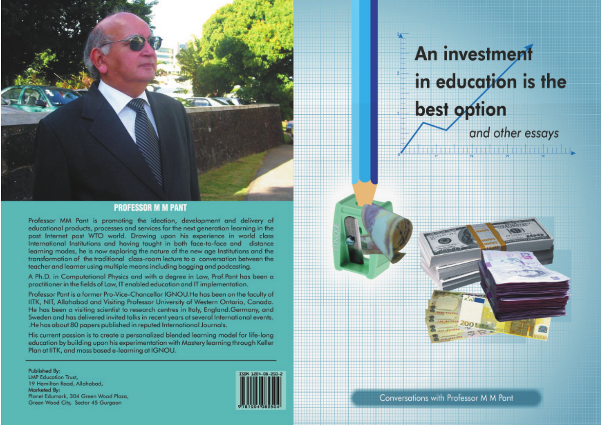

### **PROFESSOR M M PANT**

Professor MM Pant is promoting the ideation, development and delivery of educational products, processes and services for the next generation learning in the post Internet post WTO world. Drawing upon his experience in world class International Institutions and having taught in both face-to-face and distance learning modes, he is now exploring the nature of the new age Institutions and the transformation of the traditional class-room lecture to a conversation between the teacher and learner using multiple means including bogging and podcasting.

A Ph.D. in Computational Physics and with a degree in Law, Prof.Pant has been a practitioner in the fields of Law, IT enabled education and IT implementation.

Professor Pant is a former Pro-Vice-Chancellor IGNOU. He has been on the faculty of IITK, NIT, Allahabad and Visiting Professor University of Western Ontario, Canada. He has been a visiting scientist to research centres in Italy, England.Germany, and Sweden and has delivered invited talks in recent years at several International events. .He has about 80 papers published in reputed International Journals.

His current passion is to create a personalized blended learning model for life-long education by building upon his experimentation with Mastery learning through Keller Plan at IITK, and mass based e-learning at IGNOU.

Published By: **LMP Education Trust,** 19 Hamilton Road, Allahabad, Marketed By: Planet Edumark, 304 Green Wood Plaza, Green Wood City, Sector 45 Gurgaon



# **An investment** in education is the best option and other essays

**A construction of the construction** 

Conversations with Professor M M Pant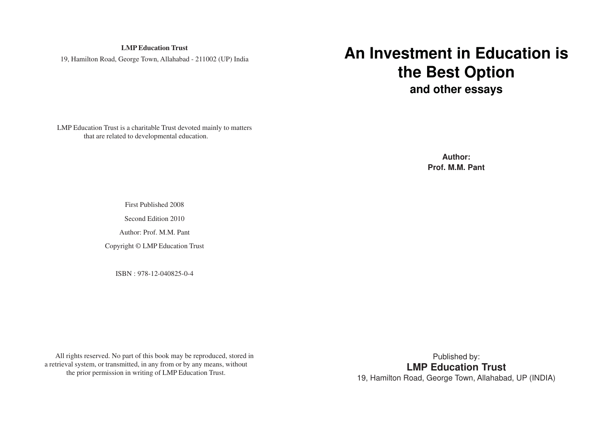**LMP Education Trust** 19, Hamilton Road, George Town, Allahabad - 211002 (UP) India

# **An Investment in Education is the Best Option and other essays**

LMP Education Trust is a charitable Trust devoted mainly to matters that are related to developmental education.

> **Author: Prof. M.M. Pant**

First Published 2008

Second Edition 2010

Author: Prof. M.M. Pant

Copyright © LMP Education Trust

ISBN : 978-12-040825-0-4

All rights reserved. No part of this book may be reproduced, stored in a retrieval system, or transmitted, in any from or by any means, without the prior permission in writing of LMP Education Trust.

Published by: **LMP Education Trust** 19, Hamilton Road, George Town, Allahabad, UP (INDIA)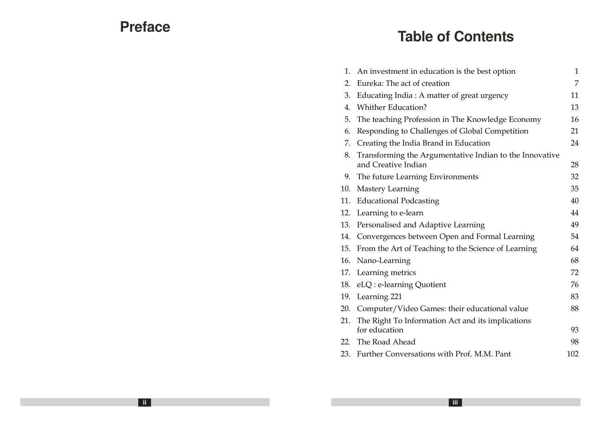# **Preface**

# **Table of Contents**

| 1.  | An investment in education is the best option                                  | 1   |
|-----|--------------------------------------------------------------------------------|-----|
| 2.  | Eureka: The act of creation                                                    | 7   |
| 3.  | Educating India: A matter of great urgency                                     | 11  |
| 4.  | <b>Whither Education?</b>                                                      | 13  |
| 5.  | The teaching Profession in The Knowledge Economy                               | 16  |
| 6.  | Responding to Challenges of Global Competition                                 | 21  |
| 7.  | Creating the India Brand in Education                                          | 24  |
| 8.  | Transforming the Argumentative Indian to the Innovative<br>and Creative Indian | 28  |
| 9.  | The future Learning Environments                                               | 32  |
| 10. | Mastery Learning                                                               | 35  |
| 11. | <b>Educational Podcasting</b>                                                  | 40  |
| 12. | Learning to e-learn                                                            | 44  |
| 13. | Personalised and Adaptive Learning                                             | 49  |
| 14. | Convergences between Open and Formal Learning                                  | 54  |
| 15. | From the Art of Teaching to the Science of Learning                            | 64  |
| 16. | Nano-Learning                                                                  | 68  |
| 17. | Learning metrics                                                               | 72  |
| 18. | eLQ : e-learning Quotient                                                      | 76  |
| 19. | Learning 221                                                                   | 83  |
| 20. | Computer/Video Games: their educational value                                  | 88  |
| 21. | The Right To Information Act and its implications<br>for education             | 93  |
| 22. | The Road Ahead                                                                 | 98  |
|     | 23. Further Conversations with Prof. M.M. Pant                                 | 102 |
|     |                                                                                |     |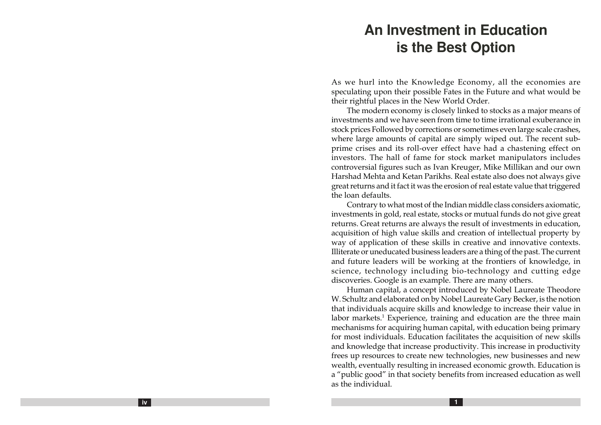# **An Investment in Education is the Best Option**

As we hurl into the Knowledge Economy, all the economies are speculating upon their possible Fates in the Future and what would be their rightful places in the New World Order.

The modern economy is closely linked to stocks as a major means of investments and we have seen from time to time irrational exuberance in stock prices Followed by corrections or sometimes even large scale crashes, where large amounts of capital are simply wiped out. The recent subprime crises and its roll-over effect have had a chastening effect on investors. The hall of fame for stock market manipulators includes controversial figures such as Ivan Kreuger, Mike Millikan and our own Harshad Mehta and Ketan Parikhs. Real estate also does not always give great returns and it fact it was the erosion of real estate value that triggered the loan defaults.

Contrary to what most of the Indian middle class considers axiomatic, investments in gold, real estate, stocks or mutual funds do not give great returns. Great returns are always the result of investments in education, acquisition of high value skills and creation of intellectual property by way of application of these skills in creative and innovative contexts. Illiterate or uneducated business leaders are a thing of the past. The current and future leaders will be working at the frontiers of knowledge, in science, technology including bio-technology and cutting edge discoveries. Google is an example. There are many others.

Human capital, a concept introduced by Nobel Laureate Theodore W. Schultz and elaborated on by Nobel Laureate Gary Becker, is the notion that individuals acquire skills and knowledge to increase their value in labor markets. <sup>1</sup> Experience, training and education are the three main mechanisms for acquiring human capital, with education being primary for most individuals. Education facilitates the acquisition of new skills and knowledge that increase productivity. This increase in productivity frees up resources to create new technologies, new businesses and new wealth, eventually resulting in increased economic growth. Education is <sup>a</sup>"public good" in that society benefits from increased education as well as the individual.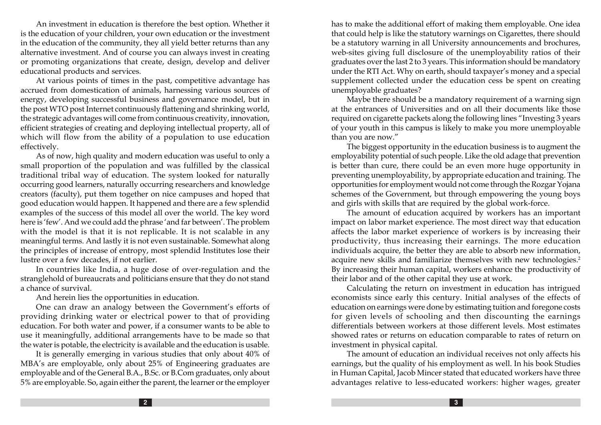An investment in education is therefore the best option. Whether it is the education of your children, your own education or the investment in the education of the community, they all yield better returns than any alternative investment. And of course you can always invest in creating or promoting organizations that create, design, develop and deliver educational products and services.

At various points of times in the past, competitive advantage has accrued from domestication of animals, harnessing various sources of energy, developing successful business and governance model, but in the post WTO post Internet continuously flattening and shrinking world, the strategic advantages will come from continuous creativity, innovation, efficient strategies of creating and deploying intellectual property, all of which will flow from the ability of a population to use education effectively.

As of now, high quality and modern education was useful to only a small proportion of the population and was fulfilled by the classical traditional tribal way of education. The system looked for naturally occurring good learners, naturally occurring researchers and knowledge creators (faculty), put them together on nice campuses and hoped that good education would happen. It happened and there are a few splendid examples of the success of this model all over the world. The key word here is 'few'. And we could add the phrase 'and far between'. The problem with the model is that it is not replicable. It is not scalable in any meaningful terms. And lastly it is not even sustainable. Somewhat along the principles of increase of entropy, most splendid Institutes lose their lustre over a few decades, if not earlier.

In countries like India, a huge dose of over-regulation and the stranglehold of bureaucrats and politicians ensure that they do not stand a chance of survival.

And herein lies the opportunities in education.

One can draw an analogy between the Government's efforts of providing drinking water or electrical power to that of providing education. For both water and power, if a consumer wants to be able to use it meaningfully, additional arrangements have to be made so that the water is potable, the electricity is available and the education is usable.

It is generally emerging in various studies that only about 40% of MBA's are employable, only about 25% of Engineering graduates are employable and of the General B.A., B.Sc. or B.Com graduates, only about 5% are employable. So, again either the parent, the learner or the employer

has to make the additional effort of making them employable. One idea that could help is like the statutory warnings on Cigarettes, there should be a statutory warning in all University announcements and brochures, web-sites giving full disclosure of the unemployability ratios of their graduates over the last 2 to 3 years. This information should be mandatory under the RTI Act. Why on earth, should taxpayer's money and a special supplement collected under the education cess be spent on creating unemployable graduates?

Maybe there should be a mandatory requirement of a warning sign at the entrances of Universities and on all their documents like those required on cigarette packets along the following lines "Investing 3 years of your youth in this campus is likely to make you more unemployable than you are now."

The biggest opportunity in the education business is to augment the employability potential of such people. Like the old adage that prevention is better than cure, there could be an even more huge opportunity in preventing unemployability, by appropriate education and training. The opportunities for employment would not come through the Rozgar Yojana schemes of the Government, but through empowering the young boys and girls with skills that are required by the global work-force.

The amount of education acquired by workers has an important impact on labor market experience. The most direct way that education affects the labor market experience of workers is by increasing their productivity, thus increasing their earnings. The more education individuals acquire, the better they are able to absorb new information, acquire new skills and familiarize themselves with new technologies. 2 By increasing their human capital, workers enhance the productivity of their labor and of the other capital they use at work.

Calculating the return on investment in education has intrigued economists since early this century. Initial analyses of the effects of education on earnings were done by estimating tuition and foregone costs for given levels of schooling and then discounting the earnings differentials between workers at those different levels. Most estimates showed rates or returns on education comparable to rates of return on investment in physical capital.

The amount of education an individual receives not only affects his earnings, but the quality of his employment as well. In his book Studies in Human Capital, Jacob Mincer stated that educated workers have three advantages relative to less-educated workers: higher wages, greater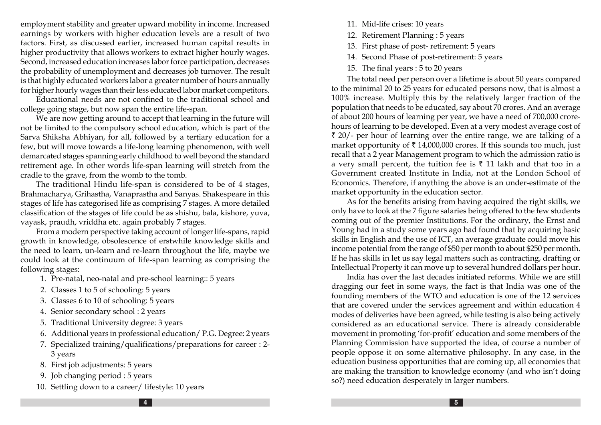employment stability and greater upward mobility in income. Increased earnings by workers with higher education levels are a result of two factors. First, as discussed earlier, increased human capital results in higher productivity that allows workers to extract higher hourly wages. Second, increased education increases labor force participation, decreases the probability of unemployment and decreases job turnover. The result is that highly educated workers labor a greater number of hours annually for higher hourly wages than their less educated labor market competitors.

Educational needs are not confined to the traditional school and college going stage, but now span the entire life-span.

We are now getting around to accept that learning in the future will not be limited to the compulsory school education, which is part of the Sarva Shiksha Abhiyan, for all, followed by a tertiary education for a few, but will move towards a life-long learning phenomenon, with well demarcated stages spanning early childhood to well beyond the standard retirement age. In other words life-span learning will stretch from the cradle to the grave, from the womb to the tomb.

The traditional Hindu life-span is considered to be of 4 stages, Brahmacharya, Grihastha, Vanaprastha and Sanyas. Shakespeare in this stages of life has categorised life as comprising 7 stages. A more detailed classification of the stages of life could be as shishu, bala, kishore, yuva, vayask, praudh, vriddha etc. again probably 7 stages.

From a modern perspective taking account of longer life-spans, rapid growth in knowledge, obsolescence of erstwhile knowledge skills and the need to learn, un-learn and re-learn throughout the life, maybe we could look at the continuum of life-span learning as comprising the following stages:

- 1. Pre-natal, neo-natal and pre-school learning:: 5 years
- 2. Classes 1 to 5 of schooling: 5 years
- 3. Classes 6 to 10 of schooling: 5 years
- 4. Senior secondary school : 2 years
- 5. Traditional University degree: 3 years
- 6. Additional years in professional education/ P.G. Degree: 2 years
- 7. Specialized training/qualifications/preparations for career : 2- 3 years
- 8. First job adjustments: 5 years
- 9. Job changing period : 5 years
- 10. Settling down to a career/ lifestyle: 10 years
- 11. Mid-life crises: 10 years
- 12. Retirement Planning : 5 years
- 13. First phase of post- retirement: 5 years
- 14. Second Phase of post-retirement: 5 years
- 15. The final years : 5 to 20 years

The total need per person over a lifetime is about 50 years compared to the minimal 20 to 25 years for educated persons now, that is almost a 100% increase. Multiply this by the relatively larger fraction of the population that needs to be educated, say about 70 crores. And an average of about 200 hours of learning per year, we have a need of 700,000 crorehours of learning to be developed. Even at a very modest average cost of  $\bar{\tau}$  20/- per hour of learning over the entire range, we are talking of a market opportunity of ₹ 14,000,000 crores. If this sounds too much, just recall that a 2 year Management program to which the admission ratio is a very small percent, the tuition fee is ₹ 11 lakh and that too in a Government created Institute in India, not at the London School of Economics. Therefore, if anything the above is an under-estimate of the market opportunity in the education sector.

As for the benefits arising from having acquired the right skills, we only have to look at the 7 figure salaries being offered to the few students coming out of the premier Institutions. For the ordinary, the Ernst and Young had in a study some years ago had found that by acquiring basic skills in English and the use of ICT, an average graduate could move his income potential from the range of \$50 per month to about \$250 per month. If he has skills in let us say legal matters such as contracting, drafting or Intellectual Property it can move up to several hundred dollars per hour.

India has over the last decades initiated reforms. While we are still dragging our feet in some ways, the fact is that India was one of the founding members of the WTO and education is one of the 12 services that are covered under the services agreement and within education 4 modes of deliveries have been agreed, while testing is also being actively considered as an educational service. There is already considerable movement in promoting 'for-profit' education and some members of the Planning Commission have supported the idea, of course a number of people oppose it on some alternative philosophy. In any case, in the education business opportunities that are coming up, all economies that are making the transition to knowledge economy (and who isn't doing so?) need education desperately in larger numbers.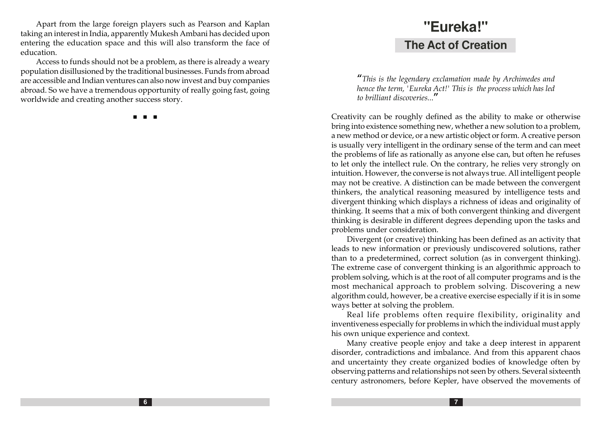Apart from the large foreign players such as Pearson and Kaplan taking an interest in India, apparently Mukesh Ambani has decided upon entering the education space and this will also transform the face of education.

Access to funds should not be a problem, as there is already a weary population disillusioned by the traditional businesses. Funds from abroad are accessible and Indian ventures can also now invest and buy companies abroad. So we have a tremendous opportunity of really going fast, going worldwide and creating another success story.

n n n

# **"Eureka!" The Act of Creation**

"This is the legendary exclamation made by Archimedes and hence the term, 'Eureka Act!' This is the process which has led to brilliant discoveries..."

Creativity can be roughly defined as the ability to make or otherwise bring into existence something new, whether a new solution to a problem, a new method or device, or a new artistic object or form. A creative person is usually very intelligent in the ordinary sense of the term and can meet the problems of life as rationally as anyone else can, but often he refuses to let only the intellect rule. On the contrary, he relies very strongly on intuition. However, the converse is not always true. All intelligent people may not be creative. A distinction can be made between the convergent thinkers, the analytical reasoning measured by intelligence tests and divergent thinking which displays a richness of ideas and originality of thinking. It seems that a mix of both convergent thinking and divergent thinking is desirable in different degrees depending upon the tasks and problems under consideration.

Divergent (or creative) thinking has been defined as an activity that leads to new information or previously undiscovered solutions, rather than to a predetermined, correct solution (as in convergent thinking). The extreme case of convergent thinking is an algorithmic approach to problem solving, which is at the root of all computer programs and is the most mechanical approach to problem solving. Discovering a new algorithm could, however, be a creative exercise especially if it is in some ways better at solving the problem.

Real life problems often require flexibility, originality and inventiveness especially for problems in which the individual must apply his own unique experience and context.

Many creative people enjoy and take a deep interest in apparent disorder, contradictions and imbalance. And from this apparent chaos and uncertainty they create organized bodies of knowledge often by observing patterns and relationships not seen by others. Several sixteenth century astronomers, before Kepler, have observed the movements of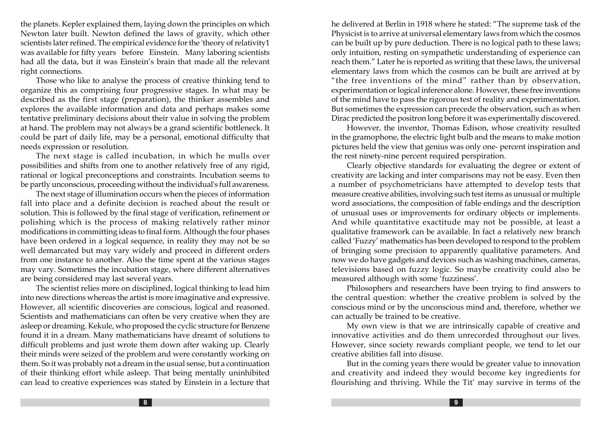the planets. Kepler explained them, laying down the principles on which Newton later built. Newton defined the laws of gravity, which other scientists later refined. The empirical evidence for the 'theory of relativity1 was available for fifty years before Einstein. Many laboring scientists had all the data, but it was Einstein's brain that made all the relevant right connections.

Those who like to analyse the process of creative thinking tend to organize this as comprising four progressive stages. In what may be described as the first stage (preparation), the thinker assembles and explores the available information and data and perhaps makes some tentative preliminary decisions about their value in solving the problem at hand. The problem may not always be a grand scientific bottleneck. It could be part of daily life, may be a personal, emotional difficulty that needs expression or resolution.

The next stage is called incubation, in which he mulls over possibilities and shifts from one to another relatively free of any rigid, rational or logical preconceptions and constraints. Incubation seems to be partly unconscious, proceeding without the individual's full awareness.

The next stage of illumination occurs when the pieces of information fall into place and a definite decision is reached about the result or solution. This is followed by the final stage of verification, refinement or polishing which is the process of making relatively rather minor modifications in committing ideas to final form. Although the four phases have been ordered in a logical sequence, in reality they may not be so well demarcated but may vary widely and proceed in different orders from one instance to another. Also the time spent at the various stages may vary. Sometimes the incubation stage, where different alternatives are being considered may last several years.

The scientist relies more on disciplined, logical thinking to lead him into new directions whereas the artist is more imaginative and expressive. However, all scientific discoveries are conscious, logical and reasoned. Scientists and mathematicians can often be very creative when they are asleep or dreaming. Kekule, who proposed the cyclic structure for Benzene found it in a dream. Many mathematicians have dreamt of solutions to difficult problems and just wrote them down after waking up. Clearly their minds were seized of the problem and were constantly working on them. So it was probably not a dream in the usual sense, but a continuation of their thinking effort while asleep. That being mentally uninhibited can lead to creative experiences was stated by Einstein in a lecture that he delivered at Berlin in 1918 where he stated: "The supreme task of the Physicist is to arrive at universal elementary laws from which the cosmos can be built up by pure deduction. There is no logical path to these laws; only intuition, resting on sympathetic understanding of experience can reach them." Later he is reported as writing that these laws, the universal elementary laws from which the cosmos can be built are arrived at by "the free inventions of the mind" rather than by observation, experimentation or logical inference alone. However, these free inventions of the mind have to pass the rigorous test of reality and experimentation. But sometimes the expression can precede the observation, such as when Dirac predicted the positron long before it was experimentally discovered.

However, the inventor, Thomas Edison, whose creativity resulted in the gramophone, the electric light bulb and the means to make motion pictures held the view that genius was only one- percent inspiration and the rest ninety-nine percent required perspiration.

Clearly objective standards for evaluating the degree or extent of creativity are lacking and inter comparisons may not be easy. Even then a number of psychometricians have attempted to develop tests that measure creative abilities, involving such test items as unusual or multiple word associations, the composition of fable endings and the description of unusual uses or improvements for ordinary objects or implements. And while quantitative exactitude may not be possible, at least a qualitative framework can be available. In fact a relatively new branch called 'Fuzzy' mathematics has been developed to respond to the problem of bringing some precision to apparently qualitative parameters. And now we do have gadgets and devices such as washing machines, cameras, televisions based on fuzzy logic. So maybe creativity could also be measured although with some 'fuzziness'.

Philosophers and researchers have been trying to find answers to the central question: whether the creative problem is solved by the conscious mind or by the unconscious mind and, therefore, whether we can actually be trained to be creative.

My own view is that we are intrinsically capable of creative and innovative activities and do them unrecorded throughout our lives. However, since society rewards compliant people, we tend to let our creative abilities fall into disuse.

But in the coming years there would be greater value to innovation and creativity and indeed they would become key ingredients for flourishing and thriving. While the Tit' may survive in terms of the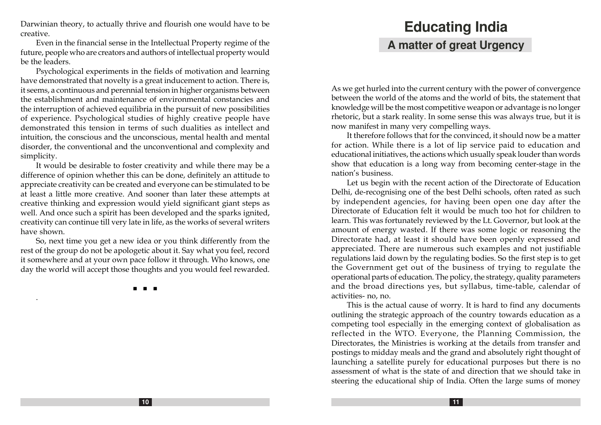Darwinian theory, to actually thrive and flourish one would have to be creative.

Even in the financial sense in the Intellectual Property regime of the future, people who are creators and authors of intellectual property would be the leaders.

Psychological experiments in the fields of motivation and learning have demonstrated that novelty is a great inducement to action. There is, it seems, a continuous and perennial tension in higher organisms between the establishment and maintenance of environmental constancies and the interruption of achieved equilibria in the pursuit of new possibilities of experience. Psychological studies of highly creative people have demonstrated this tension in terms of such dualities as intellect and intuition, the conscious and the unconscious, mental health and mental disorder, the conventional and the unconventional and complexity and simplicity.

It would be desirable to foster creativity and while there may be a difference of opinion whether this can be done, definitely an attitude to appreciate creativity can be created and everyone can be stimulated to be at least a little more creative. And sooner than later these attempts at creative thinking and expression would yield significant giant steps as well. And once such a spirit has been developed and the sparks ignited, creativity can continue till very late in life, as the works of several writers have shown.

So, next time you get a new idea or you think differently from the rest of the group do not be apologetic about it. Say what you feel, record it somewhere and at your own pace follow it through. Who knows, one day the world will accept those thoughts and you would feel rewarded.

n n n

.

# **Educating India A matter of great Urgency**

As we get hurled into the current century with the power of convergence between the world of the atoms and the world of bits, the statement that knowledge will be the most competitive weapon or advantage is no longer rhetoric, but a stark reality. In some sense this was always true, but it is now manifest in many very compelling ways.

It therefore follows that for the convinced, it should now be a matter for action. While there is a lot of lip service paid to education and educational initiatives, the actions which usually speak louder than words show that education is a long way from becoming center-stage in the nation's business.

Let us begin with the recent action of the Directorate of Education Delhi, de-recognising one of the best Delhi schools, often rated as such by independent agencies, for having been open one day after the Directorate of Education felt it would be much too hot for children to learn. This was fortunately reviewed by the Lt. Governor, but look at the amount of energy wasted. If there was some logic or reasoning the Directorate had, at least it should have been openly expressed and appreciated. There are numerous such examples and not justifiable regulations laid down by the regulating bodies. So the first step is to get the Government get out of the business of trying to regulate the operational parts of education. The policy, the strategy, quality parameters and the broad directions yes, but syllabus, time-table, calendar of activities- no, no.

This is the actual cause of worry. It is hard to find any documents outlining the strategic approach of the country towards education as a competing tool especially in the emerging context of globalisation as reflected in the WTO. Everyone, the Planning Commission, the Directorates, the Ministries is working at the details from transfer and postings to midday meals and the grand and absolutely right thought of launching a satellite purely for educational purposes but there is no assessment of what is the state of and direction that we should take in steering the educational ship of India. Often the large sums of money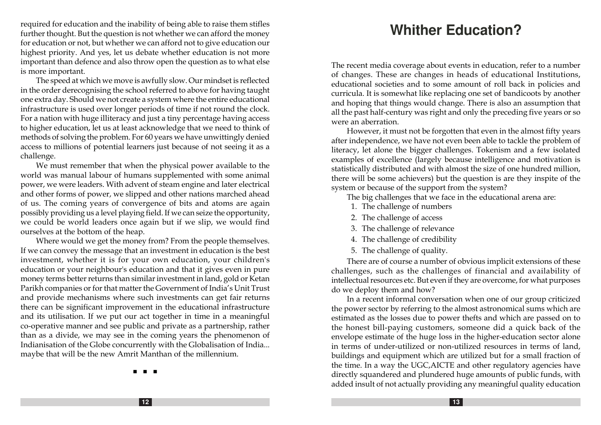required for education and the inability of being able to raise them stifles further thought. But the question is not whether we can afford the money for education or not, but whether we can afford not to give education our highest priority. And yes, let us debate whether education is not more important than defence and also throw open the question as to what else is more important.

The speed at which we move is awfully slow. Our mindset is reflected in the order derecognising the school referred to above for having taught one extra day. Should we not create a system where the entire educational infrastructure is used over longer periods of time if not round the clock. For a nation with huge illiteracy and just a tiny percentage having access to higher education, let us at least acknowledge that we need to think of methods of solving the problem. For 60 years we have unwittingly denied access to millions of potential learners just because of not seeing it as a challenge.

We must remember that when the physical power available to the world was manual labour of humans supplemented with some animal power, we were leaders. With advent of steam engine and later electrical and other forms of power, we slipped and other nations marched ahead of us. The coming years of convergence of bits and atoms are again possibly providing us a level playing field. If we can seize the opportunity, we could be world leaders once again but if we slip, we would find ourselves at the bottom of the heap.

Where would we get the money from? From the people themselves. If we can convey the message that an investment in education is the best investment, whether it is for your own education, your children's education or your neighbour's education and that it gives even in pure money terms better returns than similar investment in land, gold or Ketan Parikh companies or for that matter the Government of India's Unit Trust and provide mechanisms where such investments can get fair returns there can be significant improvement in the educational infrastructure and its utilisation. If we put our act together in time in a meaningful co-operative manner and see public and private as a partnership, rather than as a divide, we may see in the coming years the phenomenon of Indianisation of the Globe concurrently with the Globalisation of India... maybe that will be the new Amrit Manthan of the millennium.

**Whither Education?**

The recent media coverage about events in education, refer to a number of changes. These are changes in heads of educational Institutions, educational societies and to some amount of roll back in policies and curricula. It is somewhat like replacing one set of bandicoots by another and hoping that things would change. There is also an assumption that all the past half-century was right and only the preceding five years or so were an aberration.

However, it must not be forgotten that even in the almost fifty years after independence, we have not even been able to tackle the problem of literacy, let alone the bigger challenges. Tokenism and a few isolated examples of excellence (largely because intelligence and motivation is statistically distributed and with almost the size of one hundred million, there will be some achievers) but the question is are they inspite of the system or because of the support from the system?

The big challenges that we face in the educational arena are:

- 1. The challenge of numbers
- 2. The challenge of access
- 3. The challenge of relevance
- 4. The challenge of credibility
- 5. The challenge of quality.

There are of course a number of obvious implicit extensions of these challenges, such as the challenges of financial and availability of intellectual resources etc. But even if they are overcome, for what purposes do we deploy them and how?

In a recent informal conversation when one of our group criticized the power sector by referring to the almost astronomical sums which are estimated as the losses due to power thefts and which are passed on to the honest bill-paying customers, someone did a quick back of the envelope estimate of the huge loss in the higher-education sector alone in terms of under-utilized or non-utilized resources in terms of land, buildings and equipment which are utilized but for a small fraction of the time. In a way the UGC,AICTE and other regulatory agencies have directly squandered and plundered huge amounts of public funds, with added insult of not actually providing any meaningful quality education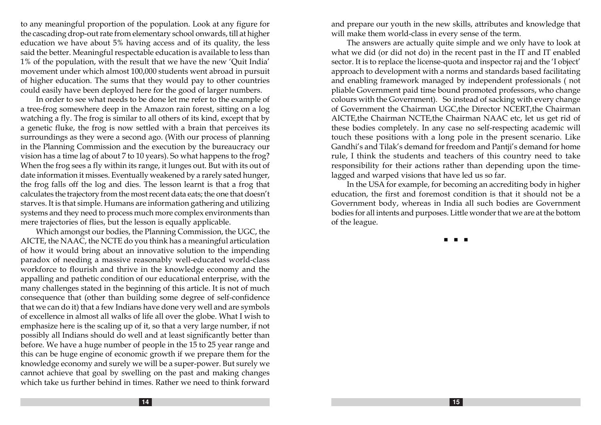to any meaningful proportion of the population. Look at any figure for the cascading drop-out rate from elementary school onwards, till at higher education we have about 5% having access and of its quality, the less said the better. Meaningful respectable education is available to less than 1% of the population, with the result that we have the new 'Quit India' movement under which almost 100,000 students went abroad in pursuit of higher education. The sums that they would pay to other countries could easily have been deployed here for the good of larger numbers.

In order to see what needs to be done let me refer to the example of a tree-frog somewhere deep in the Amazon rain forest, sitting on a log watching a fly. The frog is similar to all others of its kind, except that by a genetic fluke, the frog is now settled with a brain that perceives its surroundings as they were a second ago. (With our process of planning in the Planning Commission and the execution by the bureaucracy our vision has a time lag of about 7 to 10 years). So what happens to the frog? When the frog sees a fly within its range, it lunges out. But with its out of date information it misses. Eventually weakened by a rarely sated hunger, the frog falls off the log and dies. The lesson learnt is that a frog that calculates the trajectory from the most recent data eats; the one that doesn't starves. It is that simple. Humans are information gathering and utilizing systems and they need to process much more complex environments than mere trajectories of flies, but the lesson is equally applicable.

Which amongst our bodies, the Planning Commission, the UGC, the AICTE, the NAAC, the NCTE do you think has a meaningful articulation of how it would bring about an innovative solution to the impending paradox of needing a massive reasonably well-educated world-class workforce to flourish and thrive in the knowledge economy and the appalling and pathetic condition of our educational enterprise, with the many challenges stated in the beginning of this article. It is not of much consequence that (other than building some degree of self-confidence that we can do it) that a few Indians have done very well and are symbols of excellence in almost all walks of life all over the globe. What I wish to emphasize here is the scaling up of it, so that a very large number, if not possibly all Indians should do well and at least significantly better than before. We have a huge number of people in the 15 to 25 year range and this can be huge engine of economic growth if we prepare them for the knowledge economy and surely we will be a super-power. But surely we cannot achieve that goal by swelling on the past and making changes which take us further behind in times. Rather we need to think forward

and prepare our youth in the new skills, attributes and knowledge that will make them world-class in every sense of the term.

The answers are actually quite simple and we only have to look at what we did (or did not do) in the recent past in the IT and IT enabled sector. It is to replace the license-quota and inspector raj and the 'I object' approach to development with a norms and standards based facilitating and enabling framework managed by independent professionals ( not pliable Government paid time bound promoted professors, who change colours with the Government). So instead of sacking with every change of Government the Chairman UGC,the Director NCERT,the Chairman AICTE,the Chairman NCTE,the Chairman NAAC etc, let us get rid of these bodies completely. In any case no self-respecting academic will touch these positions with a long pole in the present scenario. Like Gandhi's and Tilak's demand for freedom and Pantji's demand for home rule, I think the students and teachers of this country need to take responsibility for their actions rather than depending upon the timelagged and warped visions that have led us so far.

In the USA for example, for becoming an accrediting body in higher education, the first and foremost condition is that it should not be a Government body, whereas in India all such bodies are Government bodies for all intents and purposes. Little wonder that we are at the bottom of the league.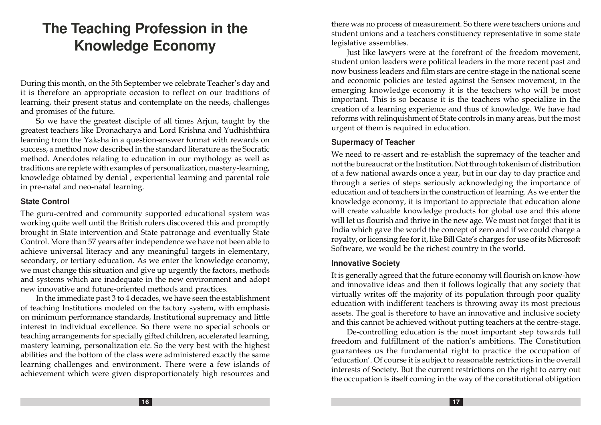# **The Teaching Profession in the Knowledge Economy**

During this month, on the 5th September we celebrate Teacher's day and it is therefore an appropriate occasion to reflect on our traditions of learning, their present status and contemplate on the needs, challenges and promises of the future.

So we have the greatest disciple of all times Arjun, taught by the greatest teachers like Dronacharya and Lord Krishna and Yudhishthira learning from the Yaksha in a question-answer format with rewards on success, a method now described in the standard literature as the Socratic method. Anecdotes relating to education in our mythology as well as traditions are replete with examples of personalization, mastery-learning, knowledge obtained by denial , experiential learning and parental role in pre-natal and neo-natal learning.

#### **State Control**

The guru-centred and community supported educational system was working quite well until the British rulers discovered this and promptly brought in State intervention and State patronage and eventually State Control. More than 57 years after independence we have not been able to achieve universal literacy and any meaningful targets in elementary, secondary, or tertiary education. As we enter the knowledge economy, we must change this situation and give up urgently the factors, methods and systems which are inadequate in the new environment and adopt new innovative and future-oriented methods and practices.

In the immediate past 3 to 4 decades, we have seen the establishment of teaching Institutions modeled on the factory system, with emphasis on minimum performance standards, Institutional supremacy and little interest in individual excellence. So there were no special schools or teaching arrangements for specially gifted children, accelerated learning, mastery learning, personalization etc. So the very best with the highest abilities and the bottom of the class were administered exactly the same learning challenges and environment. There were a few islands of achievement which were given disproportionately high resources and

there was no process of measurement. So there were teachers unions and student unions and a teachers constituency representative in some state legislative assemblies.

Just like lawyers were at the forefront of the freedom movement, student union leaders were political leaders in the more recent past and now business leaders and film stars are centre-stage in the national scene and economic policies are tested against the Sensex movement, in the emerging knowledge economy it is the teachers who will be most important. This is so because it is the teachers who specialize in the creation of a learning experience and thus of knowledge. We have had reforms with relinquishment of State controls in many areas, but the most urgent of them is required in education.

#### **Supermacy of Teacher**

We need to re-assert and re-establish the supremacy of the teacher and not the bureaucrat or the Institution. Not through tokenism of distribution of a few national awards once a year, but in our day to day practice and through a series of steps seriously acknowledging the importance of education and of teachers in the construction of learning. As we enter the knowledge economy, it is important to appreciate that education alone will create valuable knowledge products for global use and this alone will let us flourish and thrive in the new age. We must not forget that it is India which gave the world the concept of zero and if we could charge a royalty, or licensing fee for it, like Bill Gate's charges for use of its Microsoft Software, we would be the richest country in the world.

#### **Innovative Society**

It is generally agreed that the future economy will flourish on know-how and innovative ideas and then it follows logically that any society that virtually writes off the majority of its population through poor quality education with indifferent teachers is throwing away its most precious assets. The goal is therefore to have an innovative and inclusive society and this cannot be achieved without putting teachers at the centre-stage.

De-controlling education is the most important step towards full freedom and fulfillment of the nation's ambitions. The Constitution guarantees us the fundamental right to practice the occupation of 'education'. Of course it is subject to reasonable restrictions in the overall interests of Society. But the current restrictions on the right to carry out the occupation is itself coming in the way of the constitutional obligation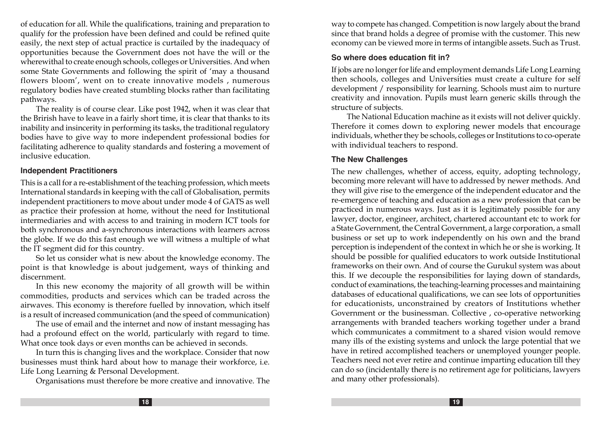of education for all. While the qualifications, training and preparation to qualify for the profession have been defined and could be refined quite easily, the next step of actual practice is curtailed by the inadequacy of opportunities because the Government does not have the will or the wherewithal to create enough schools, colleges or Universities. And when some State Governments and following the spirit of 'may a thousand flowers bloom', went on to create innovative models , numerous regulatory bodies have created stumbling blocks rather than facilitating pathways.

The reality is of course clear. Like post 1942, when it was clear that the Brirish have to leave in a fairly short time, it is clear that thanks to its inability and insincerity in performing its tasks, the traditional regulatory bodies have to give way to more independent professional bodies for facilitating adherence to quality standards and fostering a movement of inclusive education.

#### **Independent Practitioners**

This is a call for a re-establishment of the teaching profession, which meets International standards in keeping with the call of Globalisation, permits independent practitioners to move about under mode 4 of GATS as well as practice their profession at home, without the need for Institutional intermediaries and with access to and training in modern ICT tools for both synchronous and a-synchronous interactions with learners across the globe. If we do this fast enough we will witness a multiple of what the IT segment did for this country.

So let us consider what is new about the knowledge economy. The point is that knowledge is about judgement, ways of thinking and discernment.

In this new economy the majority of all growth will be within commodities, products and services which can be traded across the airwaves. This economy is therefore fuelled by innovation, which itself is a result of increased communication (and the speed of communication)

The use of email and the internet and now of instant messaging has had a profound effect on the world, particularly with regard to time. What once took days or even months can be achieved in seconds.

In turn this is changing lives and the workplace. Consider that now businesses must think hard about how to manage their workforce, i.e. Life Long Learning & Personal Development.

Organisations must therefore be more creative and innovative. The

way to compete has changed. Competition is now largely about the brand since that brand holds a degree of promise with the customer. This new economy can be viewed more in terms of intangible assets. Such as Trust.

#### **So where does education fit in?**

If jobs are no longer for life and employment demands Life Long Learning then schools, colleges and Universities must create a culture for self development / responsibility for learning. Schools must aim to nurture creativity and innovation. Pupils must learn generic skills through the structure of subjects.

The National Education machine as it exists will not deliver quickly. Therefore it comes down to exploring newer models that encourage individuals, whether they be schools, colleges or Institutions to co-operate with individual teachers to respond.

#### **The New Challenges**

The new challenges, whether of access, equity, adopting technology, becoming more relevant will have to addressed by newer methods. And they will give rise to the emergence of the independent educator and the re-emergence of teaching and education as a new profession that can be practiced in numerous ways. Just as it is legitimately possible for any lawyer, doctor, engineer, architect, chartered accountant etc to work for a State Government, the Central Government, a large corporation, a small business or set up to work independently on his own and the brand perception is independent of the context in which he or she is working. It should be possible for qualified educators to work outside Institutional frameworks on their own. And of course the Gurukul system was about this. If we decouple the responsibilities for laying down of standards, conduct of examinations, the teaching-learning processes and maintaining databases of educational qualifications, we can see lots of opportunities for educationists, unconstrained by creators of Institutions whether Government or the businessman. Collective , co-operative networking arrangements with branded teachers working together under a brand which communicates a commitment to a shared vision would remove many ills of the existing systems and unlock the large potential that we have in retired accomplished teachers or unemployed younger people. Teachers need not ever retire and continue imparting education till they can do so (incidentally there is no retirement age for politicians, lawyers and many other professionals).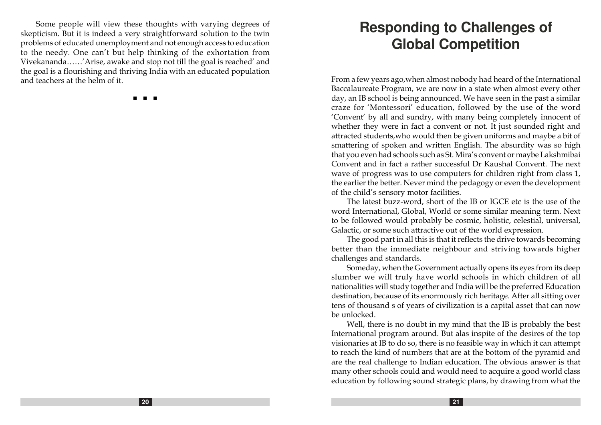Some people will view these thoughts with varying degrees of skepticism. But it is indeed a very straightforward solution to the twin problems of educated unemployment and not enough access to education to the needy. One can't but help thinking of the exhortation from Vivekananda……'Arise, awake and stop not till the goal is reached' and the goal is a flourishing and thriving India with an educated population and teachers at the helm of it.

n n n

# **Responding to Challenges of Global Competition**

From a few years ago,when almost nobody had heard of the International Baccalaureate Program, we are now in a state when almost every other day, an IB school is being announced. We have seen in the past a similar craze for 'Montessori' education, followed by the use of the word 'Convent' by all and sundry, with many being completely innocent of whether they were in fact a convent or not. It just sounded right and attracted students,who would then be given uniforms and maybe a bit of smattering of spoken and written English. The absurdity was so high that you even had schools such as St. Mira's convent or maybe Lakshmibai Convent and in fact a rather successful Dr Kaushal Convent. The next wave of progress was to use computers for children right from class 1, the earlier the better. Never mind the pedagogy or even the development of the child's sensory motor facilities.

The latest buzz-word, short of the IB or IGCE etc is the use of the word International, Global, World or some similar meaning term. Next to be followed would probably be cosmic, holistic, celestial, universal, Galactic, or some such attractive out of the world expression.

The good part in all this is that it reflects the drive towards becoming better than the immediate neighbour and striving towards higher challenges and standards.

Someday, when the Government actually opens its eyes from its deep slumber we will truly have world schools in which children of all nationalities will study together and India will be the preferred Education destination, because of its enormously rich heritage. After all sitting over tens of thousand s of years of civilization is a capital asset that can now be unlocked.

Well, there is no doubt in my mind that the IB is probably the best International program around. But alas inspite of the desires of the top visionaries at IB to do so, there is no feasible way in which it can attempt to reach the kind of numbers that are at the bottom of the pyramid and are the real challenge to Indian education. The obvious answer is that many other schools could and would need to acquire a good world class education by following sound strategic plans, by drawing from what the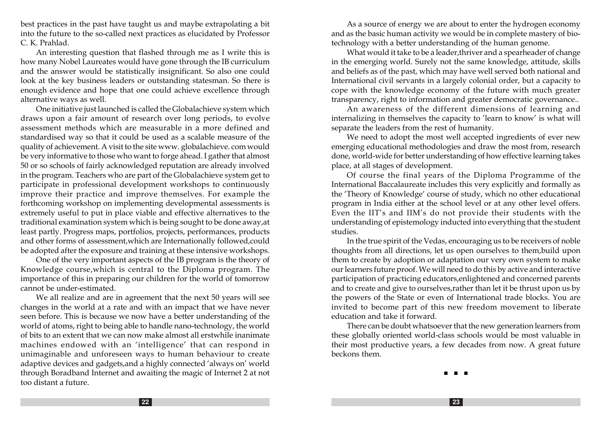best practices in the past have taught us and maybe extrapolating a bit into the future to the so-called next practices as elucidated by Professor C. K. Prahlad.

An interesting question that flashed through me as I write this is how many Nobel Laureates would have gone through the IB curriculum and the answer would be statistically insignificant. So also one could look at the key business leaders or outstanding statesman. So there is enough evidence and hope that one could achieve excellence through alternative ways as well.

One initiative just launched is called the Globalachieve system which draws upon a fair amount of research over long periods, to evolve assessment methods which are measurable in a more defined and standardised way so that it could be used as a scalable measure of the quality of achievement. A visit to the site www. globalachieve. com would be very informative to those who want to forge ahead. I gather that almost 50 or so schools of fairly acknowledged reputation are already involved in the program. Teachers who are part of the Globalachieve system get to participate in professional development workshops to continuously improve their practice and improve themselves. For example the forthcoming workshop on implementing developmental assessments is extremely useful to put in place viable and effective alternatives to the traditional examination system which is being sought to be done away,at least partly. Progress maps, portfolios, projects, performances, products and other forms of assessment,which are Internationally followed,could be adopted after the exposure and training at these intensive workshops.

One of the very important aspects of the IB program is the theory of Knowledge course,which is central to the Diploma program. The importance of this in preparing our children for the world of tomorrow cannot be under-estimated.

We all realize and are in agreement that the next 50 years will see changes in the world at a rate and with an impact that we have never seen before. This is because we now have a better understanding of the world of atoms, right to being able to handle nano-technology, the world of bits to an extent that we can now make almost all erstwhile inanimate machines endowed with an 'intelligence' that can respond in unimaginable and unforeseen ways to human behaviour to create adaptive devices and gadgets,and a highly connected 'always on' world through Boradband Internet and awaiting the magic of Internet 2 at not too distant a future.

As a source of energy we are about to enter the hydrogen economy and as the basic human activity we would be in complete mastery of biotechnology with a better understanding of the human genome.

What would it take to be a leader,thriver and a spearheader of change in the emerging world. Surely not the same knowledge, attitude, skills and beliefs as of the past, which may have well served both national and International civil servants in a largely colonial order, but a capacity to cope with the knowledge economy of the future with much greater transparency, right to information and greater democratic governance..

An awareness of the different dimensions of learning and internalizing in themselves the capacity to 'learn to know' is what will separate the leaders from the rest of humanity.

We need to adopt the most well accepted ingredients of ever new emerging educational methodologies and draw the most from, research done, world-wide for better understanding of how effective learning takes place, at all stages of development.

Of course the final years of the Diploma Programme of the International Baccalaureate includes this very explicitly and formally as the 'Theory of Knowledge' course of study, which no other educational program in India either at the school level or at any other level offers. Even the IIT's and IIM's do not provide their students with the understanding of epistemology inducted into everything that the student studies.

In the true spirit of the Vedas, encouraging us to be receivers of noble thoughts from all directions, let us open ourselves to them,build upon them to create by adoption or adaptation our very own system to make our learners future proof. We will need to do this by active and interactive participation of practicing educators,enlightened and concerned parents and to create and give to ourselves,rather than let it be thrust upon us by the powers of the State or even of International trade blocks. You are invited to become part of this new freedom movement to liberate education and take it forward.

There can be doubt whatsoever that the new generation learners from these globally oriented world-class schools would be most valuable in their most productive years, a few decades from now. A great future beckons them.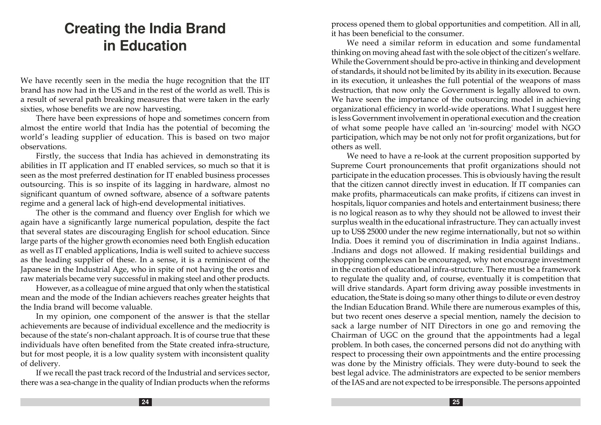# **Creating the India Brand in Education**

We have recently seen in the media the huge recognition that the IIT brand has now had in the US and in the rest of the world as well. This is a result of several path breaking measures that were taken in the early sixties, whose benefits we are now harvesting.

There have been expressions of hope and sometimes concern from almost the entire world that India has the potential of becoming the world's leading supplier of education. This is based on two major observations.

Firstly, the success that India has achieved in demonstrating its abilities in IT application and IT enabled services, so much so that it is seen as the most preferred destination for IT enabled business processes outsourcing. This is so inspite of its lagging in hardware, almost no significant quantum of owned software, absence of a software patents regime and a general lack of high-end developmental initiatives.

The other is the command and fluency over English for which we again have a significantly large numerical population, despite the fact that several states are discouraging English for school education. Since large parts of the higher growth economies need both English education as well as IT enabled applications, India is well suited to achieve success as the leading supplier of these. In a sense, it is a reminiscent of the Japanese in the Industrial Age, who in spite of not having the ores and raw materials became very successful in making steel and other products.

However, as a colleague of mine argued that only when the statistical mean and the mode of the Indian achievers reaches greater heights that the India brand will become valuable.

In my opinion, one component of the answer is that the stellar achievements are because of individual excellence and the mediocrity is because of the state's non-chalant approach. It is of course true that these individuals have often benefited from the State created infra-structure, but for most people, it is a low quality system with inconsistent quality of delivery.

If we recall the past track record of the Industrial and services sector, there was a sea-change in the quality of Indian products when the reforms process opened them to global opportunities and competition. All in all, it has been beneficial to the consumer.

We need a similar reform in education and some fundamental thinking on moving ahead fast with the sole object of the citizen's welfare. While the Government should be pro-active in thinking and development of standards, it should not be limited by its ability in its execution. Because in its execution, it unleashes the full potential of the weapons of mass destruction, that now only the Government is legally allowed to own. We have seen the importance of the outsourcing model in achieving organizational efficiency in world-wide operations. What I suggest here is less Government involvement in operational execution and the creation of what some people have called an 'in-sourcing' model with NGO participation, which may be not only not for profit organizations, but for others as well.

We need to have a re-look at the current proposition supported by Supreme Court pronouncements that profit organizations should not participate in the education processes. This is obviously having the result that the citizen cannot directly invest in education. If IT companies can make profits, pharmaceuticals can make profits, if citizens can invest in hospitals, liquor companies and hotels and entertainment business; there is no logical reason as to why they should not be allowed to invest their surplus wealth in the educational infrastructure. They can actually invest up to US\$ 25000 under the new regime internationally, but not so within India. Does it remind you of discrimination in India against Indians.. .Indians and dogs not allowed. If making residential buildings and shopping complexes can be encouraged, why not encourage investment in the creation of educational infra-structure. There must be a framework to regulate the quality and, of course, eventually it is competition that will drive standards. Apart form driving away possible investments in education, the State is doing so many other things to dilute or even destroy the Indian Education Brand. While there are numerous examples of this, but two recent ones deserve a special mention, namely the decision to sack a large number of NIT Directors in one go and removing the Chairman of UGC on the ground that the appointments had a legal problem. In both cases, the concerned persons did not do anything with respect to processing their own appointments and the entire processing was done by the Ministry officials. They were duty-bound to seek the best legal advice. The administrators are expected to be senior members of the IAS and are not expected to be irresponsible. The persons appointed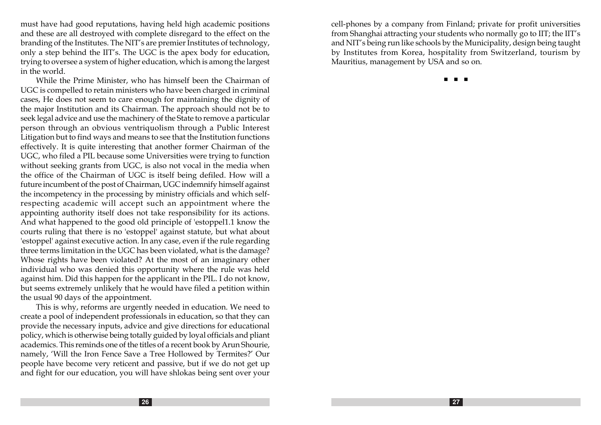must have had good reputations, having held high academic positions and these are all destroyed with complete disregard to the effect on the branding of the Institutes. The NIT's are premier Institutes of technology, only a step behind the IIT's. The UGC is the apex body for education, trying to oversee a system of higher education, which is among the largest in the world.

While the Prime Minister, who has himself been the Chairman of UGC is compelled to retain ministers who have been charged in criminal cases, He does not seem to care enough for maintaining the dignity of the major Institution and its Chairman. The approach should not be to seek legal advice and use the machinery of the State to remove a particular person through an obvious ventriquolism through a Public Interest Litigation but to find ways and means to see that the Institution functions effectively. It is quite interesting that another former Chairman of the UGC, who filed a PIL because some Universities were trying to function without seeking grants from UGC, is also not vocal in the media when the office of the Chairman of UGC is itself being defiled. How will a future incumbent of the post of Chairman, UGC indemnify himself against the incompetency in the processing by ministry officials and which selfrespecting academic will accept such an appointment where the appointing authority itself does not take responsibility for its actions. And what happened to the good old principle of 'estoppel1.1 know the courts ruling that there is no 'estoppel' against statute, but what about 'estoppel' against executive action. In any case, even if the rule regarding three terms limitation in the UGC has been violated, what is the damage? Whose rights have been violated? At the most of an imaginary other individual who was denied this opportunity where the rule was held against him. Did this happen for the applicant in the PIL. I do not know, but seems extremely unlikely that he would have filed a petition within the usual 90 days of the appointment.

This is why, reforms are urgently needed in education. We need to create a pool of independent professionals in education, so that they can provide the necessary inputs, advice and give directions for educational policy, which is otherwise being totally guided by loyal officials and pliant academics. This reminds one of the titles of a recent book by Arun Shourie, namely, 'Will the Iron Fence Save a Tree Hollowed by Termites?' Our people have become very reticent and passive, but if we do not get up and fight for our education, you will have shlokas being sent over your cell-phones by a company from Finland; private for profit universities from Shanghai attracting your students who normally go to IIT; the IIT's and NIT's being run like schools by the Municipality, design being taught by Institutes from Korea, hospitality from Switzerland, tourism by Mauritius, management by USA and so on.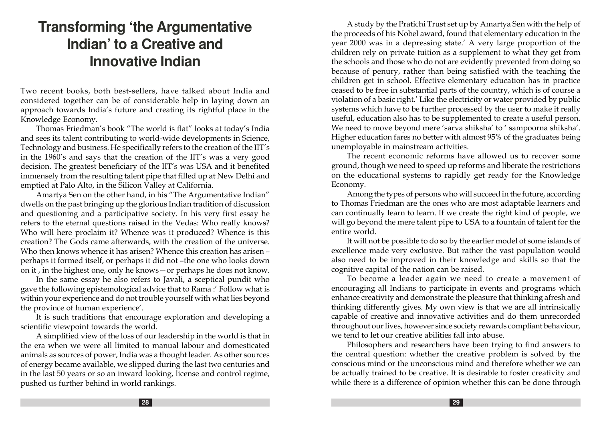# **Transforming 'the Argumentative Indian' to a Creative and Innovative Indian**

Two recent books, both best-sellers, have talked about India and considered together can be of considerable help in laying down an approach towards India's future and creating its rightful place in the Knowledge Economy.

Thomas Friedman's book "The world is flat" looks at today's India and sees its talent contributing to world-wide developments in Science, Technology and business. He specifically refers to the creation of the IIT's in the 1960's and says that the creation of the IIT's was a very good decision. The greatest beneficiary of the IIT's was USA and it benefited immensely from the resulting talent pipe that filled up at New Delhi and emptied at Palo Alto, in the Silicon Valley at California.

Amartya Sen on the other hand, in his "The Argumentative Indian" dwells on the past bringing up the glorious Indian tradition of discussion and questioning and a participative society. In his very first essay he refers to the eternal questions raised in the Vedas: Who really knows? Who will here proclaim it? Whence was it produced? Whence is this creation? The Gods came afterwards, with the creation of the universe. Who then knows whence it has arisen? Whence this creation has arisen – perhaps it formed itself, or perhaps it did not –the one who looks down on it , in the highest one, only he knows—or perhaps he does not know.

In the same essay he also refers to Javali, a sceptical pundit who gave the following epistemological advice that to Rama :' Follow what is within your experience and do not trouble yourself with what lies beyond the province of human experience'.

It is such traditions that encourage exploration and developing a scientific viewpoint towards the world.

A simplified view of the loss of our leadership in the world is that in the era when we were all limited to manual labour and domesticated animals as sources of power, India was a thought leader. As other sources of energy became available, we slipped during the last two centuries and in the last 50 years or so an inward looking, license and control regime, pushed us further behind in world rankings.

A study by the Pratichi Trust set up by Amartya Sen with the help of the proceeds of his Nobel award, found that elementary education in the year 2000 was in a depressing state.' A very large proportion of the children rely on private tuition as a supplement to what they get from the schools and those who do not are evidently prevented from doing so because of penury, rather than being satisfied with the teaching the children get in school. Effective elementary education has in practice ceased to be free in substantial parts of the country, which is of course a violation of a basic right.' Like the electricity or water provided by public systems which have to be further processed by the user to make it really useful, education also has to be supplemented to create a useful person. We need to move beyond mere 'sarva shiksha' to ' sampoorna shiksha'. Higher education fares no better with almost 95% of the graduates being unemployable in mainstream activities.

The recent economic reforms have allowed us to recover some ground, though we need to speed up reforms and liberate the restrictions on the educational systems to rapidly get ready for the Knowledge Economy.

Among the types of persons who will succeed in the future, according to Thomas Friedman are the ones who are most adaptable learners and can continually learn to learn. If we create the right kind of people, we will go beyond the mere talent pipe to USA to a fountain of talent for the entire world.

It will not be possible to do so by the earlier model of some islands of excellence made very exclusive. But rather the vast population would also need to be improved in their knowledge and skills so that the cognitive capital of the nation can be raised.

To become a leader again we need to create a movement of encouraging all Indians to participate in events and programs which enhance creativity and demonstrate the pleasure that thinking afresh and thinking differently gives. My own view is that we are all intrinsically capable of creative and innovative activities and do them unrecorded throughout our lives, however since society rewards compliant behaviour, we tend to let our creative abilities fall into abuse.

Philosophers and researchers have been trying to find answers to the central question: whether the creative problem is solved by the conscious mind or the unconscious mind and therefore whether we can be actually trained to be creative. It is desirable to foster creativity and while there is a difference of opinion whether this can be done through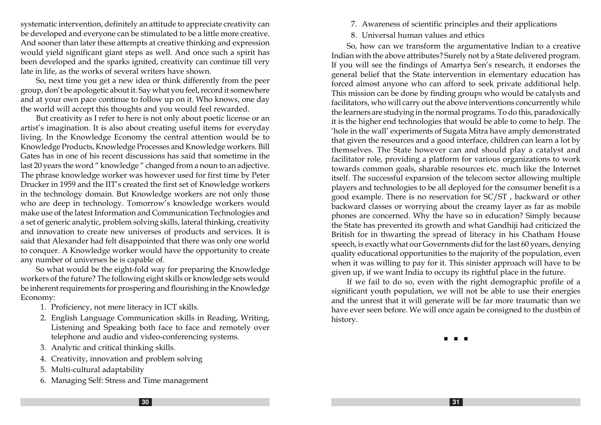systematic intervention, definitely an attitude to appreciate creativity can be developed and everyone can be stimulated to be a little more creative. And sooner than later these attempts at creative thinking and expression would yield significant giant steps as well. And once such a spirit has been developed and the sparks ignited, creativity can continue till very late in life, as the works of several writers have shown.

So, next time you get a new idea or think differently from the peer group, don't be apologetic about it. Say what you feel, record it somewhere and at your own pace continue to follow up on it. Who knows, one day the world will accept this thoughts and you would feel rewarded.

But creativity as I refer to here is not only about poetic license or an artist's imagination. It is also about creating useful items for everyday living. In the Knowledge Economy the central attention would be to Knowledge Products, Knowledge Processes and Knowledge workers. Bill Gates has in one of his recent discussions has said that sometime in the last 20 years the word " knowledge " changed from a noun to an adjective. The phrase knowledge worker was however used for first time by Peter Drucker in 1959 and the IIT's created the first set of Knowledge workers in the technology domain. But Knowledge workers are not only those who are deep in technology. Tomorrow's knowledge workers would make use of the latest Information and Communication Technologies and a set of generic analytic, problem solving skills, lateral thinking, creativity and innovation to create new universes of products and services. It is said that Alexander had felt disappointed that there was only one world to conquer. A Knowledge worker would have the opportunity to create any number of universes he is capable of.

So what would be the eight-fold way for preparing the Knowledge workers of the future? The following eight skills or knowledge sets would be inherent requirements for prospering and flourishing in the Knowledge Economy:

- 1. Proficiency, not mere literacy in ICT skills.
- 2. English Language Communication skills in Reading, Writing, Listening and Speaking both face to face and remotely over telephone and audio and video-conferencing systems.
- 3. Analytic and critical thinking skills.
- 4. Creativity, innovation and problem solving
- 5. Multi-cultural adaptability
- 6. Managing Self: Stress and Time management
- 7. Awareness of scientific principles and their applications
- 8. Universal human values and ethics

So, how can we transform the argumentative Indian to a creative Indian with the above attributes? Surely not by a State delivered program. If you will see the findings of Amartya Sen's research, it endorses the general belief that the State intervention in elementary education has forced almost anyone who can afford to seek private additional help. This mission can be done by finding groups who would be catalysts and facilitators, who will carry out the above interventions concurrently while the learners are studying in the normal programs. To do this, paradoxically it is the higher end technologies that would be able to come to help. The 'hole in the wall' experiments of Sugata Mitra have amply demonstrated that given the resources and a good interface, children can learn a lot by themselves. The State however can and should play a catalyst and facilitator role, providing a platform for various organizations to work towards common goals, sharable resources etc. much like the Internet itself. The successful expansion of the telecom sector allowing multiple players and technologies to be all deployed for the consumer benefit is a good example. There is no reservation for SC/ST , backward or other backward classes or worrying about the creamy layer as far as mobile phones are concerned. Why the have so in education? Simply because the State has prevented its growth and what Gandhiji had criticized the British for in thwarting the spread of literacy in his Chatham House speech, is exactly what our Governments did for the last 60 years, denying quality educational opportunities to the majority of the population, even when it was willing to pay for it. This sinister approach will have to be given up, if we want India to occupy its rightful place in the future.

If we fail to do so, even with the right demographic profile of a significant youth population, we will not be able to use their energies and the unrest that it will generate will be far more traumatic than we have ever seen before. We will once again be consigned to the dustbin of history.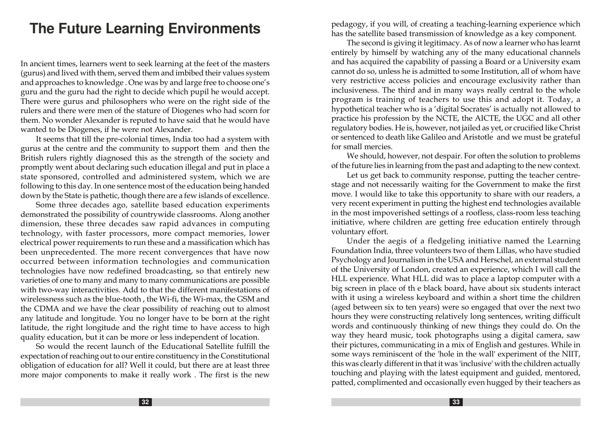# **The Future Learning Environment s**

In ancient times, learners went to seek learning at the feet of the masters (gurus) and lived with them, served them and imbibed their values system and approaches to knowledge . One was by and large free to choose one's guru and the guru had the right to decide which pupil he would accept. There were gurus and philosophers who were on the right side of the rulers and there were men of the stature of Diogenes who had scorn for them. No wonder Alexander is reputed to have said that he would have wanted to be Diogenes, if he were not Alexander.

It seems that till the pre-colonial times, India too had a system with gurus at the centre and the community to support them and then the British rulers rightly diagnosed this as the strength of the society and promptly went about declaring such education illegal and put in place a state sponsored, controlled and administered system, which we are following to this day. In one sentence most of the education being handed down by the State is pathetic, though there are a few islands of excellence.

Some three decades ago, satellite based education experiments demonstrated the possibility of countrywide classrooms. Along another dimension, these three decades saw rapid advances in computing technology, with faster processors, more compact memories, lower electrical power requirements to run these and a massification which has been unprecedented. The more recent convergences that have now occurred between information technologies and communication technologies have now redefined broadcasting, so that entirely new varieties of one to many and many to many communications are possible with two-way interactivities. Add to that the different manifestations of wirelessness such as the blue-tooth , the Wi-fi, the Wi-max, the GSM and the CDMA and we have the clear possibility of reaching out to almost any latitude and longitude. You no longer have to be born at the right latitude, the right longitude and the right time to have access to high quality education, but it can be more or less independent of location.

So would the recent launch of the Educational Satellite fulfill the expectation of reaching out to our entire constituency in the Constitutional obligation of education for all? Well it could, but there are at least three more major components to make it really work . The first is the new

pedagogy, if you will, of creating a teaching-learning experience which has the satellite based transmission of knowledge as a key component.

The second is giving it legitimacy. As of now a learner who has learnt entirely by himself by watching any of the many educational channels and has acquired the capability of passing a Board or a University exam cannot do so, unless he is admitted to some Institution, all of whom have very restrictive access policies and encourage exclusivity rather than inclusiveness. The third and in many ways really central to the whole program is training of teachers to use this and adopt it. Today, a hypothetical teacher who is a 'digital Socrates' is actually not allowed to practice his profession by the NCTE, the AICTE, the UGC and all other regulatory bodies. He is, however, not jailed as yet, or crucified like Christ or sentenced to death like Galileo and Aristotle and we must be grateful for small mercies.

We should, however, not despair. For often the solution to problems of the future lies in learning from the past and adapting to the new context.

Let us get back to community response, putting the teacher centrestage and not necessarily waiting for the Government to make the first move. I would like to take this opportunity to share with our readers, a very recent experiment in putting the highest end technologies available in the most impoverished settings of a roofless, class-room less teaching initiative, where children are getting free education entirely through voluntary effort.

Under the aegis of a fledgeling initiative named the Learning Foundation India, three volunteers two of them Lillas, who have studied Psychology and Journalism in the USA and Herschel, an external student of the University of London, created an experience, which I will call the HLL experience. What HLL did was to place a laptop computer with a big screen in place of th e black board, have about six students interact with it using a wireless keyboard and within a short time the children (aged between six to ten years) were so engaged that over the next two hours they were constructing relatively long sentences, writing difficult words and continuously thinking of new things they could do. On the way they heard music, took photographs using a digital camera, saw their pictures, communicating in a mix of English and gestures. While in some ways reminiscent of the 'hole in the wall' experiment of the NIIT, this was clearly different in that it was 'inclusive' with the children actually touching and playing with the latest equipment and guided, mentored, patted, complimented and occasionally even hugged by their teachers as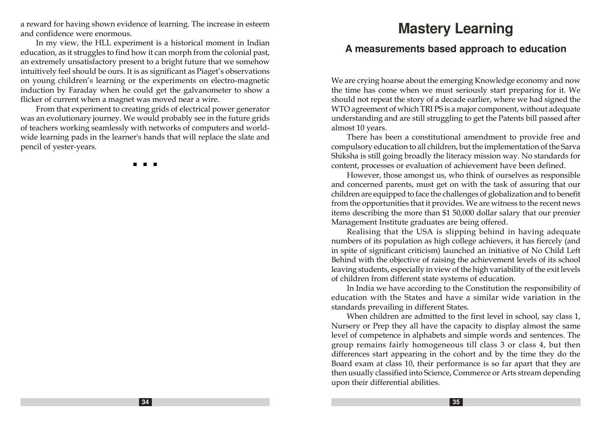a reward for having shown evidence of learning. The increase in esteem and confidence were enormous.

In my view, the HLL experiment is a historical moment in Indian education, as it struggles to find how it can morph from the colonial past, an extremely unsatisfactory present to a bright future that we somehow intuitively feel should be ours. It is as significant as Piaget's observations on young children's learning or the experiments on electro-magnetic induction by Faraday when he could get the galvanometer to show a flicker of current when a magnet was moved near a wire.

From that experiment to creating grids of electrical power generator was an evolutionary journey. We would probably see in the future grids of teachers working seamlessly with networks of computers and worldwide learning pads in the learner's hands that will replace the slate and pencil of yester-years.

n n n

# **Mastery Learning**

### **A measurements based approach to education**

We are crying hoarse about the emerging Knowledge economy and now the time has come when we must seriously start preparing for it. We should not repeat the story of a decade earlier, where we had signed the WTO agreement of which TRI PS is a major component, without adequate understanding and are still struggling to get the Patents bill passed after almost 10 years.

There has been a constitutional amendment to provide free and compulsory education to all children, but the implementation of the Sarva Shiksha is still going broadly the literacy mission way. No standards for content, processes or evaluation of achievement have been defined.

However, those amongst us, who think of ourselves as responsible and concerned parents, must get on with the task of assuring that our children are equipped to face the challenges of globalization and to benefit from the opportunities that it provides. We are witness to the recent news items describing the more than \$1 50,000 dollar salary that our premier Management Institute graduates are being offered.

Realising that the USA is slipping behind in having adequate numbers of its population as high college achievers, it has fiercely (and in spite of significant criticism) launched an initiative of No Child Left Behind with the objective of raising the achievement levels of its school leaving students, especially in view of the high variability of the exit levels of children from different state systems of education.

In India we have according to the Constitution the responsibility of education with the States and have a similar wide variation in the standards prevailing in different States.

When children are admitted to the first level in school, say class 1, Nursery or Prep they all have the capacity to display almost the same level of competence in alphabets and simple words and sentences. The group remains fairly homogeneous till class 3 or class 4, but then differences start appearing in the cohort and by the time they do the Board exam at class 10, their performance is so far apart that they are then usually classified into Science, Commerce or Arts stream depending upon their differential abilities.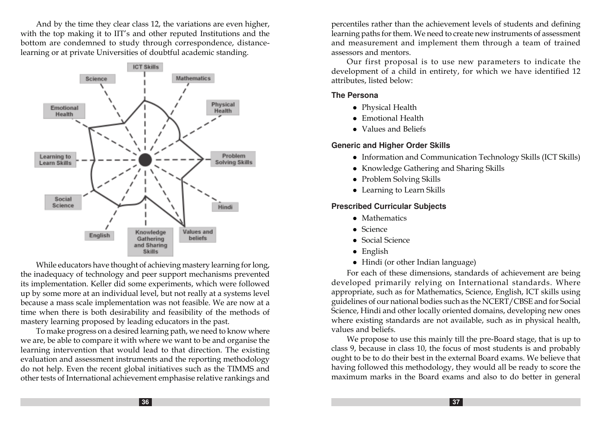And by the time they clear class 12, the variations are even higher, with the top making it to IIT's and other reputed Institutions and the bottom are condemned to study through correspondence, distancelearning or at private Universities of doubtful academic standing.



While educators have thought of achieving mastery learning for long, the inadequacy of technology and peer support mechanisms prevented its implementation. Keller did some experiments, which were followed up by some more at an individual level, but not really at a systems level because a mass scale implementation was not feasible. We are now at a time when there is both desirability and feasibility of the methods of mastery learning proposed by leading educators in the past.

To make progress on a desired learning path, we need to know where we are, be able to compare it with where we want to be and organise the learning intervention that would lead to that direction. The existing evaluation and assessment instruments and the reporting methodology do not help. Even the recent global initiatives such as the TIMMS and other tests of International achievement emphasise relative rankings and

percentiles rather than the achievement levels of students and defining learning paths for them. We need to create new instruments of assessment and measurement and implement them through a team of trained assessors and mentors.

Our first proposal is to use new parameters to indicate the development of a child in entirety, for which we have identified 12 attributes, listed below:

#### **The Persona**

- Physical Health
- Emotional Health
- Values and Beliefs

### **Generic and Higher Order Skills**

- Information and Communication Technology Skills (ICT Skills)
- Knowledge Gathering and Sharing Skills
- Problem Solving Skills
- Learning to Learn Skills

### **Prescribed Curricular Subject s**

- $\bullet$  Mathematics
- $S$ cience
- $\bullet$  Social Science
- $\bullet$  English
- $\bullet$  Hindi (or other Indian language)

For each of these dimensions, standards of achievement are being developed primarily relying on International standards. Where appropriate, such as for Mathematics, Science, English, ICT skills using guidelines of our national bodies such as the NCERT/CBSE and for Social Science, Hindi and other locally oriented domains, developing new ones where existing standards are not available, such as in physical health, values and beliefs.

We propose to use this mainly till the pre-Board stage, that is up to class 9, because in class 10, the focus of most students is and probably ought to be to do their best in the external Board exams. We believe that having followed this methodology, they would all be ready to score the maximum marks in the Board exams and also to do better in general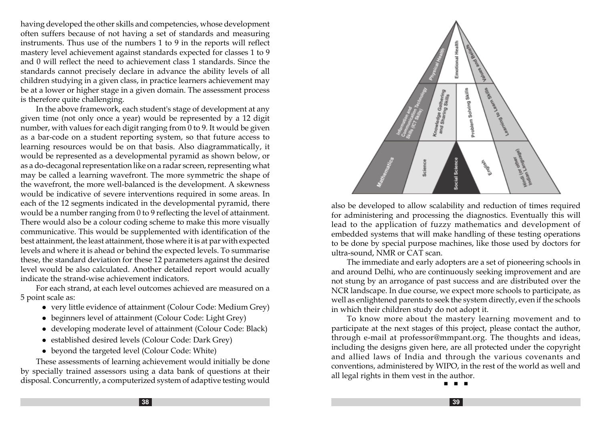having developed the other skills and competencies, whose development often suffers because of not having a set of standards and measuring instruments. Thus use of the numbers 1 to 9 in the reports will reflect mastery level achievement against standards expected for classes 1 to 9 and 0 will reflect the need to achievement class 1 standards. Since the standards cannot precisely declare in advance the ability levels of all children studying in a given class, in practice learners achievement may be at a lower or higher stage in a given domain. The assessment process is therefore quite challenging.

In the above framework, each student's stage of development at any given time (not only once a year) would be represented by a 12 digit number, with values for each digit ranging from 0 to 9. It would be given as a bar-code on a student reporting system, so that future access to learning resources would be on that basis. Also diagrammatically, it would be represented as a developmental pyramid as shown below, or as a do-decagonal representation like on a radar screen, representing what may be called a learning wavefront. The more symmetric the shape of the wavefront, the more well-balanced is the development. A skewness would be indicative of severe interventions required in some areas. In each of the 12 segments indicated in the developmental pyramid, there would be a number ranging from 0 to 9 reflecting the level of attainment. There would also be a colour coding scheme to make this more visually communicative. This would be supplemented with identification of the best attainment, the least attainment, those where it is at par with expected levels and where it is ahead or behind the expected levels. To summarise these, the standard deviation for these 12 parameters against the desired level would be also calculated. Another detailed report would acually indicate the strand-wise achievement indicators.

For each strand, at each level outcomes achieved are measured on a 5 point scale as:

- very little evidence of attainment (Colour Code: Medium Grey)
- beginners level of attainment (Colour Code: Light Grey)
- developing moderate level of attainment (Colour Code: Black)
- established desired levels (Colour Code: Dark Grey)
- beyond the targeted level (Colour Code: White)

These assessments of learning achievement would initially be done by specially trained assessors using a data bank of questions at their disposal. Concurrently, a computerized system of adaptive testing would



also be developed to allow scalability and reduction of times required for administering and processing the diagnostics. Eventually this will lead to the application of fuzzy mathematics and development of embedded systems that will make handling of these testing operations to be done by special purpose machines, like those used by doctors for ultra-sound, NMR or CAT scan.

The immediate and early adopters are a set of pioneering schools in and around Delhi, who are continuously seeking improvement and are not stung by an arrogance of past success and are distributed over the NCR landscape. In due course, we expect more schools to participate, as well as enlightened parents to seek the system directly, even if the schools in which their children study do not adopt it.

To know more about the mastery learning movement and to participate at the next stages of this project, please contact the author, through e-mail at professor@mmpant.org. The thoughts and ideas, including the designs given here, are all protected under the copyright and allied laws of India and through the various covenants and conventions, administered by WIPO, in the rest of the world as well and all legal rights in them vest in the author.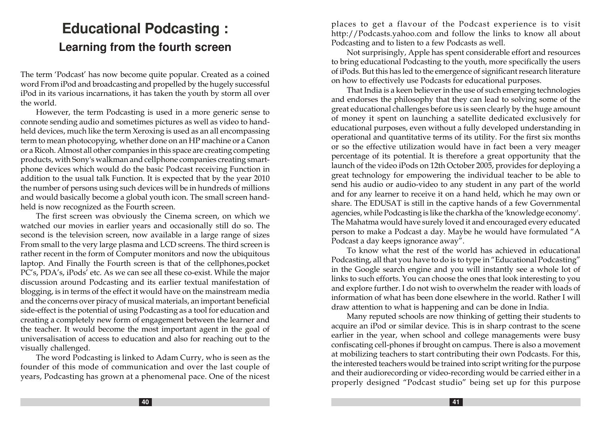# **Educational Podcasting : Learning from the fourth screen**

The term 'Podcast' has now become quite popular. Created as a coined word From iPod and broadcasting and propelled by the hugely successful iPod in its various incarnations, it has taken the youth by storm all over the world.

However, the term Podcasting is used in a more generic sense to connote sending audio and sometimes pictures as well as video to handheld devices, much like the term Xeroxing is used as an all encompassing term to mean photocopying, whether done on an HP machine or a Canon or a Ricoh. Almost all other companies in this space are creating competing products, with Sony's walkman and cellphone companies creating smartphone devices which would do the basic Podcast receiving Function in addition to the usual talk Function. It is expected that by the year 2010 the number of persons using such devices will be in hundreds of millions and would basically become a global youth icon. The small screen handheld is now recognized as the Fourth screen.

The first screen was obviously the Cinema screen, on which we watched our movies in earlier years and occasionally still do so. The second is the television screen, now available in a large range of sizes From small to the very large plasma and LCD screens. The third screen is rather recent in the form of Computer monitors and now the ubiquitous laptop. And Finally the Fourth screen is that of the cellphones,pocket PC's, PDA's, iPods' etc. As we can see all these co-exist. While the major discussion around Podcasting and its earlier textual manifestation of blogging, is in terms of the effect it would have on the mainstream media and the concerns over piracy of musical materials, an important beneficial side-effect is the potential of using Podcasting as a tool for education and creating a completely new form of engagement between the learner and the teacher. It would become the most important agent in the goal of universalisation of access to education and also for reaching out to the visually challenged.

The word Podcasting is linked to Adam Curry, who is seen as the founder of this mode of communication and over the last couple of years, Podcasting has grown at a phenomenal pace. One of the nicest places to get a flavour of the Podcast experience is to visit http://Podcasts.yahoo.com and follow the links to know all about Podcasting and to listen to a few Podcasts as well.

Not surprisingly, Apple has spent considerable effort and resources to bring educational Podcasting to the youth, more specifically the users of iPods. But this has led to the emergence of significant research literature on how to effectively use Podcasts for educational purposes.

That India is a keen believer in the use of such emerging technologies and endorses the philosophy that they can lead to solving some of the great educational challenges before us is seen clearly by the huge amount of money it spent on launching a satellite dedicated exclusively for educational purposes, even without a fully developed understanding in operational and quantitative terms of its utility. For the first six months or so the effective utilization would have in fact been a very meager percentage of its potential. It is therefore a great opportunity that the launch of the video iPods on 12th October 2005, provides for deploying a great technology for empowering the individual teacher to be able to send his audio or audio-video to any student in any part of the world and for any learner to receive it on a hand held, which he may own or share. The EDUSAT is still in the captive hands of a few Governmental agencies, while Podcasting is like the charkha of the 'knowledge economy'. The Mahatma would have surely loved it and encouraged every educated person to make a Podcast a day. Maybe he would have formulated "A Podcast a day keeps ignorance away".

To know what the rest of the world has achieved in educational Podcasting, all that you have to do is to type in "Educational Podcasting" in the Google search engine and you will instantly see a whole lot of links to such efforts. You can choose the ones that look interesting to you and explore further. I do not wish to overwhelm the reader with loads of information of what has been done elsewhere in the world. Rather I will draw attention to what is happening and can be done in India.

Many reputed schools are now thinking of getting their students to acquire an iPod or similar device. This is in sharp contrast to the scene earlier in the year, when school and college managements were busy confiscating cell-phones if brought on campus. There is also a movement at mobilizing teachers to start contributing their own Podcasts. For this, the interested teachers would be trained into script writing for the purpose and their audiorecording or video-recording would be carried either in a properly designed "Podcast studio" being set up for this purpose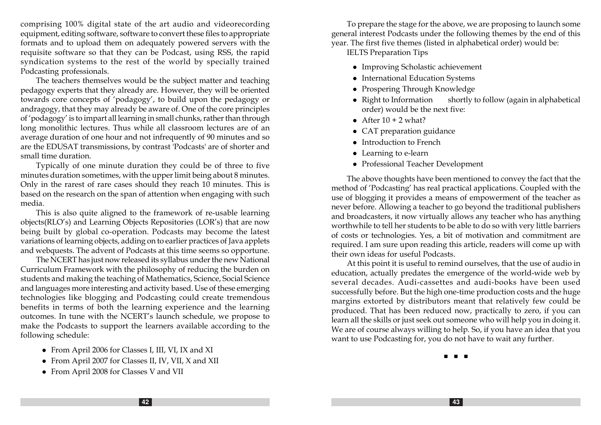comprising 100% digital state of the art audio and videorecording equipment, editing software, software to convert these files to appropriate formats and to upload them on adequately powered servers with the requisite software so that they can be Podcast, using RSS, the rapid syndication systems to the rest of the world by specially trained Podcasting professionals.

The teachers themselves would be the subject matter and teaching pedagogy experts that they already are. However, they will be oriented towards core concepts of 'podagogy', to build upon the pedagogy or andragogy, that they may already be aware of. One of the core principles of 'podagogy' is to impart all learning in small chunks, rather than through long monolithic lectures. Thus while all classroom lectures are of an average duration of one hour and not infrequently of 90 minutes and so are the EDUSAT transmissions, by contrast 'Podcasts' are of shorter and small time duration.

Typically of one minute duration they could be of three to five minutes duration sometimes, with the upper limit being about 8 minutes. Only in the rarest of rare cases should they reach 10 minutes. This is based on the research on the span of attention when engaging with such media.

This is also quite aligned to the framework of re-usable learning objects(RLO's) and Learning Objects Repositories (LOR's) that are now being built by global co-operation. Podcasts may become the latest variations of learning objects, adding on to earlier practices of Java applets and webquests. The advent of Podcasts at this time seems so opportune.

The NCERT has just now released its syllabus under the new National Curriculum Framework with the philosophy of reducing the burden on students and making the teaching of Mathematics, Science, Social Science and languages more interesting and activity based. Use of these emerging technologies like blogging and Podcasting could create tremendous benefits in terms of both the learning experience and the learning outcomes. In tune with the NCERT's launch schedule, we propose to make the Podcasts to support the learners available according to the following schedule:

- From April 2006 for Classes I, III, VI, IX and XI
- From April 2007 for Classes II, IV, VII, X and XII
- <sup>l</sup> From April 2008 for Classes V and VII

To prepare the stage for the above, we are proposing to launch some general interest Podcasts under the following themes by the end of this year. The first five themes (listed in alphabetical order) would be:

IELTS Preparation Tips

- Improving Scholastic achievement
- International Education Systems
- Prospering Through Knowledge
- Right to Information shortly to follow (again in alphabetical order) would be the next five:
- After  $10 + 2$  what?
- CAT preparation guidance
- Introduction to French
- Learning to e-learn
- Professional Teacher Development

The above thoughts have been mentioned to convey the fact that the method of 'Podcasting' has real practical applications. Coupled with the use of blogging it provides a means of empowerment of the teacher as never before. Allowing a teacher to go beyond the traditional publishers and broadcasters, it now virtually allows any teacher who has anything worthwhile to tell her students to be able to do so with very little barriers of costs or technologies. Yes, a bit of motivation and commitment are required. I am sure upon reading this article, readers will come up with their own ideas for useful Podcasts.

At this point it is useful to remind ourselves, that the use of audio in education, actually predates the emergence of the world-wide web by several decades. Audi-cassettes and audi-books have been used successfully before. But the high one-time production costs and the huge margins extorted by distributors meant that relatively few could be produced. That has been reduced now, practically to zero, if you can learn all the skills or just seek out someone who will help you in doing it. We are of course always willing to help. So, if you have an idea that you want to use Podcasting for, you do not have to wait any further.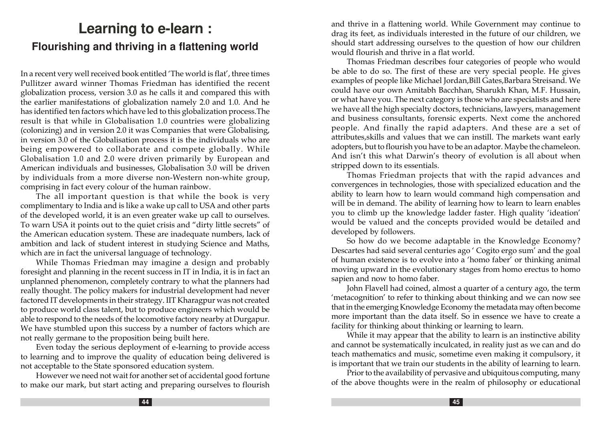# **Learning to e-learn : Flourishing and thriving in a flattening world**

In a recent very well received book entitled 'The world is flat', three times Pullitzer award winner Thomas Friedman has identified the recent globalization process, version 3.0 as he calls it and compared this with the earlier manifestations of globalization namely 2.0 and 1.0. And he has identified ten factors which have led to this globalization process.The result is that while in Globalisation 1.0 countries were globalizing (colonizing) and in version 2.0 it was Companies that were Globalising, in version 3.0 of the Globalisation process it is the individuals who are being empowered to collaborate and compete globally. While Globalisation 1.0 and 2.0 were driven primarily by European and American individuals and businesses, Globalisation 3.0 will be driven by individuals from a more diverse non-Western non-white group, comprising in fact every colour of the human rainbow.

The all important question is that while the book is very complimentary to India and is like a wake up call to USA and other parts of the developed world, it is an even greater wake up call to ourselves. To warn USA it points out to the quiet crisis and "dirty little secrets" of the American education system. These are inadequate numbers, lack of ambition and lack of student interest in studying Science and Maths, which are in fact the universal language of technology.

While Thomas Friedman may imagine a design and probably foresight and planning in the recent success in IT in India, it is in fact an unplanned phenomenon, completely contrary to what the planners had really thought. The policy makers for industrial development had never factored IT developments in their strategy. IIT Kharagpur was not created to produce world class talent, but to produce engineers which would be able to respond to the needs of the locomotive factory nearby at Durgapur. We have stumbled upon this success by a number of factors which are not really germane to the proposition being built here.

Even today the serious deployment of e-learning to provide access to learning and to improve the quality of education being delivered is not acceptable to the State sponsored education system.

However we need not wait for another set of accidental good fortune to make our mark, but start acting and preparing ourselves to flourish and thrive in a flattening world. While Government may continue to drag its feet, as individuals interested in the future of our children, we should start addressing ourselves to the question of how our children would flourish and thrive in a flat world.

Thomas Friedman describes four categories of people who would be able to do so. The first of these are very special people. He gives examples of people like Michael Jordan,Bill Gates,Barbara Streisand. We could have our own Amitabh Bacchhan, Sharukh Khan, M.F. Hussain, or what have you. The next category is those who are specialists and here we have all the high specialty doctors, technicians, lawyers, management and business consultants, forensic experts. Next come the anchored people. And finally the rapid adapters. And these are a set of attributes,skills and values that we can instill. The markets want early adopters, but to flourish you have to be an adaptor. Maybe the chameleon. And isn't this what Darwin's theory of evolution is all about when stripped down to its essentials.

Thomas Friedman projects that with the rapid advances and convergences in technologies, those with specialized education and the ability to learn how to learn would command high compensation and will be in demand. The ability of learning how to learn to learn enables you to climb up the knowledge ladder faster. High quality 'ideation' would be valued and the concepts provided would be detailed and developed by followers.

So how do we become adaptable in the Knowledge Economy? Descartes had said several centuries ago ' Cogito ergo sum' and the goal of human existence is to evolve into a 'homo faber' or thinking animal moving upward in the evolutionary stages from homo erectus to homo sapien and now to homo faber.

John Flavell had coined, almost a quarter of a century ago, the term 'metacognition' to refer to thinking about thinking and we can now see that in the emerging Knowledge Economy the metadata may often become more important than the data itself. So in essence we have to create a facility for thinking about thinking or learning to learn.

While it may appear that the ability to learn is an instinctive ability and cannot be systematically inculcated, in reality just as we can and do teach mathematics and music, sometime even making it compulsory, it is important that we train our students in the ability of learning to learn.

Prior to the availability of pervasive and ubiquitous computing, many of the above thoughts were in the realm of philosophy or educational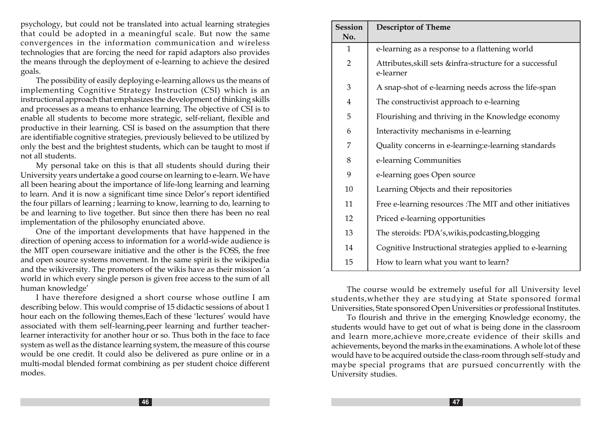psychology, but could not be translated into actual learning strategies that could be adopted in a meaningful scale. But now the same convergences in the information communication and wireless technologies that are forcing the need for rapid adaptors also provides the means through the deployment of e-learning to achieve the desired goals.

The possibility of easily deploying e-learning allows us the means of implementing Cognitive Strategy Instruction (CSI) which is an instructional approach that emphasizes the development of thinking skills and processes as a means to enhance learning. The objective of CSI is to enable all students to become more strategic, self-reliant, flexible and productive in their learning. CSI is based on the assumption that there are identifiable cognitive strategies, previously believed to be utilized by only the best and the brightest students, which can be taught to most if not all students.

My personal take on this is that all students should during their University years undertake a good course on learning to e-learn. We have all been hearing about the importance of life-long learning and learning to learn. And it is now a significant time since Delor's report identified the four pillars of learning ; learning to know, learning to do, learning to be and learning to live together. But since then there has been no real implementation of the philosophy enunciated above.

One of the important developments that have happened in the direction of opening access to information for a world-wide audience is the MIT open courseware initiative and the other is the FOSS, the free and open source systems movement. In the same spirit is the wikipedia and the wikiversity. The promoters of the wikis have as their mission 'a world in which every single person is given free access to the sum of all human knowledge'

I have therefore designed a short course whose outline I am describing below. This would comprise of 15 didactic sessions of about 1 hour each on the following themes,Each of these 'lectures' would have associated with them self-learning,peer learning and further teacherlearner interactivity for another hour or so. Thus both in the face to face system as well as the distance learning system, the measure of this course would be one credit. It could also be delivered as pure online or in a multi-modal blended format combining as per student choice different modes.

| <b>Session</b> | <b>Descriptor of Theme</b>                                            |
|----------------|-----------------------------------------------------------------------|
| No.            |                                                                       |
| 1              | e-learning as a response to a flattening world                        |
| $\overline{2}$ | Attributes, skill sets &infra-structure for a successful<br>e-learner |
| 3              | A snap-shot of e-learning needs across the life-span                  |
| 4              | The constructivist approach to e-learning                             |
| 5              | Flourishing and thriving in the Knowledge economy                     |
| 6              | Interactivity mechanisms in e-learning                                |
| 7              | Quality concerns in e-learning: e-learning standards                  |
| 8              | e-learning Communities                                                |
| 9              | e-learning goes Open source                                           |
| 10             | Learning Objects and their repositories                               |
| 11             | Free e-learning resources : The MIT and other initiatives             |
| 12             | Priced e-learning opportunities                                       |
| 13             | The steroids: PDA's, wikis, podcasting, blogging                      |
| 14             | Cognitive Instructional strategies applied to e-learning              |
| 15             | How to learn what you want to learn?                                  |

The course would be extremely useful for all University level students,whether they are studying at State sponsored formal Universities, State sponsored Open Universities or professional Institutes.

To flourish and thrive in the emerging Knowledge economy, the students would have to get out of what is being done in the classroom and learn more,achieve more,create evidence of their skills and achievements, beyond the marks in the examinations. A whole lot of these would have to be acquired outside the class-room through self-study and maybe special programs that are pursued concurrently with the University studies.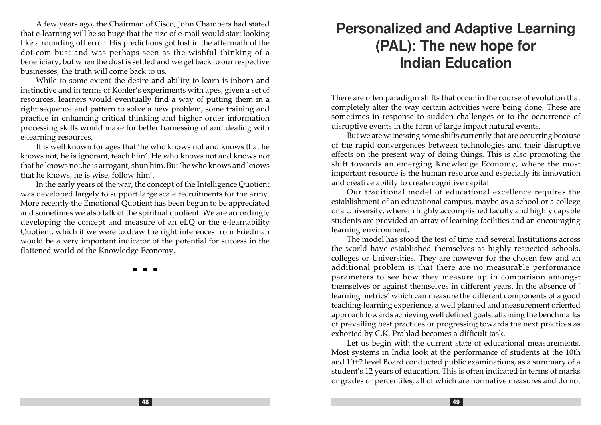A few years ago, the Chairman of Cisco, John Chambers had stated that e-learning will be so huge that the size of e-mail would start looking like a rounding off error. His predictions got lost in the aftermath of the dot-com bust and was perhaps seen as the wishful thinking of a beneficiary, but when the dust is settled and we get back to our respective businesses, the truth will come back to us.

While to some extent the desire and ability to learn is inborn and instinctive and in terms of Kohler's experiments with apes, given a set of resources, learners would eventually find a way of putting them in a right sequence and pattern to solve a new problem, some training and practice in enhancing critical thinking and higher order information processing skills would make for better harnessing of and dealing with e-learning resources.

It is well known for ages that 'he who knows not and knows that he knows not, he is ignorant, teach him'. He who knows not and knows not that he knows not,he is arrogant, shun him. But 'he who knows and knows that he knows, he is wise, follow him'.

In the early years of the war, the concept of the Intelligence Quotient was developed largely to support large scale recruitments for the army. More recently the Emotional Quotient has been begun to be appreciated and sometimes we also talk of the spiritual quotient. We are accordingly developing the concept and measure of an eLQ or the e-learnability Quotient, which if we were to draw the right inferences from Friedman would be a very important indicator of the potential for success in the flattened world of the Knowledge Economy.

n n n

# **Personalized and Adaptive Learning (PAL): The new hope for Indian Education**

There are often paradigm shifts that occur in the course of evolution that completely alter the way certain activities were being done. These are sometimes in response to sudden challenges or to the occurrence of disruptive events in the form of large impact natural events.

But we are witnessing some shifts currently that are occurring because of the rapid convergences between technologies and their disruptive effects on the present way of doing things. This is also promoting the shift towards an emerging Knowledge Economy, where the most important resource is the human resource and especially its innovation and creative ability to create cognitive capital.

Our traditional model of educational excellence requires the establishment of an educational campus, maybe as a school or a college or a University, wherein highly accomplished faculty and highly capable students are provided an array of learning facilities and an encouraging learning environment.

The model has stood the test of time and several Institutions across the world have established themselves as highly respected schools, colleges or Universities. They are however for the chosen few and an additional problem is that there are no measurable performance parameters to see how they measure up in comparison amongst themselves or against themselves in different years. In the absence of ' learning metrics' which can measure the different components of a good teaching-learning experience, a well planned and measurement oriented approach towards achieving well defined goals, attaining the benchmarks of prevailing best practices or progressing towards the next practices as exhorted by C.K. Prahlad becomes a difficult task.

Let us begin with the current state of educational measurements. Most systems in India look at the performance of students at the 10th and 10+2 level Board conducted public examinations, as a summary of a student's 12 years of education. This is often indicated in terms of marks or grades or percentiles, all of which are normative measures and do not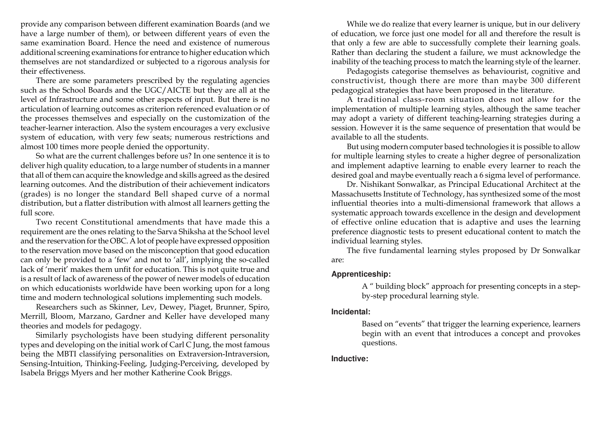provide any comparison between different examination Boards (and we have a large number of them), or between different years of even the same examination Board. Hence the need and existence of numerous additional screening examinations for entrance to higher education which themselves are not standardized or subjected to a rigorous analysis for their effectiveness.

There are some parameters prescribed by the regulating agencies such as the School Boards and the UGC/AICTE but they are all at the level of Infrastructure and some other aspects of input. But there is no articulation of learning outcomes as criterion referenced evaluation or of the processes themselves and especially on the customization of the teacher-learner interaction. Also the system encourages a very exclusive system of education, with very few seats; numerous restrictions and almost 100 times more people denied the opportunity.

So what are the current challenges before us? In one sentence it is to deliver high quality education, to a large number of students in a manner that all of them can acquire the knowledge and skills agreed as the desired learning outcomes. And the distribution of their achievement indicators (grades) is no longer the standard Bell shaped curve of a normal distribution, but a flatter distribution with almost all learners getting the full score.

Two recent Constitutional amendments that have made this a requirement are the ones relating to the Sarva Shiksha at the School level and the reservation for the OBC. A lot of people have expressed opposition to the reservation move based on the misconception that good education can only be provided to a 'few' and not to 'all', implying the so-called lack of 'merit' makes them unfit for education. This is not quite true and is a result of lack of awareness of the power of newer models of education on which educationists worldwide have been working upon for a long time and modern technological solutions implementing such models.

Researchers such as Skinner, Lev, Dewey, Piaget, Brunner, Spiro, Merrill, Bloom, Marzano, Gardner and Keller have developed many theories and models for pedagogy.

Similarly psychologists have been studying different personality types and developing on the initial work of Carl C Jung, the most famous being the MBTI classifying personalities on Extraversion-Intraversion, Sensing-Intuition, Thinking-Feeling, Judging-Perceiving, developed by Isabela Briggs Myers and her mother Katherine Cook Briggs.

While we do realize that every learner is unique, but in our delivery of education, we force just one model for all and therefore the result is that only a few are able to successfully complete their learning goals. Rather than declaring the student a failure, we must acknowledge the inability of the teaching process to match the learning style of the learner.

Pedagogists categorise themselves as behaviourist, cognitive and constructivist, though there are more than maybe 300 different pedagogical strategies that have been proposed in the literature.

A traditional class-room situation does not allow for the implementation of multiple learning styles, although the same teacher may adopt a variety of different teaching-learning strategies during a session. However it is the same sequence of presentation that would be available to all the students.

But using modern computer based technologies it is possible to allow for multiple learning styles to create a higher degree of personalization and implement adaptive learning to enable every learner to reach the desired goal and maybe eventually reach a 6 sigma level of performance.

Dr. Nishikant Sonwalkar, as Principal Educational Architect at the Massachusetts Institute of Technology, has synthesized some of the most influential theories into a multi-dimensional framework that allows a systematic approach towards excellence in the design and development of effective online education that is adaptive and uses the learning preference diagnostic tests to present educational content to match the individual learning styles.

The five fundamental learning styles proposed by Dr Sonwalkar are:

#### **Apprenticeship:**

A " building block" approach for presenting concepts in a stepby-step procedural learning style.

#### **Incidental:**

Based on "events" that trigger the learning experience, learners begin with an event that introduces a concept and provokes questions.

#### **Inductive:**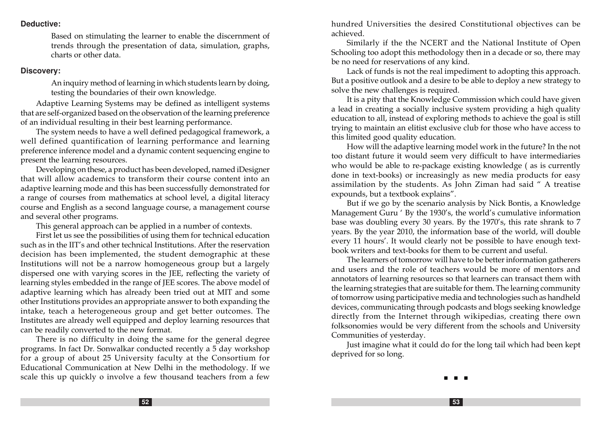#### **Deductive:**

Based on stimulating the learner to enable the discernment of trends through the presentation of data, simulation, graphs, charts or other data.

#### **Discovery:**

An inquiry method of learning in which students learn by doing, testing the boundaries of their own knowledge.

Adaptive Learning Systems may be defined as intelligent systems that are self-organized based on the observation of the learning preference of an individual resulting in their best learning performance.

The system needs to have a well defined pedagogical framework, a well defined quantification of learning performance and learning preference inference model and a dynamic content sequencing engine to present the learning resources.

Developing on these, a product has been developed, named iDesigner that will allow academics to transform their course content into an adaptive learning mode and this has been successfully demonstrated for a range of courses from mathematics at school level, a digital literacy course and English as a second language course, a management course and several other programs.

This general approach can be applied in a number of contexts.

First let us see the possibilities of using them for technical education such as in the IIT's and other technical Institutions. After the reservation decision has been implemented, the student demographic at these Institutions will not be a narrow homogeneous group but a largely dispersed one with varying scores in the JEE, reflecting the variety of learning styles embedded in the range of JEE scores. The above model of adaptive learning which has already been tried out at MIT and some other Institutions provides an appropriate answer to both expanding the intake, teach a heterogeneous group and get better outcomes. The Institutes are already well equipped and deploy learning resources that can be readily converted to the new format.

There is no difficulty in doing the same for the general degree programs. In fact Dr. Sonwalkar conducted recently a 5 day workshop for a group of about 25 University faculty at the Consortium for Educational Communication at New Delhi in the methodology. If we scale this up quickly o involve a few thousand teachers from a few hundred Universities the desired Constitutional objectives can be achieved.

Similarly if the the NCERT and the National Institute of Open Schooling too adopt this methodology then in a decade or so, there may be no need for reservations of any kind.

Lack of funds is not the real impediment to adopting this approach. But a positive outlook and a desire to be able to deploy a new strategy to solve the new challenges is required.

It is a pity that the Knowledge Commission which could have given a lead in creating a socially inclusive system providing a high quality education to all, instead of exploring methods to achieve the goal is still trying to maintain an elitist exclusive club for those who have access to this limited good quality education.

How will the adaptive learning model work in the future? In the not too distant future it would seem very difficult to have intermediaries who would be able to re-package existing knowledge ( as is currently done in text-books) or increasingly as new media products for easy assimilation by the students. As John Ziman had said " A treatise expounds, but a textbook explains".

But if we go by the scenario analysis by Nick Bontis, a Knowledge Management Guru ' By the 1930's, the world's cumulative information base was doubling every 30 years. By the 1970's, this rate shrank to 7 years. By the year 2010, the information base of the world, will double every 11 hours'. It would clearly not be possible to have enough textbook writers and text-books for them to be current and useful.

The learners of tomorrow will have to be better information gatherers and users and the role of teachers would be more of mentors and annotators of learning resources so that learners can transact them with the learning strategies that are suitable for them. The learning community of tomorrow using participative media and technologies such as handheld devices, communicating through podcasts and blogs seeking knowledge directly from the Internet through wikipedias, creating there own folksonomies would be very different from the schools and University Communities of yesterday.

Just imagine what it could do for the long tail which had been kept deprived for so long.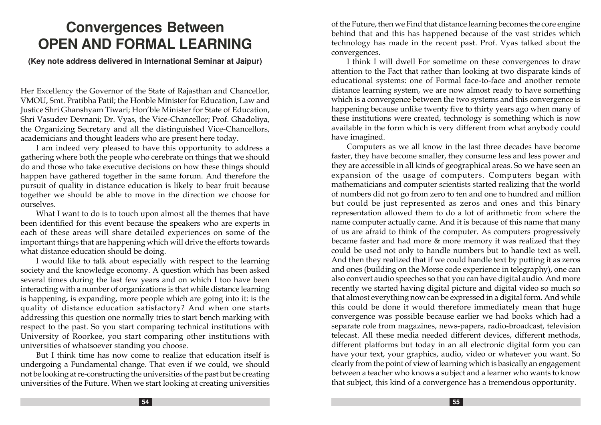# **Convergences Between OPEN AND FORMAL LEARNING**

**(Key note address delivered in International Seminar at Jaipur)**

Her Excellency the Governor of the State of Rajasthan and Chancellor, VMOU, Smt. Pratibha Patil; the Honble Minister for Education, Law and Justice Shri Ghanshyam Tiwari; Hon'ble Minister for State of Education, Shri Vasudev Devnani; Dr. Vyas, the Vice-Chancellor; Prof. Ghadoliya, the Organizing Secretary and all the distinguished Vice-Chancellors, academicians and thought leaders who are present here today.

I am indeed very pleased to have this opportunity to address a gathering where both the people who cerebrate on things that we should do and those who take executive decisions on how these things should happen have gathered together in the same forum. And therefore the pursuit of quality in distance education is likely to bear fruit because together we should be able to move in the direction we choose for ourselves.

What I want to do is to touch upon almost all the themes that have been identified for this event because the speakers who are experts in each of these areas will share detailed experiences on some of the important things that are happening which will drive the efforts towards what distance education should be doing.

I would like to talk about especially with respect to the learning society and the knowledge economy. A question which has been asked several times during the last few years and on which I too have been interacting with a number of organizations is that while distance learning is happening, is expanding, more people which are going into it: is the quality of distance education satisfactory? And when one starts addressing this question one normally tries to start bench marking with respect to the past. So you start comparing technical institutions with University of Roorkee, you start comparing other institutions with universities of whatsoever standing you choose.

But I think time has now come to realize that education itself is undergoing a Fundamental change. That even if we could, we should not be looking at re-constructing the universities of the past but be creating universities of the Future. When we start looking at creating universities

of the Future, then we Find that distance learning becomes the core engine behind that and this has happened because of the vast strides which technology has made in the recent past. Prof. Vyas talked about the convergences.

I think I will dwell For sometime on these convergences to draw attention to the Fact that rather than looking at two disparate kinds of educational systems: one of Formal face-to-face and another remote distance learning system, we are now almost ready to have something which is a convergence between the two systems and this convergence is happening because unlike twenty five to thirty years ago when many of these institutions were created, technology is something which is now available in the form which is very different from what anybody could have imagined.

Computers as we all know in the last three decades have become faster, they have become smaller, they consume less and less power and they are accessible in all kinds of geographical areas. So we have seen an expansion of the usage of computers. Computers began with mathematicians and computer scientists started realizing that the world of numbers did not go from zero to ten and one to hundred and million but could be just represented as zeros and ones and this binary representation allowed them to do a lot of arithmetic from where the name computer actually came. And it is because of this name that many of us are afraid to think of the computer. As computers progressively became faster and had more & more memory it was realized that they could be used not only to handle numbers but to handle text as well. And then they realized that if we could handle text by putting it as zeros and ones (building on the Morse code experience in telegraphy), one can also convert audio speeches so that you can have digital audio. And more recently we started having digital picture and digital video so much so that almost everything now can be expressed in a digital form. And while this could be done it would therefore immediately mean that huge convergence was possible because earlier we had books which had a separate role from magazines, news-papers, radio-broadcast, television telecast. All these media needed different devices, different methods, different platforms but today in an all electronic digital form you can have your text, your graphics, audio, video or whatever you want. So clearly from the point of view of learning which is basically an engagement between a teacher who knows a subject and a learner who wants to know that subject, this kind of a convergence has a tremendous opportunity.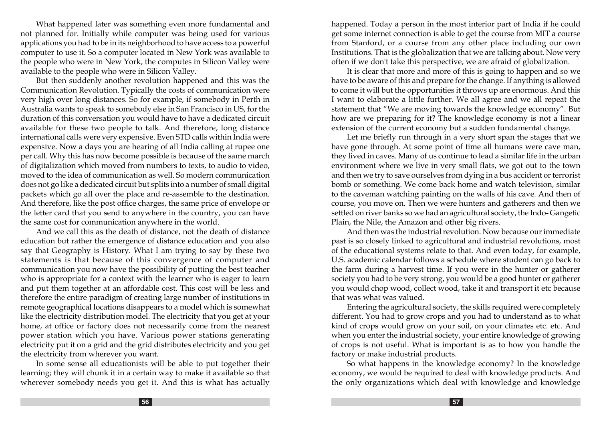What happened later was something even more fundamental and not planned for. Initially while computer was being used for various applications you had to be in its neighborhood to have access to a powerful computer to use it. So a computer located in New York was available to the people who were in New York, the computes in Silicon Valley were available to the people who were in Silicon Valley.

But then suddenly another revolution happened and this was the Communication Revolution. Typically the costs of communication were very high over long distances. So for example, if somebody in Perth in Australia wants to speak to somebody else in San Francisco in US, for the duration of this conversation you would have to have a dedicated circuit available for these two people to talk. And therefore, long distance international calls were very expensive. Even STD calls within India were expensive. Now a days you are hearing of all India calling at rupee one per call. Why this has now become possible is because of the same march of digitalization which moved from numbers to texts, to audio to video, moved to the idea of communication as well. So modern communication does not go like a dedicated circuit but splits into a number of small digital packets which go all over the place and re-assemble to the destination. And therefore, like the post office charges, the same price of envelope or the letter card that you send to anywhere in the country, you can have the same cost for communication anywhere in the world.

And we call this as the death of distance, not the death of distance education but rather the emergence of distance education and you also say that Geography is History. What I am trying to say by these two statements is that because of this convergence of computer and communication you now have the possibility of putting the best teacher who is appropriate for a context with the learner who is eager to learn and put them together at an affordable cost. This cost will be less and therefore the entire paradigm of creating large number of institutions in remote geographical locations disappears to a model which is somewhat like the electricity distribution model. The electricity that you get at your home, at office or factory does not necessarily come from the nearest power station which you have. Various power stations generating electricity put it on a grid and the grid distributes electricity and you get the electricity from wherever you want.

In some sense all educationists will be able to put together their learning; they will chunk it in a certain way to make it available so that wherever somebody needs you get it. And this is what has actually

happened. Today a person in the most interior part of India if he could get some internet connection is able to get the course from MIT a course from Stanford, or a course from any other place including our own Institutions. That is the globalization that we are talking about. Now very often if we don't take this perspective, we are afraid of globalization.

It is clear that more and more of this is going to happen and so we have to be aware of this and prepare for the change. If anything is allowed to come it will but the opportunities it throws up are enormous. And this I want to elaborate a little further. We all agree and we all repeat the statement that "We are moving towards the knowledge economy". But how are we preparing for it? The knowledge economy is not a linear extension of the current economy but a sudden fundamental change.

Let me briefly run through in a very short span the stages that we have gone through. At some point of time all humans were cave man, they lived in caves. Many of us continue to lead a similar life in the urban environment where we live in very small flats, we got out to the town and then we try to save ourselves from dying in a bus accident or terrorist bomb or something. We come back home and watch television, similar to the caveman watching painting on the walls of his cave. And then of course, you move on. Then we were hunters and gatherers and then we settled on river banks so we had an agricultural society, the Indo- Gangetic Plain, the Nile, the Amazon and other big rivers.

And then was the industrial revolution. Now because our immediate past is so closely linked to agricultural and industrial revolutions, most of the educational systems relate to that. And even today, for example, U.S. academic calendar follows a schedule where student can go back to the farm during a harvest time. If you were in the hunter or gatherer society you had to be very strong, you would be a good hunter or gatherer you would chop wood, collect wood, take it and transport it etc because that was what was valued.

Entering the agricultural society, the skills required were completely different. You had to grow crops and you had to understand as to what kind of crops would grow on your soil, on your climates etc. etc. And when you enter the industrial society, your entire knowledge of growing of crops is not useful. What is important is as to how you handle the factory or make industrial products.

So what happens in the knowledge economy? In the knowledge economy, we would be required to deal with knowledge products. And the only organizations which deal with knowledge and knowledge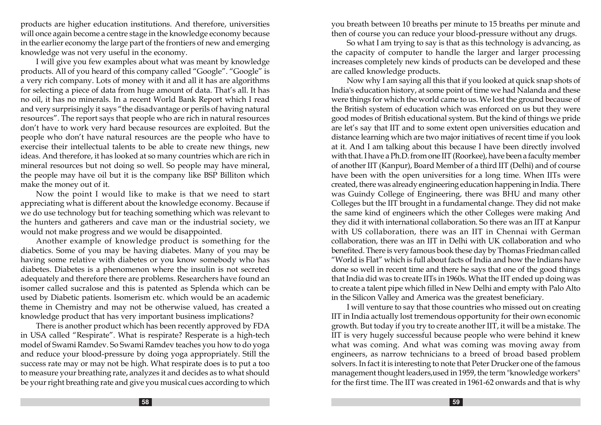products are higher education institutions. And therefore, universities will once again become a centre stage in the knowledge economy because in the earlier economy the large part of the frontiers of new and emerging knowledge was not very useful in the economy.

I will give you few examples about what was meant by knowledge products. All of you heard of this company called "Google". "Google" is a very rich company. Lots of money with it and all it has are algorithms for selecting a piece of data from huge amount of data. That's all. It has no oil, it has no minerals. In a recent World Bank Report which I read and very surprisingly it says "the disadvantage or perils of having natural resources". The report says that people who are rich in natural resources don't have to work very hard because resources are exploited. But the people who don't have natural resources are the people who have to exercise their intellectual talents to be able to create new things, new ideas. And therefore, it has looked at so many countries which are rich in mineral resources but not doing so well. So people may have mineral, the people may have oil but it is the company like BSP Billiton which make the money out of it.

Now the point I would like to make is that we need to start appreciating what is different about the knowledge economy. Because if we do use technology but for teaching something which was relevant to the hunters and gatherers and cave man or the industrial society, we would not make progress and we would be disappointed.

Another example of knowledge product is something for the diabetics. Some of you may be having diabetes. Many of you may be having some relative with diabetes or you know somebody who has diabetes. Diabetes is a phenomenon where the insulin is not secreted adequately and therefore there are problems. Researchers have found an isomer called sucralose and this is patented as Splenda which can be used by Diabetic patients. Isomerism etc. which would be an academic theme in Chemistry and may not be otherwise valued, has created a knowledge product that has very important business implications?

There is another product which has been recently approved by FDA in USA called "Respirate". What is respirate? Resperate is a high-tech model of Swami Ramdev. So Swami Ramdev teaches you how to do yoga and reduce your blood-pressure by doing yoga appropriately. Still the success rate may or may not be high. What respirate does is to put a too to measure your breathing rate, analyzes it and decides as to what should be your right breathing rate and give you musical cues according to which you breath between 10 breaths per minute to 15 breaths per minute and then of course you can reduce your blood-pressure without any drugs.

So what I am trying to say is that as this technology is advancing, as the capacity of computer to handle the larger and larger processing increases completely new kinds of products can be developed and these are called knowledge products.

Now why I am saying all this that if you looked at quick snap shots of India's education history, at some point of time we had Nalanda and these were things for which the world came to us. We lost the ground because of the British system of education which was enforced on us but they were good modes of British educational system. But the kind of things we pride are let's say that IIT and to some extent open universities education and distance learning which are two major initiatives of recent time if you look at it. And I am talking about this because I have been directly involved with that. I have a Ph.D. from one IIT (Roorkee), have been a faculty member of another IIT (Kanpur), Board Member of a third IIT (Delhi) and of course have been with the open universities for a long time. When IITs were created, there was already engineering education happening in India. There was Guindy College of Engineering, there was BHU and many other Colleges but the IIT brought in a fundamental change. They did not make the same kind of engineers which the other Colleges were making And they did it with international collaboration. So there was an IIT at Kanpur with US collaboration, there was an IIT in Chennai with German collaboration, there was an IIT in Delhi with UK collaboration and who benefited. There is very famous book these day by Thomas Friedman called "World is Flat" which is full about facts of India and how the Indians have done so well in recent time and there he says that one of the good things that India did was to create IITs in 1960s. What the IIT ended up doing was to create a talent pipe which filled in New Delhi and empty with Palo Alto in the Silicon Valley and America was the greatest beneficiary.

I will venture to say that those countries who missed out on creating IIT in India actually lost tremendous opportunity for their own economic growth. But today if you try to create another IIT, it will be a mistake. The IIT is very hugely successful because people who were behind it knew what was coming. And what was coming was moving away from engineers, as narrow technicians to a breed of broad based problem solvers. In fact it is interesting to note that Peter Drucker one of the famous management thought leaders,used in 1959, the term "knowledge workers" for the first time. The IIT was created in 1961-62 onwards and that is why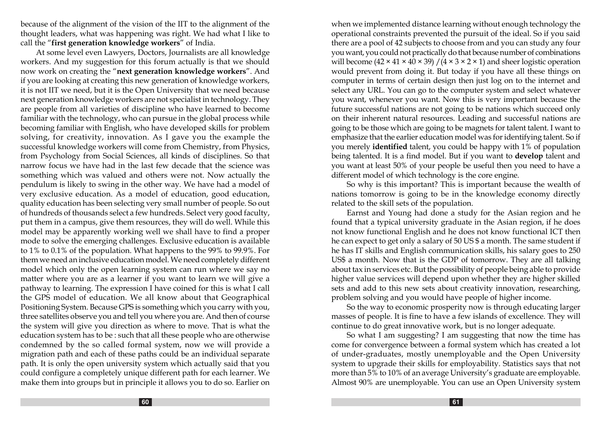because of the alignment of the vision of the IIT to the alignment of the thought leaders, what was happening was right. We had what I like to call the "first generation knowledge workers" of India.

At some level even Lawyers, Doctors, Journalists are all knowledge workers. And my suggestion for this forum actually is that we should now work on creating the "next generation knowledge workers". And if you are looking at creating this new generation of knowledge workers, it is not IIT we need, but it is the Open University that we need because next generation knowledge workers are not specialist in technology. They are people from all varieties of discipline who have learned to become familiar with the technology, who can pursue in the global process while becoming familiar with English, who have developed skills for problem solving, for creativity, innovation. As I gave you the example the successful knowledge workers will come from Chemistry, from Physics, from Psychology from Social Sciences, all kinds of disciplines. So that narrow focus we have had in the last few decade that the science was something which was valued and others were not. Now actually the pendulum is likely to swing in the other way. We have had a model of very exclusive education. As a model of education, good education, quality education has been selecting very small number of people. So out of hundreds of thousands select a few hundreds. Select very good faculty, put them in a campus, give them resources, they will do well. While this model may be apparently working well we shall have to find a proper mode to solve the emerging challenges. Exclusive education is available to 1% to 0.1% of the population. What happens to the 99% to 99.9%. For them we need an inclusive education model. We need completely different model which only the open learning system can run where we say no matter where you are as a learner if you want to learn we will give a pathway to learning. The expression I have coined for this is what I call the GPS model of education. We all know about that Geographical Positioning System. Because GPS is something which you carry with you, three satellites observe you and tell you where you are. And then of course the system will give you direction as where to move. That is what the education system has to be : such that all these people who are otherwise condemned by the so called formal system, now we will provide a migration path and each of these paths could be an individual separate path. It is only the open university system which actually said that you could configure a completely unique different path for each learner. We make them into groups but in principle it allows you to do so. Earlier on

when we implemented distance learning without enough technology the operational constraints prevented the pursuit of the ideal. So if you said there are a pool of 42 subjects to choose from and you can study any four you want, you could not practically do that because number of combinations will become  $(42 \times 41 \times 40 \times 39) / (4 \times 3 \times 2 \times 1)$  and sheer logistic operation would prevent from doing it. But today if you have all these things on computer in terms of certain design then just log on to the internet and select any URL. You can go to the computer system and select whatever you want, whenever you want. Now this is very important because the future successful nations are not going to be nations which succeed only on their inherent natural resources. Leading and successful nations are going to be those which are going to be magnets for talent talent. I want to emphasize that the earlier education model was for identifying talent. So if you merely identified talent, you could be happy with 1% of population being talented. It is a find model. But if you want to develop talent and you want at least 50% of your people be useful then you need to have a different model of which technology is the core engine.

So why is this important? This is important because the wealth of nations tomorrow is going to be in the knowledge economy directly related to the skill sets of the population.

Earnst and Young had done a study for the Asian region and he found that a typical university graduate in the Asian region, if he does not know functional English and he does not know functional ICT then he can expect to get only a salary of 50 US \$ a month. The same student if he has IT skills and English communication skills, his salary goes to 250 US\$ a month. Now that is the GDP of tomorrow. They are all talking about tax in services etc. But the possibility of people being able to provide higher value services will depend upon whether they are higher skilled sets and add to this new sets about creativity innovation, researching, problem solving and you would have people of higher income.

So the way to economic prosperity now is through educating larger masses of people. It is fine to have a few islands of excellence. They will continue to do great innovative work, but is no longer adequate.

So what I am suggesting? I am suggesting that now the time has come for convergence between a formal system which has created a lot of under-graduates, mostly unemployable and the Open University system to upgrade their skills for employability. Statistics says that not more than 5% to 10% of an average University's graduate are employable. Almost 90% are unemployable. You can use an Open University system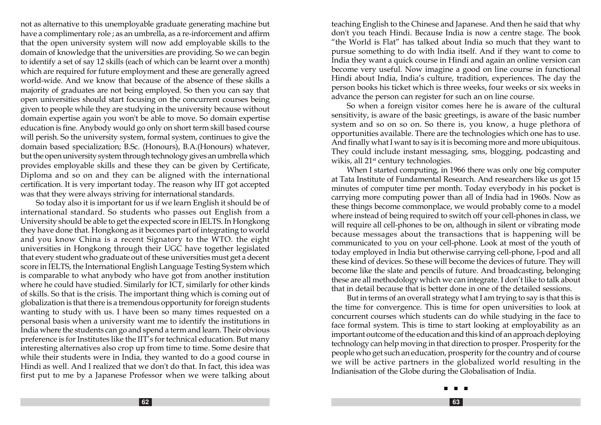not as alternative to this unemployable graduate generating machine but have a complimentary role ; as an umbrella, as a re-inforcement and affirm that the open university system will now add employable skills to the domain of knowledge that the universities are providing. So we can begin to identify a set of say 12 skills (each of which can be learnt over a month) which are required for future employment and these are generally agreed world-wide. And we know that because of the absence of these skills a majority of graduates are not being employed. So then you can say that open universities should start focusing on the concurrent courses being given to people while they are studying in the university because without domain expertise again you won't be able to move. So domain expertise education is fine. Anybody would go only on short term skill based course will perish. So the university system, formal system, continues to give the domain based specialization; B.Sc. (Honours), B.A.(Honours) whatever, but the open university system through technology gives an umbrella which provides employable skills and these they can be given by Certificate, Diploma and so on and they can be aligned with the international certification. It is very important today. The reason why IIT got accepted was that they were always striving for international standards.

So today also it is important for us if we learn English it should be of international standard. So students who passes out English from a University should be able to get the expected score in IELTS. In Hongkong they have done that. Hongkong as it becomes part of integrating to world and you know China is a recent Signatory to the WTO. the eight universities in Hongkong through their UGC have together legislated that every student who graduate out of these universities must get a decent score in IELTS, the International English Language Testing System which is comparable to what anybody who have got from another institution where he could have studied. Similarly for ICT, similarly for other kinds of skills. So that is the crisis. The important thing which is coming out of globalization is that there is a tremendous opportunity for foreign students wanting to study with us. I have been so many times requested on a personal basis when a university want me to identify the institutions in India where the students can go and spend a term and learn. Their obvious preference is for Institutes like the IIT's for technical education. But many interesting alternatives also crop up from time to time. Some desire that while their students were in India, they wanted to do a good course in Hindi as well. And I realized that we don't do that. In fact, this idea was first put to me by a Japanese Professor when we were talking about

teaching English to the Chinese and Japanese. And then he said that why don't you teach Hindi. Because India is now a centre stage. The book "the World is Flat" has talked about India so much that they want to pursue something to do with India itself. And if they want to come to India they want a quick course in Hindi and again an online version can become very useful. Now imagine a good on line course in functional Hindi about India, India's culture, tradition, experiences. The day the person books his ticket which is three weeks, four weeks or six weeks in advance the person can register for such an on line course.

So when a foreign visitor comes here he is aware of the cultural sensitivity, is aware of the basic greetings, is aware of the basic number system and so on so on. So there is, you know, a huge plethora of opportunities available. There are the technologies which one has to use. And finally what I want to say is it is becoming more and more ubiquitous. They could include instant messaging, sms, blogging, podcasting and wikis, all 21<sup>st</sup> century technologies.

When I started computing, in 1966 there was only one big computer at Tata Institute of Fundamental Research. And researchers like us got 15 minutes of computer time per month. Today everybody in his pocket is carrying more computing power than all of India had in 1960s. Now as these things become commonplace, we would probably come to a model where instead of being required to switch off your cell-phones in class, we will require all cell-phones to be on, although in silent or vibrating mode because messages about the transactions that is happening will be communicated to you on your cell-phone. Look at most of the youth of today employed in India but otherwise carrying cell-phone, l-pod and all these kind of devices. So these will become the devices of future. They will become like the slate and pencils of future. And broadcasting, belonging these are all methodology which we can integrate. I don't like to talk about that in detail because that is better done in one of the detailed sessions.

But in terms of an overall strategy what I am trying to say is that this is the time for convergence. This is time for open universities to look at concurrent courses which students can do while studying in the face to face formal system. This is time to start looking at employability as an important outcome of the education and this kind of an approach deploying technology can help moving in that direction to prosper. Prosperity for the people who get such an education, prosperity for the country and of course we will be active partners in the globalized world resulting in the Indianisation of the Globe during the Globalisation of India.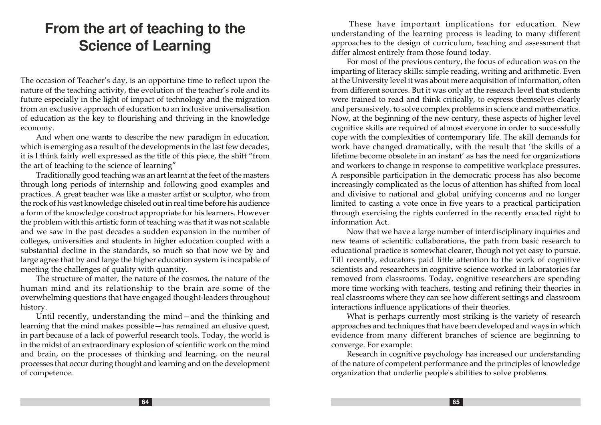# **From the art of teaching to the Science of Learning**

The occasion of Teacher's day, is an opportune time to reflect upon the nature of the teaching activity, the evolution of the teacher's role and its future especially in the light of impact of technology and the migration from an exclusive approach of education to an inclusive universalisation of education as the key to flourishing and thriving in the knowledge economy.

And when one wants to describe the new paradigm in education, which is emerging as a result of the developments in the last few decades, it is I think fairly well expressed as the title of this piece, the shift "from the art of teaching to the science of learning"

Traditionally good teaching was an art learnt at the feet of the masters through long periods of internship and following good examples and practices. A great teacher was like a master artist or sculptor, who from the rock of his vast knowledge chiseled out in real time before his audience a form of the knowledge construct appropriate for his learners. However the problem with this artistic form of teaching was that it was not scalable and we saw in the past decades a sudden expansion in the number of colleges, universities and students in higher education coupled with a substantial decline in the standards, so much so that now we by and large agree that by and large the higher education system is incapable of meeting the challenges of quality with quantity.

The structure of matter, the nature of the cosmos, the nature of the human mind and its relationship to the brain are some of the overwhelming questions that have engaged thought-leaders throughout history.

Until recently, understanding the mind—and the thinking and learning that the mind makes possible—has remained an elusive quest, in part because of a lack of powerful research tools. Today, the world is in the midst of an extraordinary explosion of scientific work on the mind and brain, on the processes of thinking and learning, on the neural processes that occur during thought and learning and on the development of competence.

 These have important implications for education. New understanding of the learning process is leading to many different approaches to the design of curriculum, teaching and assessment that differ almost entirely from those found today.

For most of the previous century, the focus of education was on the imparting of literacy skills: simple reading, writing and arithmetic. Even at the University level it was about mere acquisition of information, often from different sources. But it was only at the research level that students were trained to read and think critically, to express themselves clearly and persuasively, to solve complex problems in science and mathematics. Now, at the beginning of the new century, these aspects of higher level cognitive skills are required of almost everyone in order to successfully cope with the complexities of contemporary life. The skill demands for work have changed dramatically, with the result that 'the skills of a lifetime become obsolete in an instant' as has the need for organizations and workers to change in response to competitive workplace pressures. A responsible participation in the democratic process has also become increasingly complicated as the locus of attention has shifted from local and divisive to national and global unifying concerns and no longer limited to casting a vote once in five years to a practical participation through exercising the rights conferred in the recently enacted right to information Act.

Now that we have a large number of interdisciplinary inquiries and new teams of scientific collaborations, the path from basic research to educational practice is somewhat clearer, though not yet easy to pursue. Till recently, educators paid little attention to the work of cognitive scientists and researchers in cognitive science worked in laboratories far removed from classrooms. Today, cognitive researchers are spending more time working with teachers, testing and refining their theories in real classrooms where they can see how different settings and classroom interactions influence applications of their theories.

What is perhaps currently most striking is the variety of research approaches and techniques that have been developed and ways in which evidence from many different branches of science are beginning to converge. For example:

Research in cognitive psychology has increased our understanding of the nature of competent performance and the principles of knowledge organization that underlie people's abilities to solve problems.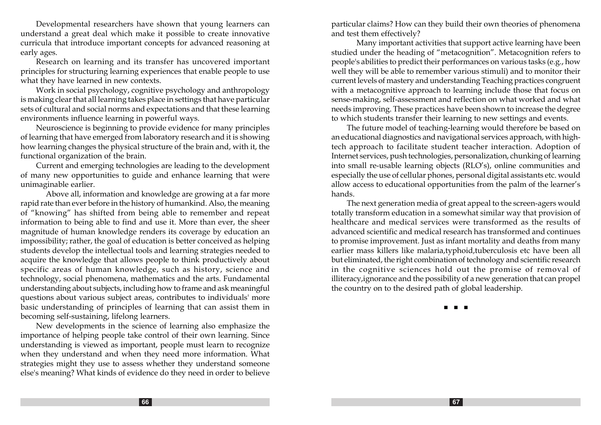Developmental researchers have shown that young learners can understand a great deal which make it possible to create innovative curricula that introduce important concepts for advanced reasoning at early ages.

Research on learning and its transfer has uncovered important principles for structuring learning experiences that enable people to use what they have learned in new contexts.

Work in social psychology, cognitive psychology and anthropology is making clear that all learning takes place in settings that have particular sets of cultural and social norms and expectations and that these learning environments influence learning in powerful ways.

Neuroscience is beginning to provide evidence for many principles of learning that have emerged from laboratory research and it is showing how learning changes the physical structure of the brain and, with it, the functional organization of the brain.

Current and emerging technologies are leading to the development of many new opportunities to guide and enhance learning that were unimaginable earlier.

 Above all, information and knowledge are growing at a far more rapid rate than ever before in the history of humankind. Also, the meaning of "knowing" has shifted from being able to remember and repeat information to being able to find and use it. More than ever, the sheer magnitude of human knowledge renders its coverage by education an impossibility; rather, the goal of education is better conceived as helping students develop the intellectual tools and learning strategies needed to acquire the knowledge that allows people to think productively about specific areas of human knowledge, such as history, science and technology, social phenomena, mathematics and the arts. Fundamental understanding about subjects, including how to frame and ask meaningful questions about various subject areas, contributes to individuals' more basic understanding of principles of learning that can assist them in becoming self-sustaining, lifelong learners.

New developments in the science of learning also emphasize the importance of helping people take control of their own learning. Since understanding is viewed as important, people must learn to recognize when they understand and when they need more information. What strategies might they use to assess whether they understand someone else's meaning? What kinds of evidence do they need in order to believe particular claims? How can they build their own theories of phenomena and test them effectively?

 Many important activities that support active learning have been studied under the heading of "metacognition". Metacognition refers to people's abilities to predict their performances on various tasks (e.g., how well they will be able to remember various stimuli) and to monitor their current levels of mastery and understanding Teaching practices congruent with a metacognitive approach to learning include those that focus on sense-making, self-assessment and reflection on what worked and what needs improving. These practices have been shown to increase the degree to which students transfer their learning to new settings and events.

The future model of teaching-learning would therefore be based on an educational diagnostics and navigational services approach, with hightech approach to facilitate student teacher interaction. Adoption of Internet services, push technologies, personalization, chunking of learning into small re-usable learning objects (RLO's), online communities and especially the use of cellular phones, personal digital assistants etc. would allow access to educational opportunities from the palm of the learner's hands.

The next generation media of great appeal to the screen-agers would totally transform education in a somewhat similar way that provision of healthcare and medical services were transformed as the results of advanced scientific and medical research has transformed and continues to promise improvement. Just as infant mortality and deaths from many earlier mass killers like malaria,typhoid,tuberculosis etc have been all but eliminated, the right combination of technology and scientific research in the cognitive sciences hold out the promise of removal of illiteracy,ignorance and the possibility of a new generation that can propel the country on to the desired path of global leadership.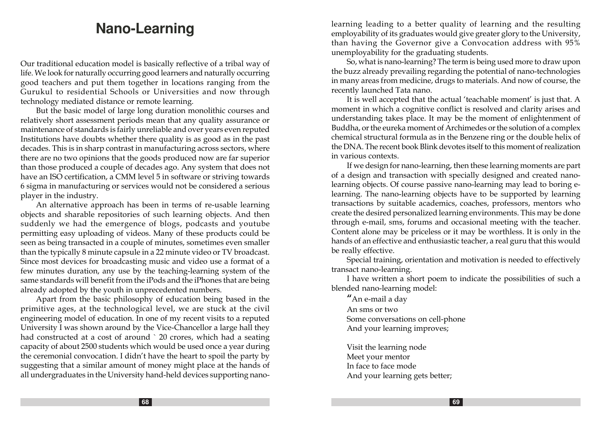# **Nano-Learning**

Our traditional education model is basically reflective of a tribal way of life. We look for naturally occurring good learners and naturally occurring good teachers and put them together in locations ranging from the Gurukul to residential Schools or Universities and now through technology mediated distance or remote learning.

But the basic model of large long duration monolithic courses and relatively short assessment periods mean that any quality assurance or maintenance of standards is fairly unreliable and over years even reputed Institutions have doubts whether there quality is as good as in the past decades. This is in sharp contrast in manufacturing across sectors, where there are no two opinions that the goods produced now are far superior than those produced a couple of decades ago. Any system that does not have an ISO certification, a CMM level 5 in software or striving towards 6 sigma in manufacturing or services would not be considered a serious player in the industry.

An alternative approach has been in terms of re-usable learning objects and sharable repositories of such learning objects. And then suddenly we had the emergence of blogs, podcasts and youtube permitting easy uploading of videos. Many of these products could be seen as being transacted in a couple of minutes, sometimes even smaller than the typically 8 minute capsule in a 22 minute video or TV broadcast. Since most devices for broadcasting music and video use a format of a few minutes duration, any use by the teaching-learning system of the same standards will benefit from the iPods and the iPhones that are being already adopted by the youth in unprecedented numbers.

Apart from the basic philosophy of education being based in the primitive ages, at the technological level, we are stuck at the civil engineering model of education. In one of my recent visits to a reputed University I was shown around by the Vice-Chancellor a large hall they had constructed at a cost of around `20 crores, which had a seating capacity of about 2500 students which would be used once a year during the ceremonial convocation. I didn't have the heart to spoil the party by suggesting that a similar amount of money might place at the hands of all undergraduates in the University hand-held devices supporting nanolearning leading to a better quality of learning and the resulting employability of its graduates would give greater glory to the University, than having the Governor give a Convocation address with 95% unemployability for the graduating students.

So, what is nano-learning? The term is being used more to draw upon the buzz already prevailing regarding the potential of nano-technologies in many areas from medicine, drugs to materials. And now of course, the recently launched Tata nano.

It is well accepted that the actual 'teachable moment' is just that. A moment in which a cognitive conflict is resolved and clarity arises and understanding takes place. It may be the moment of enlightenment of Buddha, or the eureka moment of Archimedes or the solution of a complex chemical structural formula as in the Benzene ring or the double helix of the DNA. The recent book Blink devotes itself to this moment of realization in various contexts.

If we design for nano-learning, then these learning moments are part of a design and transaction with specially designed and created nano learning objects. Of course passive nano-learning may lead to boring e learning. The nano-learning objects have to be supported by learning transactions by suitable academics, coaches, professors, mentors who create the desired personalized learning environments. This may be done through e-mail, sms, forums and occasional meeting with the teacher. Content alone may be priceless or it may be worthless. It is only in the hands of an effective and enthusiastic teacher, a real guru that this would be really effective.

Special training, orientation and motivation is needed to effectively transact nano-learning.

I have written a short poem to indicate the possibilities of such a blended nano-learning model:

"An e-mail a day An sms or two Some conversations on cell-phone And your learning improves;

Visit the learning node Meet your mentor In face to face mode And your learning gets better;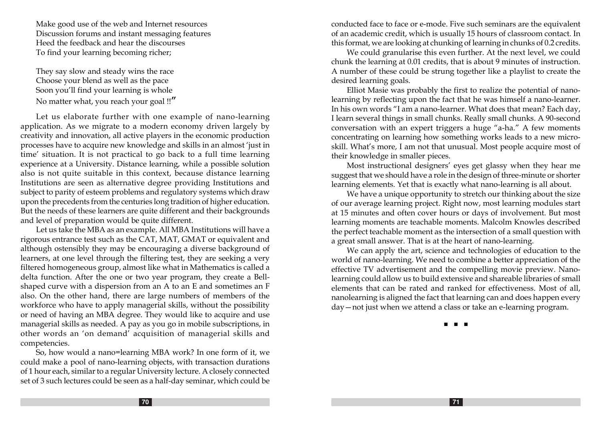Make good use of the web and Internet resources Discussion forums and instant messaging features Heed the feedback and hear the discourses To find your learning becoming richer;

They say slow and steady wins the race Choose your blend as well as the pace Soon you'll find your learning is whole No matter what, you reach your goal !!**"** 

Let us elaborate further with one example of nano-learning application. As we migrate to a modern economy driven largely by creativity and innovation, all active players in the economic production processes have to acquire new knowledge and skills in an almost 'just in time' situation. It is not practical to go back to a full time learning experience at a University. Distance learning, while a possible solution also is not quite suitable in this context, because distance learning Institutions are seen as alternative degree providing Institutions and subject to parity of esteem problems and regulatory systems which draw upon the precedents from the centuries long tradition of higher education. But the needs of these learners are quite different and their backgrounds and level of preparation would be quite different.

Let us take the MBA as an example. All MBA Institutions will have a rigorous entrance test such as the CAT, MAT, GMAT or equivalent and although ostensibly they may be encouraging a diverse background of learners, at one level through the filtering test, they are seeking a very filtered homogeneous group, almost like what in Mathematics is called a delta function. After the one or two year program, they create a Bellshaped curve with a dispersion from an A to an E and sometimes an F also. On the other hand, there are large numbers of members of the workforce who have to apply managerial skills, without the possibility or need of having an MBA degree. They would like to acquire and use managerial skills as needed. A pay as you go in mobile subscriptions, in other words an 'on demand' acquisition of managerial skills and competencies.

So, how would a nano=learning MBA work? In one form of it, we could make a pool of nano-learning objects, with transaction durations of 1 hour each, similar to a regular University lecture. A closely connected set of 3 such lectures could be seen as a half-day seminar, which could be conducted face to face or e-mode. Five such seminars are the equivalent of an academic credit, which is usually 15 hours of classroom contact. In this format, we are looking at chunking of learning in chunks of 0.2 credits.

We could granularise this even further. At the next level, we could chunk the learning at 0.01 credits, that is about 9 minutes of instruction. A number of these could be strung together like a playlist to create the desired learning goals.

Elliot Masie was probably the first to realize the potential of nanolearning by reflecting upon the fact that he was himself a nano-learner. In his own words "I am a nano-learner. What does that mean? Each day, I learn several things in small chunks. Really small chunks. A 90-second conversation with an expert triggers a huge "a-ha." A few moments concentrating on learning how something works leads to a new microskill. What's more, I am not that unusual. Most people acquire most of their knowledge in smaller pieces.

Most instructional designers' eyes get glassy when they hear me suggest that we should have a role in the design of three-minute or shorter learning elements. Yet that is exactly what nano-learning is all about.

We have a unique opportunity to stretch our thinking about the size of our average learning project. Right now, most learning modules start at 15 minutes and often cover hours or days of involvement. But most learning moments are teachable moments. Malcolm Knowles described the perfect teachable moment as the intersection of a small question with a great small answer. That is at the heart of nano-learning.

We can apply the art, science and technologies of education to the world of nano-learning. We need to combine a better appreciation of the effective TV advertisement and the compelling movie preview. Nanolearning could allow us to build extensive and shareable libraries of small elements that can be rated and ranked for effectiveness. Most of all, nanolearning is aligned the fact that learning can and does happen every day—not just when we attend a class or take an e-learning program.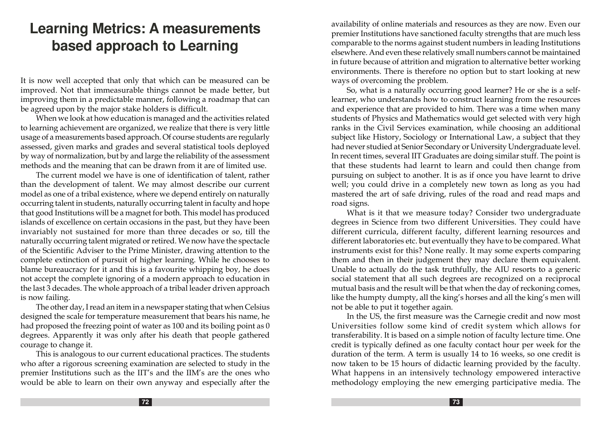# **Learning Metrics: A measurement s based approach to Learning**

It is now well accepted that only that which can be measured can be improved. Not that immeasurable things cannot be made better, but improving them in a predictable manner, following a roadmap that can be agreed upon by the major stake holders is difficult.

When we look at how education is managed and the activities related to learning achievement are organized, we realize that there is very little usage of a measurements based approach. Of course students are regularly assessed, given marks and grades and several statistical tools deployed by way of normalization, but by and large the reliability of the assessment methods and the meaning that can be drawn from it are of limited use.

The current model we have is one of identification of talent, rather than the development of talent. We may almost describe our current model as one of a tribal existence, where we depend entirely on naturally occurring talent in students, naturally occurring talent in faculty and hope that good Institutions will be a magnet for both. This model has produced islands of excellence on certain occasions in the past, but they have been invariably not sustained for more than three decades or so, till the naturally occurring talent migrated or retired. We now have the spectacle of the Scientific Adviser to the Prime Minister, drawing attention to the complete extinction of pursuit of higher learning. While he chooses to blame bureaucracy for it and this is a favourite whipping boy, he does not accept the complete ignoring of a modern approach to education in the last 3 decades. The whole approach of a tribal leader driven approach is now failing.

The other day, I read an item in a newspaper stating that when Celsius designed the scale for temperature measurement that bears his name, he had proposed the freezing point of water as 100 and its boiling point as 0 degrees. Apparently it was only after his death that people gathered courage to change it.

This is analogous to our current educational practices. The students who after a rigorous screening examination are selected to study in the premier Institutions such as the IIT's and the IIM's are the ones who would be able to learn on their own anyway and especially after the availability of online materials and resources as they are now. Even our premier Institutions have sanctioned faculty strengths that are much less comparable to the norms against student numbers in leading Institutions elsewhere. And even these relatively small numbers cannot be maintained in future because of attrition and migration to alternative better working environments. There is therefore no option but to start looking at new ways of overcoming the problem.

So, what is a naturally occurring good learner? He or she is a selflearner, who understands how to construct learning from the resources and experience that are provided to him. There was a time when many students of Physics and Mathematics would get selected with very high ranks in the Civil Services examination, while choosing an additional subject like History, Sociology or International Law, a subject that they had never studied at Senior Secondary or University Undergraduate level. In recent times, several IIT Graduates are doing similar stuff. The point is that these students had learnt to learn and could then change from pursuing on subject to another. It is as if once you have learnt to drive well; you could drive in a completely new town as long as you had mastered the art of safe driving, rules of the road and read maps and road signs.

What is it that we measure today? Consider two undergraduate degrees in Science from two different Universities. They could have different curricula, different faculty, different learning resources and different laboratories etc. but eventually they have to be compared. What instruments exist for this? None really. It may some experts comparing them and then in their judgement they may declare them equivalent. Unable to actually do the task truthfully, the AIU resorts to a generic social statement that all such degrees are recognized on a reciprocal mutual basis and the result will be that when the day of reckoning comes, like the humpty dumpty, all the king's horses and all the king's men will not be able to put it together again.

In the US, the first measure was the Carnegie credit and now most Universities follow some kind of credit system which allows for transferability. It is based on a simple notion of faculty lecture time. One credit is typically defined as one faculty contact hour per week for the duration of the term. A term is usually 14 to 16 weeks, so one credit is now taken to be 15 hours of didactic learning provided by the faculty. What happens in an intensively technology empowered interactive methodology employing the new emerging participative media. The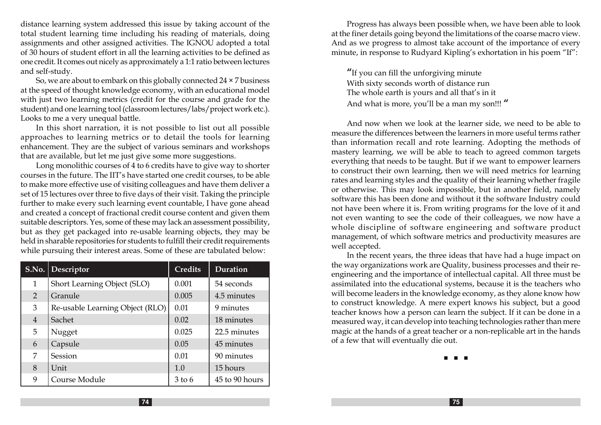distance learning system addressed this issue by taking account of the total student learning time including his reading of materials, doing assignments and other assigned activities. The IGNOU adopted a total of 30 hours of student effort in all the learning activities to be defined as one credit. It comes out nicely as approximately a 1:1 ratio between lectures and self-study.

So, we are about to embark on this globally connected  $24 \times 7$  business at the speed of thought knowledge economy, with an educational model with just two learning metrics (credit for the course and grade for the student) and one learning tool (classroom lectures/labs/project work etc.). Looks to me a very unequal battle.

In this short narration, it is not possible to list out all possible approaches to learning metrics or to detail the tools for learning enhancement. They are the subject of various seminars and workshops that are available, but let me just give some more suggestions.

Long monolithic courses of 4 to 6 credits have to give way to shorter courses in the future. The IIT's have started one credit courses, to be able to make more effective use of visiting colleagues and have them deliver a set of 15 lectures over three to five days of their visit. Taking the principle further to make every such learning event countable, I have gone ahead and created a concept of fractional credit course content and given them suitable descriptors. Yes, some of these may lack an assessment possibility, but as they get packaged into re-usable learning objects, they may be held in sharable repositories for students to fulfill their credit requirements while pursuing their interest areas. Some of these are tabulated below:

|   | S.No.   Descriptor              | <b>Credits</b> | Duration       |
|---|---------------------------------|----------------|----------------|
| 1 | Short Learning Object (SLO)     | 0.001          | 54 seconds     |
| 2 | Granule                         | 0.005          | 4.5 minutes    |
| 3 | Re-usable Learning Object (RLO) | 0.01           | 9 minutes      |
| 4 | Sachet                          | 0.02           | 18 minutes     |
| 5 | Nugget                          | 0.025          | 22.5 minutes   |
| 6 | Capsule                         | 0.05           | 45 minutes     |
| 7 | Session                         | 0.01           | 90 minutes     |
| 8 | Unit                            | 1.0            | 15 hours       |
| 9 | Course Module                   | 3 to 6         | 45 to 90 hours |

Progress has always been possible when, we have been able to look at the finer details going beyond the limitations of the coarse macro view. And as we progress to almost take account of the importance of every minute, in response to Rudyard Kipling's exhortation in his poem "If":

"If you can fill the unforgiving minute With sixty seconds worth of distance run The whole earth is yours and all that's in it And what is more, you'll be a man my son!!! "

And now when we look at the learner side, we need to be able to measure the differences between the learners in more useful terms rather than information recall and rote learning. Adopting the methods of mastery learning, we will be able to teach to agreed common targets everything that needs to be taught. But if we want to empower learners to construct their own learning, then we will need metrics for learning rates and learning styles and the quality of their learning whether fragile or otherwise. This may look impossible, but in another field, namely software this has been done and without it the software Industry could not have been where it is. From writing programs for the love of it and not even wanting to see the code of their colleagues, we now have a whole discipline of software engineering and software product management, of which software metrics and productivity measures are well accepted.

In the recent years, the three ideas that have had a huge impact on the way organizations work are Quality, business processes and their reengineering and the importance of intellectual capital. All three must be assimilated into the educational systems, because it is the teachers who will become leaders in the knowledge economy, as they alone know how to construct knowledge. A mere expert knows his subject, but a good teacher knows how a person can learn the subject. If it can be done in a measured way, it can develop into teaching technologies rather than mere magic at the hands of a great teacher or a non-replicable art in the hands of a few that will eventually die out.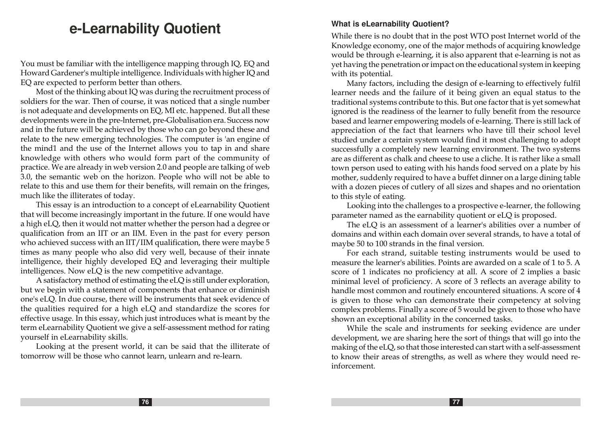# **e-Learnability Quotient**

You must be familiar with the intelligence mapping through IQ, EQ and Howard Gardener's multiple intelligence. Individuals with higher IQ and EQ are expected to perform better than others.

Most of the thinking about IQ was during the recruitment process of soldiers for the war. Then of course, it was noticed that a single number is not adequate and developments on EQ, MI etc. happened. But all these developments were in the pre-lnternet, pre-Globalisation era. Success now and in the future will be achieved by those who can go beyond these and relate to the new emerging technologies. The computer is 'an engine of the mind1 and the use of the Internet allows you to tap in and share knowledge with others who would form part of the community of practice. We are already in web version 2.0 and people are talking of web 3.0, the semantic web on the horizon. People who will not be able to relate to this and use them for their benefits, will remain on the fringes, much like the illiterates of today.

This essay is an introduction to a concept of eLearnability Quotient that will become increasingly important in the future. If one would have a high eLQ, then it would not matter whether the person had a degree or qualification from an IIT or an IIM. Even in the past for every person who achieved success with an IIT/IIM qualification, there were maybe 5 times as many people who also did very well, because of their innate intelligence, their highly developed EQ and leveraging their multiple intelligences. Now eLQ is the new competitive advantage.

A satisfactory method of estimating the eLQ is still under exploration, but we begin with a statement of components that enhance or diminish one's eLQ. In due course, there will be instruments that seek evidence of the qualities required for a high eLQ and standardize the scores for effective usage. In this essay, which just introduces what is meant by the term eLearnability Quotient we give a self-assessment method for rating yourself in eLearnability skills.

Looking at the present world, it can be said that the illiterate of tomorrow will be those who cannot learn, unlearn and re-learn.

#### **What is eLearnability Quotient?**

While there is no doubt that in the post WTO post Internet world of the Knowledge economy, one of the major methods of acquiring knowledge would be through e-learning, it is also apparent that e-learning is not as yet having the penetration or impact on the educational system in keeping with its potential.

Many factors, including the design of e-learning to effectively fulfil learner needs and the failure of it being given an equal status to the traditional systems contribute to this. But one factor that is yet somewhat ignored is the readiness of the learner to fully benefit from the resource based and learner empowering models of e-learning. There is still lack of appreciation of the fact that learners who have till their school level studied under a certain system would find it most challenging to adopt successfully a completely new learning environment. The two systems are as different as chalk and cheese to use a cliche. It is rather like a small town person used to eating with his hands food served on a plate by his mother, suddenly required to have a buffet dinner on a large dining table with a dozen pieces of cutlery of all sizes and shapes and no orientation to this style of eating.

Looking into the challenges to a prospective e-learner, the following parameter named as the earnability quotient or eLQ is proposed.

The eLQ is an assessment of a learner's abilities over a number of domains and within each domain over several strands, to have a total of maybe 50 to 100 strands in the final version.

For each strand, suitable testing instruments would be used to measure the learner's abilities. Points are awarded on a scale of 1 to 5. A score of 1 indicates no proficiency at all. A score of 2 implies a basic minimal level of proficiency. A score of 3 reflects an average ability to handle most common and routinely encountered situations. A score of 4 is given to those who can demonstrate their competency at solving complex problems. Finally a score of 5 would be given to those who have shown an exceptional ability in the concerned tasks.

While the scale and instruments for seeking evidence are under development, we are sharing here the sort of things that will go into the making of the eLQ, so that those interested can start with a self-assessment to know their areas of strengths, as well as where they would need reinforcement.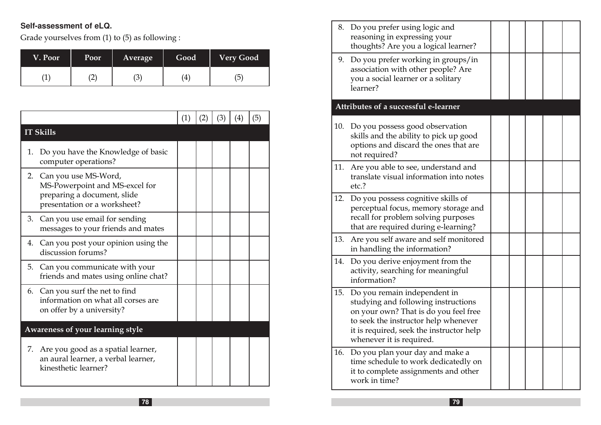### **Self-assessment of eLQ.**

Grade yourselves from (1) to (5) as following :

| V. Poor | <b>Poor</b> | <b>Average</b> | Good | <b>Very Good</b> |
|---------|-------------|----------------|------|------------------|
|         | $2^{\circ}$ | 3              | 4    | ხ                |

|    |                                                                                                                          | (1) | (2) | (3) | $\left( 4\right)$ | (5) |
|----|--------------------------------------------------------------------------------------------------------------------------|-----|-----|-----|-------------------|-----|
|    | <b>IT Skills</b>                                                                                                         |     |     |     |                   |     |
| 1. | Do you have the Knowledge of basic<br>computer operations?                                                               |     |     |     |                   |     |
|    | 2. Can you use MS-Word,<br>MS-Powerpoint and MS-excel for<br>preparing a document, slide<br>presentation or a worksheet? |     |     |     |                   |     |
|    | 3. Can you use email for sending<br>messages to your friends and mates                                                   |     |     |     |                   |     |
| 4. | Can you post your opinion using the<br>discussion forums?                                                                |     |     |     |                   |     |
| 5. | Can you communicate with your<br>friends and mates using online chat?                                                    |     |     |     |                   |     |
|    | 6. Can you surf the net to find<br>information on what all corses are<br>on offer by a university?                       |     |     |     |                   |     |
|    | Awareness of your learning style                                                                                         |     |     |     |                   |     |
|    | 7. Are you good as a spatial learner,<br>an aural learner, a verbal learner,<br>kinesthetic learner?                     |     |     |     |                   |     |

| 9.  | 8. Do you prefer using logic and<br>reasoning in expressing your<br>thoughts? Are you a logical learner?<br>Do you prefer working in groups/in                                                                               |  |  |  |
|-----|------------------------------------------------------------------------------------------------------------------------------------------------------------------------------------------------------------------------------|--|--|--|
|     | association with other people? Are<br>you a social learner or a solitary<br>learner?                                                                                                                                         |  |  |  |
|     | Attributes of a successful e-learner                                                                                                                                                                                         |  |  |  |
| 10. | Do you possess good observation<br>skills and the ability to pick up good<br>options and discard the ones that are<br>not required?                                                                                          |  |  |  |
| 11. | Are you able to see, understand and<br>translate visual information into notes<br>etc.?                                                                                                                                      |  |  |  |
| 12. | Do you possess cognitive skills of<br>perceptual focus, memory storage and<br>recall for problem solving purposes<br>that are required during e-learning?                                                                    |  |  |  |
| 13. | Are you self aware and self monitored<br>in handling the information?                                                                                                                                                        |  |  |  |
| 14. | Do you derive enjoyment from the<br>activity, searching for meaningful<br>information?                                                                                                                                       |  |  |  |
| 15. | Do you remain independent in<br>studying and following instructions<br>on your own? That is do you feel free<br>to seek the instructor help whenever<br>it is required, seek the instructor help<br>whenever it is required. |  |  |  |
| 16. | Do you plan your day and make a<br>time schedule to work dedicatedly on<br>it to complete assignments and other<br>work in time?                                                                                             |  |  |  |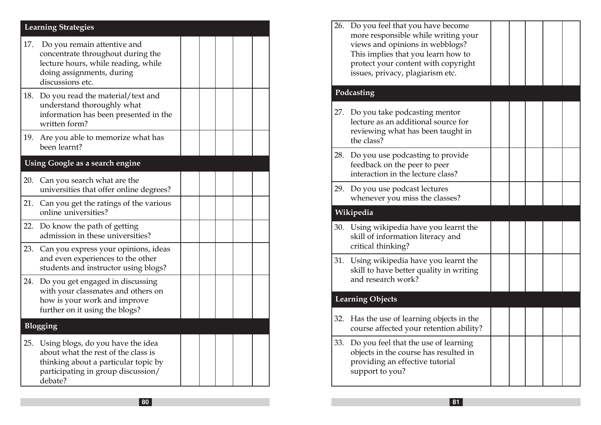|     | <b>Learning Strategies</b>                                                                                                                                        |  |  |  |
|-----|-------------------------------------------------------------------------------------------------------------------------------------------------------------------|--|--|--|
| 17. | Do you remain attentive and<br>concentrate throughout during the<br>lecture hours, while reading, while<br>doing assignments, during<br>discussions etc.          |  |  |  |
| 18. | Do you read the material/text and<br>understand thoroughly what<br>information has been presented in the<br>written form?                                         |  |  |  |
| 19. | Are you able to memorize what has<br>been learnt?                                                                                                                 |  |  |  |
|     | Using Google as a search engine                                                                                                                                   |  |  |  |
| 20. | Can you search what are the<br>universities that offer online degrees?                                                                                            |  |  |  |
| 21. | Can you get the ratings of the various<br>online universities?                                                                                                    |  |  |  |
| 22. | Do know the path of getting<br>admission in these universities?                                                                                                   |  |  |  |
| 23. | Can you express your opinions, ideas<br>and even experiences to the other<br>students and instructor using blogs?                                                 |  |  |  |
| 24. | Do you get engaged in discussing<br>with your classmates and others on<br>how is your work and improve<br>further on it using the blogs?                          |  |  |  |
|     | Blogging                                                                                                                                                          |  |  |  |
| 25. | Using blogs, do you have the idea<br>about what the rest of the class is<br>thinking about a particular topic by<br>participating in group discussion/<br>debate? |  |  |  |

| 26. | Do you feel that you have become<br>more responsible while writing your<br>views and opinions in webblogs?<br>This implies that you learn how to<br>protect your content with copyright<br>issues, privacy, plagiarism etc. |  |  |  |
|-----|-----------------------------------------------------------------------------------------------------------------------------------------------------------------------------------------------------------------------------|--|--|--|
|     | Podcasting                                                                                                                                                                                                                  |  |  |  |
| 27. | Do you take podcasting mentor<br>lecture as an additional source for<br>reviewing what has been taught in<br>the class?                                                                                                     |  |  |  |
| 28. | Do you use podcasting to provide<br>feedback on the peer to peer<br>interaction in the lecture class?                                                                                                                       |  |  |  |
| 29. | Do you use podcast lectures<br>whenever you miss the classes?                                                                                                                                                               |  |  |  |
|     | Wikipedia                                                                                                                                                                                                                   |  |  |  |
| 30. | Using wikipedia have you learnt the<br>skill of information literacy and<br>critical thinking?                                                                                                                              |  |  |  |
| 31. | Using wikipedia have you learnt the<br>skill to have better quality in writing<br>and research work?                                                                                                                        |  |  |  |
|     |                                                                                                                                                                                                                             |  |  |  |
|     | <b>Learning Objects</b>                                                                                                                                                                                                     |  |  |  |
| 32. | Has the use of learning objects in the<br>course affected your retention ability?                                                                                                                                           |  |  |  |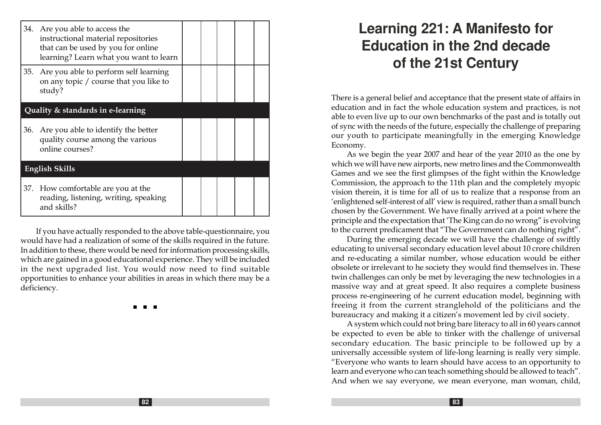|     | 34. Are you able to access the<br>instructional material repositories<br>that can be used by you for online<br>learning? Learn what you want to learn |  |  |  |  |  |
|-----|-------------------------------------------------------------------------------------------------------------------------------------------------------|--|--|--|--|--|
|     | 35. Are you able to perform self learning<br>on any topic / course that you like to<br>study?                                                         |  |  |  |  |  |
|     | Quality & standards in e-learning                                                                                                                     |  |  |  |  |  |
| 36. | Are you able to identify the better<br>quality course among the various<br>online courses?                                                            |  |  |  |  |  |
|     | <b>English Skills</b>                                                                                                                                 |  |  |  |  |  |
|     | 37. How comfortable are you at the<br>reading, listening, writing, speaking<br>and skills?                                                            |  |  |  |  |  |

If you have actually responded to the above table-questionnaire, you would have had a realization of some of the skills required in the future. In addition to these, there would be need for information processing skills, which are gained in a good educational experience. They will be included in the next upgraded list. You would now need to find suitable opportunities to enhance your abilities in areas in which there may be a deficiency.

n n n

# **Learning 221: A Manifesto for Education in the 2nd decade of the 21st Century**

There is a general belief and acceptance that the present state of affairs in education and in fact the whole education system and practices, is not able to even live up to our own benchmarks of the past and is totally out of sync with the needs of the future, especially the challenge of preparing our youth to participate meaningfully in the emerging Knowledge Economy.

As we begin the year 2007 and hear of the year 2010 as the one by which we will have new airports, new metro lines and the Commonwealth Games and we see the first glimpses of the fight within the Knowledge Commission, the approach to the 11th plan and the completely myopic vision therein, it is time for all of us to realize that a response from an 'enlightened self-interest of all' view is required, rather than a small bunch chosen by the Government. We have finally arrived at a point where the principle and the expectation that 'The King can do no wrong" is evolving to the current predicament that "The Government can do nothing right".

During the emerging decade we will have the challenge of swiftly educating to universal secondary education level about 10 crore children and re-educating a similar number, whose education would be either obsolete or irrelevant to he society they would find themselves in. These twin challenges can only be met by leveraging the new technologies in a massive way and at great speed. It also requires a complete business process re-engineering of he current education model, beginning with freeing it from the current stranglehold of the politicians and the bureaucracy and making it a citizen's movement led by civil society.

A system which could not bring bare literacy to all in 60 years cannot be expected to even be able to tinker with the challenge of universal secondary education. The basic principle to be followed up by a universally accessible system of life-long learning is really very simple. "Everyone who wants to learn should have access to an opportunity to learn and everyone who can teach something should be allowed to teach". And when we say everyone, we mean everyone, man woman, child,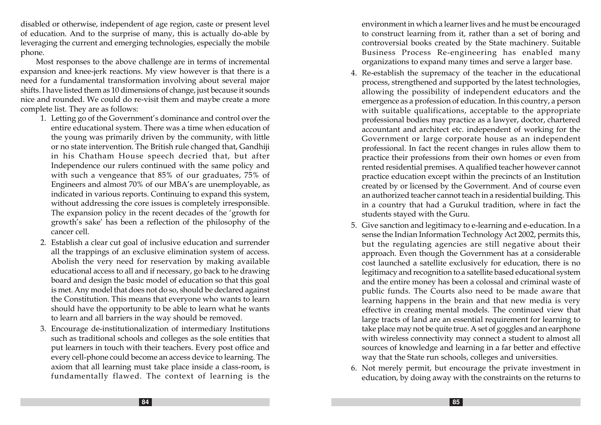disabled or otherwise, independent of age region, caste or present level of education. And to the surprise of many, this is actually do-able by leveraging the current and emerging technologies, especially the mobile phone.

Most responses to the above challenge are in terms of incremental expansion and knee-jerk reactions. My view however is that there is a need for a fundamental transformation involving about several major shifts. I have listed them as 10 dimensions of change, just because it sounds nice and rounded. We could do re-visit them and maybe create a more complete list. They are as follows:

- 1. Letting go of the Government's dominance and control over the entire educational system. There was a time when education of the young was primarily driven by the community, with little or no state intervention. The British rule changed that, Gandhiji in his Chatham House speech decried that, but after Independence our rulers continued with the same policy and with such a vengeance that 85% of our graduates, 75% of Engineers and almost 70% of our MBA's are unemployable, as indicated in various reports. Continuing to expand this system, without addressing the core issues is completely irresponsible. The expansion policy in the recent decades of the 'growth for growth's sake' has been a reflection of the philosophy of the cancer cell.
- 2. Establish a clear cut goal of inclusive education and surrender all the trappings of an exclusive elimination system of access. Abolish the very need for reservation by making available educational access to all and if necessary, go back to he drawing board and design the basic model of education so that this goal is met. Any model that does not do so, should be declared against the Constitution. This means that everyone who wants to learn should have the opportunity to be able to learn what he wants to learn and all barriers in the way should be removed.
- 3. Encourage de-institutionalization of intermediary Institutions such as traditional schools and colleges as the sole entities that put learners in touch with their teachers. Every post office and every cell-phone could become an access device to learning. The axiom that all learning must take place inside a class-room, is fundamentally flawed. The context of learning is the

environment in which a learner lives and he must be encouraged to construct learning from it, rather than a set of boring and controversial books created by the State machinery. Suitable Business Process Re-engineering has enabled many organizations to expand many times and serve a larger base.

- 4. Re-establish the supremacy of the teacher in the educational process, strengthened and supported by the latest technologies, allowing the possibility of independent educators and the emergence as a profession of education. In this country, a person with suitable qualifications, acceptable to the appropriate professional bodies may practice as a lawyer, doctor, chartered accountant and architect etc. independent of working for the Government or large corporate house as an independent professional. In fact the recent changes in rules allow them to practice their professions from their own homes or even from rented residential premises. A qualified teacher however cannot practice education except within the precincts of an Institution created by or licensed by the Government. And of course even an authorized teacher cannot teach in a residential building. This in a country that had a Gurukul tradition, where in fact the students stayed with the Guru.
- 5. Give sanction and legitimacy to e-learning and e-education. In a sense the Indian Information Technology Act 2002, permits this, but the regulating agencies are still negative about their approach. Even though the Government has at a considerable cost launched a satellite exclusively for education, there is no legitimacy and recognition to a satellite based educational system and the entire money has been a colossal and criminal waste of public funds. The Courts also need to be made aware that learning happens in the brain and that new media is very effective in creating mental models. The continued view that large tracts of land are an essential requirement for learning to take place may not be quite true. A set of goggles and an earphone with wireless connectivity may connect a student to almost all sources of knowledge and learning in a far better and effective way that the State run schools, colleges and universities.
- 6. Not merely permit, but encourage the private investment in education, by doing away with the constraints on the returns to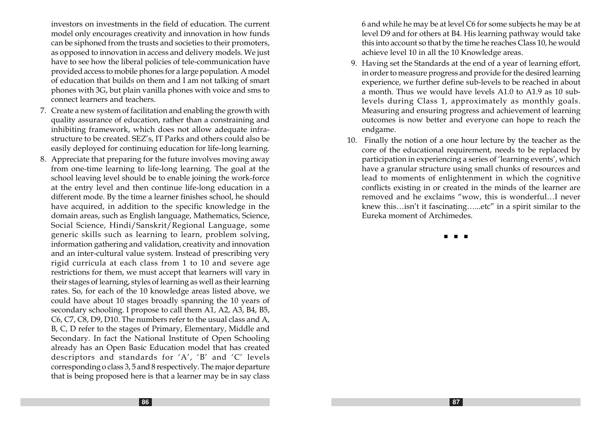investors on investments in the field of education. The current model only encourages creativity and innovation in how funds can be siphoned from the trusts and societies to their promoters, as opposed to innovation in access and delivery models. We just have to see how the liberal policies of tele-communication have provided access to mobile phones for a large population. A model of education that builds on them and I am not talking of smart phones with 3G, but plain vanilla phones with voice and sms to connect learners and teachers.

- 7. Create a new system of facilitation and enabling the growth with quality assurance of education, rather than a constraining and inhibiting framework, which does not allow adequate infrastructure to be created. SEZ's, IT Parks and others could also be easily deployed for continuing education for life-long learning.
- 8. Appreciate that preparing for the future involves moving away from one-time learning to life-long learning. The goal at the school leaving level should be to enable joining the work-force at the entry level and then continue life-long education in a different mode. By the time a learner finishes school, he should have acquired, in addition to the specific knowledge in the domain areas, such as English language, Mathematics, Science, Social Science, Hindi/Sanskrit/Regional Language, some generic skills such as learning to learn, problem solving, information gathering and validation, creativity and innovation and an inter-cultural value system. Instead of prescribing very rigid curricula at each class from 1 to 10 and severe age restrictions for them, we must accept that learners will vary in their stages of learning, styles of learning as well as their learning rates. So, for each of the 10 knowledge areas listed above, we could have about 10 stages broadly spanning the 10 years of secondary schooling. I propose to call them A1, A2, A3, B4, B5, C6, C7, C8, D9, D10. The numbers refer to the usual class and A, B, C, D refer to the stages of Primary, Elementary, Middle and Secondary. In fact the National Institute of Open Schooling already has an Open Basic Education model that has created descriptors and standards for 'A', 'B' and 'C' levels corresponding o class 3, 5 and 8 respectively. The major departure that is being proposed here is that a learner may be in say class

6 and while he may be at level C6 for some subjects he may be at level D9 and for others at B4. His learning pathway would take this into account so that by the time he reaches Class 10, he would achieve level 10 in all the 10 Knowledge areas.

- 9. Having set the Standards at the end of a year of learning effort, in order to measure progress and provide for the desired learning experience, we further define sub-levels to be reached in about a month. Thus we would have levels A1.0 to A1.9 as 10 sublevels during Class 1, approximately as monthly goals. Measuring and ensuring progress and achievement of learning outcomes is now better and everyone can hope to reach the endgame.
- 10. Finally the notion of a one hour lecture by the teacher as the core of the educational requirement, needs to be replaced by participation in experiencing a series of 'learning events', which have a granular structure using small chunks of resources and lead to moments of enlightenment in which the cognitive conflicts existing in or created in the minds of the learner are removed and he exclaims "wow, this is wonderful…I never knew this…isn't it fascinating…...etc" in a spirit similar to the Eureka moment of Archimedes.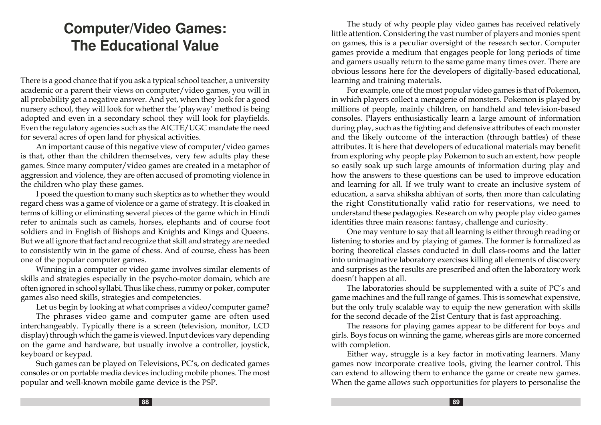# **Computer/Video Games: The Educational Value**

There is a good chance that if you ask a typical school teacher, a university academic or a parent their views on computer/video games, you will in all probability get a negative answer. And yet, when they look for a good nursery school, they will look for whether the 'playway' method is being adopted and even in a secondary school they will look for playfields. Even the regulatory agencies such as the AICTE/UGC mandate the need for several acres of open land for physical activities.

An important cause of this negative view of computer/video games is that, other than the children themselves, very few adults play these games. Since many computer/video games are created in a metaphor of aggression and violence, they are often accused of promoting violence in the children who play these games.

I posed the question to many such skeptics as to whether they would regard chess was a game of violence or a game of strategy. It is cloaked in terms of killing or eliminating several pieces of the game which in Hindi refer to animals such as camels, horses, elephants and of course foot soldiers and in English of Bishops and Knights and Kings and Queens. But we all ignore that fact and recognize that skill and strategy are needed to consistently win in the game of chess. And of course, chess has been one of the popular computer games.

Winning in a computer or video game involves similar elements of skills and strategies especially in the psycho-motor domain, which are often ignored in school syllabi. Thus like chess, rummy or poker, computer games also need skills, strategies and competencies.

Let us begin by looking at what comprises a video/computer game?

The phrases video game and computer game are often used interchangeably. Typically there is a screen (television, monitor, LCD display) through which the game is viewed. Input devices vary depending on the game and hardware, but usually involve a controller, joystick, keyboard or keypad.

Such games can be played on Televisions, PC's, on dedicated games consoles or on portable media devices including mobile phones. The most popular and well-known mobile game device is the PSP.

The study of why people play video games has received relatively little attention. Considering the vast number of players and monies spent on games, this is a peculiar oversight of the research sector. Computer games provide a medium that engages people for long periods of time and gamers usually return to the same game many times over. There are obvious lessons here for the developers of digitally-based educational, learning and training materials.

For example, one of the most popular video games is that of Pokemon, in which players collect a menagerie of monsters. Pokemon is played by millions of people, mainly children, on handheld and television-based consoles. Players enthusiastically learn a large amount of information during play, such as the fighting and defensive attributes of each monster and the likely outcome of the interaction (through battles) of these attributes. It is here that developers of educational materials may benefit from exploring why people play Pokemon to such an extent, how people so easily soak up such large amounts of information during play and how the answers to these questions can be used to improve education and learning for all. If we truly want to create an inclusive system of education, a sarva shiksha abhiyan of sorts, then more than calculating the right Constitutionally valid ratio for reservations, we need to understand these pedagogies. Research on why people play video games identifies three main reasons: fantasy, challenge and curiosity.

One may venture to say that all learning is either through reading or listening to stories and by playing of games. The former is formalized as boring theoretical classes conducted in dull class-rooms and the latter into unimaginative laboratory exercises killing all elements of discovery and surprises as the results are prescribed and often the laboratory work doesn't happen at all.

The laboratories should be supplemented with a suite of PC's and game machines and the full range of games. This is somewhat expensive, but the only truly scalable way to equip the new generation with skills for the second decade of the 21st Century that is fast approaching.

The reasons for playing games appear to be different for boys and girls. Boys focus on winning the game, whereas girls are more concerned with completion.

Either way, struggle is a key factor in motivating learners. Many games now incorporate creative tools, giving the learner control. This can extend to allowing them to enhance the game or create new games. When the game allows such opportunities for players to personalise the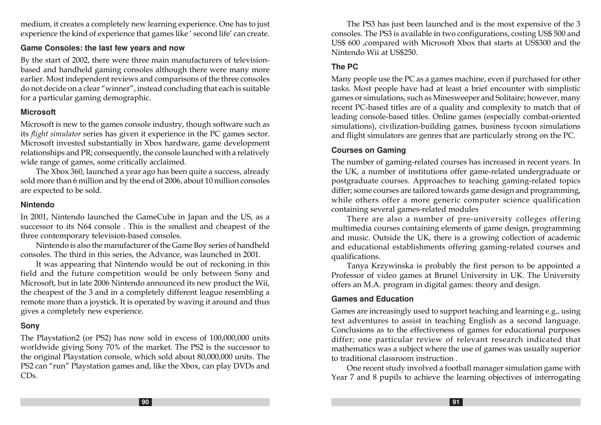medium, it creates a completely new learning experience. One has to just experience the kind of experience that games like ' second life' can create.

#### **Game Consoles: the last few years and now**

By the start of 2002, there were three main manufacturers of televisionbased and handheld gaming consoles although there were many more earlier. Most independent reviews and comparisons of the three consoles do not decide on a clear "winner", instead concluding that each is suitable for a particular gaming demographic.

#### **Microsoft**

Microsoft is new to the games console industry, though software such as its flight simulator series has given it experience in the PC games sector. Microsoft invested substantially in Xbox hardware, game development relationships and PR; consequently, the console launched with a relatively wide range of games, some critically acclaimed.

The Xbox 360, launched a year ago has been quite a success, already sold more than 6 million and by the end of 2006, about 10 million consoles are expected to be sold.

#### **Nintendo**

In 2001, Nintendo launched the GameCube in Japan and the US, as a successor to its N64 console . This is the smallest and cheapest of the three contemporary television-based consoles.

Nintendo is also the manufacturer of the Game Boy series of handheld consoles. The third in this series, the Advance, was launched in 2001.

It was appearing that Nintendo would be out of reckoning in this field and the future competition would be only between Sony and Microsoft, but in late 2006 Nintendo announced its new product the Wii, the cheapest of the 3 and in a completely different league resembling a remote more than a joystick. It is operated by waving it around and thus gives a completely new experience.

#### **Sony**

The Playstation2 (or PS2) has now sold in excess of 100,000,000 units worldwide giving Sony 70% of the market. The PS2 is the successor to the original Playstation console, which sold about 80,000,000 units. The PS2 can "run" Playstation games and, like the Xbox, can play DVDs and CDs.

The PS3 has just been launched and is the most expensive of the 3 consoles. The PS3 is available in two configurations, costing US\$ 500 and US\$ 600 ,compared with Microsoft Xbox that starts at US\$300 and the Nintendo Wii at US\$250.

#### **The PC**

Many people use the PC as a games machine, even if purchased for other tasks. Most people have had at least a brief encounter with simplistic games or simulations, such as Minesweeper and Solitaire; however, many recent PC-based titles are of a quality and complexity to match that of leading console-based titles. Online games (especially combat-oriented simulations), civilization-building games, business tycoon simulations and flight simulators are genres that are particularly strong on the PC.

#### **Courses on Gaming**

The number of gaming-related courses has increased in recent years. In the UK, a number of institutions offer game-related undergraduate or postgraduate courses. Approaches to teaching gaming-related topics differ; some courses are tailored towards game design and programming, while others offer a more generic computer science qualification containing several games-related modules

There are also a number of pre-university colleges offering multimedia courses containing elements of game design, programming and music. Outside the UK, there is a growing collection of academic and educational establishments offering gaming-related courses and qualifications.

Tanya Krzywinska is probably the first person to be appointed a Professor of video games at Brunel University in UK. The University offers an M.A. program in digital games: theory and design.

### **Games and Education**

Games are increasingly used to support teaching and learning e.g., using text adventures to assist in teaching English as a second language. Conclusions as to the effectiveness of games for educational purposes differ; one particular review of relevant research indicated that mathematics was a subject where the use of games was usually superior to traditional classroom instruction .

One recent study involved a football manager simulation game with Year 7 and 8 pupils to achieve the learning objectives of interrogating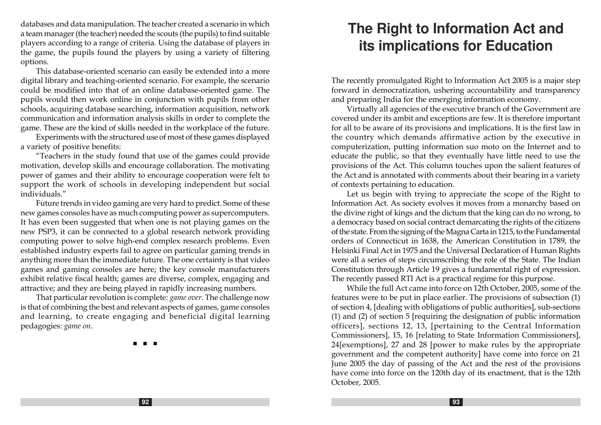databases and data manipulation. The teacher created a scenario in which a team manager (the teacher) needed the scouts (the pupils) to find suitable players according to a range of criteria. Using the database of players in the game, the pupils found the players by using a variety of filtering options.

This database-oriented scenario can easily be extended into a more digital library and teaching-oriented scenario. For example, the scenario could be modified into that of an online database-oriented game. The pupils would then work online in conjunction with pupils from other schools, acquiring database searching, information acquisition, network communication and information analysis skills in order to complete the game. These are the kind of skills needed in the workplace of the future.

Experiments with the structured use of most of these games displayed a variety of positive benefits:

"Teachers in the study found that use of the games could provide motivation, develop skills and encourage collaboration. The motivating power of games and their ability to encourage cooperation were felt to support the work of schools in developing independent but social individuals."

Future trends in video gaming are very hard to predict. Some of these new games consoles have as much computing power as supercomputers. It has even been suggested that when one is not playing games on the new PSP3, it can be connected to a global research network providing computing power to solve high-end complex research problems. Even established industry experts fail to agree on particular gaming trends in anything more than the immediate future. The one certainty is that video games and gaming consoles are here; the key console manufacturers exhibit relative fiscal health; games are diverse, complex, engaging and attractive; and they are being played in rapidly increasing numbers.

That particular revolution is complete: game over. The challenge now is that of combining the best and relevant aspects of games, game consoles and learning, to create engaging and beneficial digital learning pedagogies: game on.

n n n

# **The Right to Information Act and its implications for Education**

The recently promulgated Right to Information Act 2005 is a major step forward in democratization, ushering accountability and transparency and preparing India for the emerging information economy.

Virtually all agencies of the executive branch of the Government are covered under its ambit and exceptions are few. It is therefore important for all to be aware of its provisions and implications. It is the first law in the country which demands affirmative action by the executive in computerization, putting information suo moto on the Internet and to educate the public, so that they eventually have little need to use the provisions of the Act. This column touches upon the salient features of the Act and is annotated with comments about their bearing in a variety of contexts pertaining to education.

Let us begin with trying to appreciate the scope of the Right to Information Act. As society evolves it moves from a monarchy based on the divine right of kings and the dictum that the king can do no wrong, to a democracy based on social contract demarcating the rights of the citizens of the state. From the signing of the Magna Carta in 1215, to the Fundamental orders of Connecticut in 1638, the American Constitution in 1789, the Helsinki Final Act in 1975 and the Universal Declaration of Human Rights were all a series of steps circumscribing the role of the State. The Indian Constitution through Article 19 gives a fundamental right of expression. The recently passed RTI Act is a practical regime for this purpose.

While the full Act came into force on 12th October, 2005, some of the features were to be put in place earlier. The provisions of subsection (1) of section 4, [dealing with obligations of public authorities], sub-sections (1) and (2) of section 5 [requiring the designation of public information officers], sections 12, 13, [pertaining to the Central Information Commissioners], 15, 16 [relating to State Information Commissioners], 24[exemptions], 27 and 28 [power to make rules by the appropriate government and the competent authority] have come into force on 21 June 2005 the day of passing of the Act and the rest of the provisions have come into force on the 120th day of its enactment, that is the 12th October, 2005.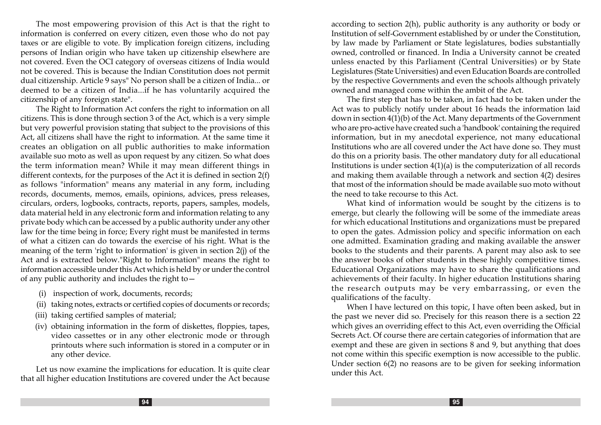The most empowering provision of this Act is that the right to information is conferred on every citizen, even those who do not pay taxes or are eligible to vote. By implication foreign citizens, including persons of Indian origin who have taken up citizenship elsewhere are not covered. Even the OCI category of overseas citizens of India would not be covered. This is because the Indian Constitution does not permit dual citizenship. Article 9 says" No person shall be a citizen of India... or deemed to be a citizen of India...if he has voluntarily acquired the citizenship of any foreign state".

The Right to Information Act confers the right to information on all citizens. This is done through section 3 of the Act, which is a very simple but very powerful provision stating that subject to the provisions of this Act, all citizens shall have the right to information. At the same time it creates an obligation on all public authorities to make information available suo moto as well as upon request by any citizen. So what does the term information mean? While it may mean different things in different contexts, for the purposes of the Act it is defined in section 2(f) as follows "information" means any material in any form, including records, documents, memos, emails, opinions, advices, press releases, circulars, orders, logbooks, contracts, reports, papers, samples, models, data material held in any electronic form and information relating to any private body which can be accessed by a public authority under any other law for the time being in force; Every right must be manifested in terms of what a citizen can do towards the exercise of his right. What is the meaning of the term 'right to information' is given in section 2(j) of the Act and is extracted below."Right to Information" means the right to information accessible under this Act which is held by or under the control of any public authority and includes the right to—

- (i) inspection of work, documents, records;
- (ii) taking notes, extracts or certified copies of documents or records;
- (iii) taking certified samples of material;
- (iv) obtaining information in the form of diskettes, floppies, tapes, video cassettes or in any other electronic mode or through printouts where such information is stored in a computer or in any other device.

Let us now examine the implications for education. It is quite clear that all higher education Institutions are covered under the Act because

according to section 2(h), public authority is any authority or body or Institution of self-Government established by or under the Constitution, by law made by Parliament or State legislatures, bodies substantially owned, controlled or financed. In India a University cannot be created unless enacted by this Parliament (Central Universities) or by State Legislatures (State Universities) and even Education Boards are controlled by the respective Governments and even the schools although privately owned and managed come within the ambit of the Act.

The first step that has to be taken, in fact had to be taken under the Act was to publicly notify under about 16 heads the information laid down in section 4(1)(b) of the Act. Many departments of the Government who are pro-active have created such a 'handbook' containing the required information, but in my anecdotal experience, not many educational Institutions who are all covered under the Act have done so. They must do this on a priority basis. The other mandatory duty for all educational Institutions is under section  $4(1)(a)$  is the computerization of all records and making them available through a network and section 4(2) desires that most of the information should be made available suo moto without the need to take recourse to this Act.

What kind of information would be sought by the citizens is to emerge, but clearly the following will be some of the immediate areas for which educational Institutions and organizations must be prepared to open the gates. Admission policy and specific information on each one admitted. Examination grading and making available the answer books to the students and their parents. A parent may also ask to see the answer books of other students in these highly competitive times. Educational Organizations may have to share the qualifications and achievements of their faculty. In higher education Institutions sharing the research outputs may be very embarrassing, or even the qualifications of the faculty.

When I have lectured on this topic, I have often been asked, but in the past we never did so. Precisely for this reason there is a section 22 which gives an overriding effect to this Act, even overriding the Official Secrets Act. Of course there are certain categories of information that are exempt and these are given in sections 8 and 9, but anything that does not come within this specific exemption is now accessible to the public. Under section 6(2) no reasons are to be given for seeking information under this Act.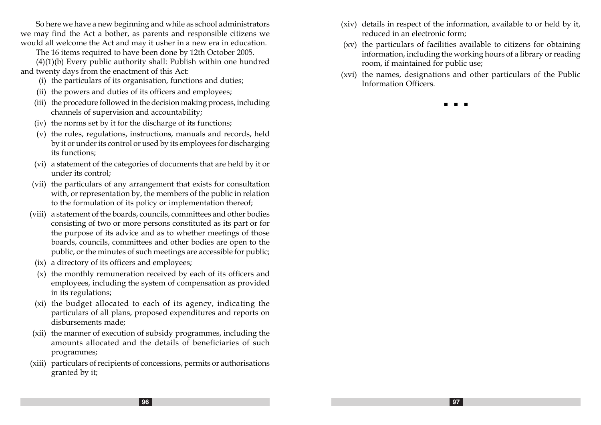So here we have a new beginning and while as school administrators we may find the Act a bother, as parents and responsible citizens we would all welcome the Act and may it usher in a new era in education.

The 16 items required to have been done by 12th October 2005.

(4)(1)(b) Every public authority shall: Publish within one hundred and twenty days from the enactment of this Act:

- (i) the particulars of its organisation, functions and duties;
- (ii) the powers and duties of its officers and employees;
- (iii) the procedure followed in the decision making process, including channels of supervision and accountability;
- (iv) the norms set by it for the discharge of its functions;
- (v) the rules, regulations, instructions, manuals and records, held by it or under its control or used by its employees for discharging its functions;
- (vi) a statement of the categories of documents that are held by it or under its control;
- (vii) the particulars of any arrangement that exists for consultation with, or representation by, the members of the public in relation to the formulation of its policy or implementation thereof;
- (viii) a statement of the boards, councils, committees and other bodies consisting of two or more persons constituted as its part or for the purpose of its advice and as to whether meetings of those boards, councils, committees and other bodies are open to the public, or the minutes of such meetings are accessible for public;
- (ix) a directory of its officers and employees;
- (x) the monthly remuneration received by each of its officers and employees, including the system of compensation as provided in its regulations;
- (xi) the budget allocated to each of its agency, indicating the particulars of all plans, proposed expenditures and reports on disbursements made;
- (xii) the manner of execution of subsidy programmes, including the amounts allocated and the details of beneficiaries of such programmes;
- (xiii) particulars of recipients of concessions, permits or authorisations granted by it;
- (xiv) details in respect of the information, available to or held by it, reduced in an electronic form;
- (xv) the particulars of facilities available to citizens for obtaining information, including the working hours of a library or reading room, if maintained for public use;
- (xvi) the names, designations and other particulars of the Public Information Officers.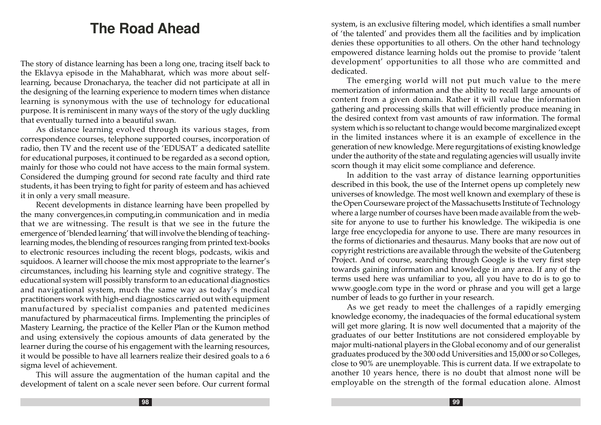# **The Road Ahead**

The story of distance learning has been a long one, tracing itself back to the Eklavya episode in the Mahabharat, which was more about selflearning, because Dronacharya, the teacher did not participate at all in the designing of the learning experience to modern times when distance learning is synonymous with the use of technology for educational purpose. It is reminiscent in many ways of the story of the ugly duckling that eventually turned into a beautiful swan.

As distance learning evolved through its various stages, from correspondence courses, telephone supported courses, incorporation of radio, then TV and the recent use of the 'EDUSAT' a dedicated satellite for educational purposes, it continued to be regarded as a second option, mainly for those who could not have access to the main formal system. Considered the dumping ground for second rate faculty and third rate students, it has been trying to fight for parity of esteem and has achieved it in only a very small measure.

Recent developments in distance learning have been propelled by the many convergences,in computing,in communication and in media that we are witnessing. The result is that we see in the future the emergence of 'blended learning' that will involve the blending of teachinglearning modes, the blending of resources ranging from printed text-books to electronic resources including the recent blogs, podcasts, wikis and squidoos. A learner will choose the mix most appropriate to the learner's circumstances, including his learning style and cognitive strategy. The educational system will possibly transform to an educational diagnostics and navigational system, much the same way as today's medical practitioners work with high-end diagnostics carried out with equipment manufactured by specialist companies and patented medicines manufactured by pharmaceutical firms. Implementing the principles of Mastery Learning, the practice of the Keller Plan or the Kumon method and using extensively the copious amounts of data generated by the learner during the course of his engagement with the learning resources, it would be possible to have all learners realize their desired goals to a 6 sigma level of achievement.

This will assure the augmentation of the human capital and the development of talent on a scale never seen before. Our current formal system, is an exclusive filtering model, which identifies a small number of 'the talented' and provides them all the facilities and by implication denies these opportunities to all others. On the other hand technology empowered distance learning holds out the promise to provide 'talent development' opportunities to all those who are committed and dedicated.

The emerging world will not put much value to the mere memorization of information and the ability to recall large amounts of content from a given domain. Rather it will value the information gathering and processing skills that will efficiently produce meaning in the desired context from vast amounts of raw information. The formal system which is so reluctant to change would become marginalized except in the limited instances where it is an example of excellence in the generation of new knowledge. Mere regurgitations of existing knowledge under the authority of the state and regulating agencies will usually invite scorn though it may elicit some compliance and deference.

In addition to the vast array of distance learning opportunities described in this book, the use of the Internet opens up completely new universes of knowledge. The most well known and exemplary of these is the Open Courseware project of the Massachusetts Institute of Technology where a large number of courses have been made available from the website for anyone to use to further his knowledge. The wikipedia is one large free encyclopedia for anyone to use. There are many resources in the forms of dictionaries and thesaurus. Many books that are now out of copyright restrictions are available through the website of the Gutenberg Project. And of course, searching through Google is the very first step towards gaining information and knowledge in any area. If any of the terms used here was unfamiliar to you, all you have to do is to go to www.google.com type in the word or phrase and you will get a large number of leads to go further in your research.

As we get ready to meet the challenges of a rapidly emerging knowledge economy, the inadequacies of the formal educational system will get more glaring. It is now well documented that a majority of the graduates of our better Institutions are not considered employable by major multi-national players in the Global economy and of our generalist graduates produced by the 300 odd Universities and 15,000 or so Colleges, close to 90% are unemployable. This is current data. If we extrapolate to another 10 years hence, there is no doubt that almost none will be employable on the strength of the formal education alone. Almost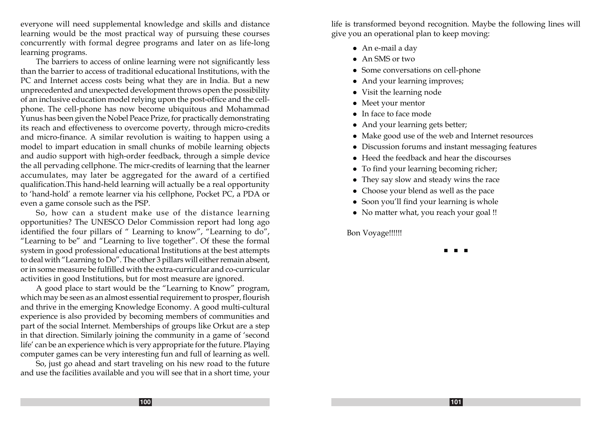everyone will need supplemental knowledge and skills and distance learning would be the most practical way of pursuing these courses concurrently with formal degree programs and later on as life-long learning programs.

The barriers to access of online learning were not significantly less than the barrier to access of traditional educational Institutions, with the PC and Internet access costs being what they are in India. But a new unprecedented and unexpected development throws open the possibility of an inclusive education model relying upon the post-office and the cellphone. The cell-phone has now become ubiquitous and Mohammad Yunus has been given the Nobel Peace Prize, for practically demonstrating its reach and effectiveness to overcome poverty, through micro-credits and micro-finance. A similar revolution is waiting to happen using a model to impart education in small chunks of mobile learning objects and audio support with high-order feedback, through a simple device the all pervading cellphone. The micr-credits of learning that the learner accumulates, may later be aggregated for the award of a certified qualification.This hand-held learning will actually be a real opportunity to 'hand-hold' a remote learner via his cellphone, Pocket PC, a PDA or even a game console such as the PSP.

So, how can a student make use of the distance learning opportunities? The UNESCO Delor Commission report had long ago identified the four pillars of " Learning to know", "Learning to do", "Learning to be" and "Learning to live together". Of these the formal system in good professional educational Institutions at the best attempts to deal with "Learning to Do". The other 3 pillars will either remain absent, or in some measure be fulfilled with the extra-curricular and co-curricular activities in good Institutions, but for most measure are ignored.

A good place to start would be the "Learning to Know" program, which may be seen as an almost essential requirement to prosper, flourish and thrive in the emerging Knowledge Economy. A good multi-cultural experience is also provided by becoming members of communities and part of the social Internet. Memberships of groups like Orkut are a step in that direction. Similarly joining the community in a game of 'second life' can be an experience which is very appropriate for the future. Playing computer games can be very interesting fun and full of learning as well.

So, just go ahead and start traveling on his new road to the future and use the facilities available and you will see that in a short time, your life is transformed beyond recognition. Maybe the following lines will give you an operational plan to keep moving:

- An e-mail a day
- $\bullet$  An SMS or two
- Some conversations on cell-phone
- And your learning improves;
- Visit the learning node
- Meet your mentor
- $\bullet$  In face to face mode
- And your learning gets better;
- $\bullet~$  Make good use of the web and Internet resources
- Discussion forums and instant messaging features
- $\bullet$  Heed the feedback and hear the discourses
- To find your learning becoming richer;
- They say slow and steady wins the race
- Choose your blend as well as the pace
- Soon you'll find your learning is whole
- No matter what, you reach your goal !!

Bon Voyage!!!!!!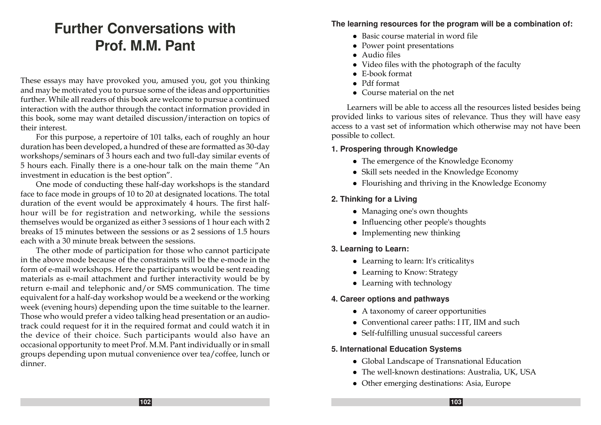# **Further Conversations with Prof. M.M. Pant**

These essays may have provoked you, amused you, got you thinking and may be motivated you to pursue some of the ideas and opportunities further. While all readers of this book are welcome to pursue a continued interaction with the author through the contact information provided in this book, some may want detailed discussion/interaction on topics of their interest.

For this purpose, a repertoire of 101 talks, each of roughly an hour duration has been developed, a hundred of these are formatted as 30-day workshops/seminars of 3 hours each and two full-day similar events of 5 hours each. Finally there is a one-hour talk on the main theme "An investment in education is the best option".

One mode of conducting these half-day workshops is the standard face to face mode in groups of 10 to 20 at designated locations. The total duration of the event would be approximately 4 hours. The first halfhour will be for registration and networking, while the sessions themselves would be organized as either 3 sessions of 1 hour each with 2 breaks of 15 minutes between the sessions or as 2 sessions of 1.5 hours each with a 30 minute break between the sessions.

The other mode of participation for those who cannot participate in the above mode because of the constraints will be the e-mode in the form of e-mail workshops. Here the participants would be sent reading materials as e-mail attachment and further interactivity would be by return e-mail and telephonic and/or SMS communication. The time equivalent for a half-day workshop would be a weekend or the working week (evening hours) depending upon the time suitable to the learner. Those who would prefer a video talking head presentation or an audiotrack could request for it in the required format and could watch it in the device of their choice. Such participants would also have an occasional opportunity to meet Prof. M.M. Pant individually or in small groups depending upon mutual convenience over tea/coffee, lunch or dinner.

#### **The learning resources for the program will be a combination of:**

- $\bullet$  Basic course material in word file
- $\bullet$  Power point presentations
- $\bullet$  Audio files
- $\bullet$  Video files with the photograph of the faculty
- $\bullet$  E-book format
- Pdf format
- Course material on the net

Learners will be able to access all the resources listed besides being provided links to various sites of relevance. Thus they will have easy access to a vast set of information which otherwise may not have been possible to collect.

### **1. Prospering through Knowledge**

- The emergence of the Knowledge Economy
- Skill sets needed in the Knowledge Economy
- Flourishing and thriving in the Knowledge Economy

### **2. Thinking for a Living**

- Managing one's own thoughts
- Influencing other people's thoughts
- $\bullet$  Implementing new thinking

### **3. Learning to Learn:**

- Learning to learn: It's criticalitys
- Learning to Know: Strategy
- $\bullet$  Learning with technology

### **4. Career options and pathways**

- $\bullet$  A taxonomy of career opportunities
- Conventional career paths: I IT, IIM and such
- Self-fulfilling unusual successful careers

### **5. International Education Systems**

- Global Landscape of Transnational Education
- The well-known destinations: Australia, UK, USA
- Other emerging destinations: Asia, Europe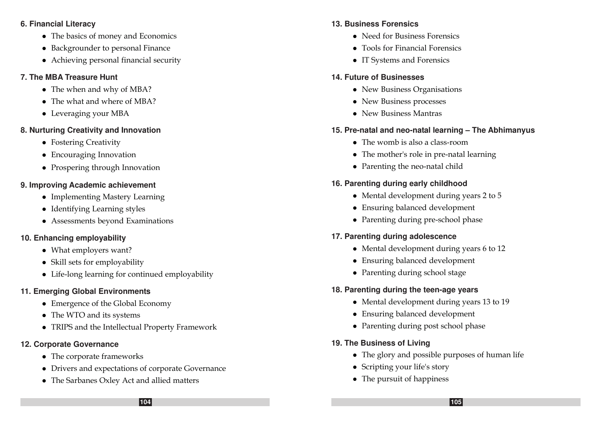#### **6. Financial Literacy**

- The basics of money and Economics
- Backgrounder to personal Finance
- Achieving personal financial security

### **7. The MBA Treasure Hunt**

- The when and why of MBA?
- $\bullet$  The what and where of MBA?
- Leveraging your MBA

### **8. Nurturing Creativity and Innovation**

- Fostering Creativity
- Encouraging Innovation
- Prospering through Innovation

### **9. Improving Academic achievement**

- Implementing Mastery Learning
- Identifying Learning styles
- Assessments beyond Examinations

### **10. Enhancing employability**

- What employers want?
- $\bullet$  Skill sets for employability
- Life-long learning for continued employability

### **11. Emerging Global Environments**

- Emergence of the Global Economy
- The WTO and its systems
- TRIPS and the Intellectual Property Framework

### **12. Corporate Governance**

- $\bullet$  The corporate frameworks
- Drivers and expectations of corporate Governance
- The Sarbanes Oxley Act and allied matters

### **13. Business Forensics**

- Need for Business Forensics
- Tools for Financial Forensics
- IT Systems and Forensics

### **14. Future of Businesses**

- New Business Organisations
- New Business processes
- New Business Mantras

### **15. Pre-natal and neo-natal learning – The Abhimanyus**

- $\bullet$  The womb is also a class-room
- $\bullet$  The mother's role in pre-natal learning
- Parenting the neo-natal child

### **16. Parenting during early childhood**

- Mental development during years  $2$  to  $5$
- Ensuring balanced development
- Parenting during pre-school phase

### **17. Parenting during adolescence**

- $\bullet$  Mental development during years 6 to 12
- Ensuring balanced development
- Parenting during school stage

# **18. Parenting during the teen-age years**

- Mental development during years 13 to 19
- Ensuring balanced development
- Parenting during post school phase

### **19. The Business of Living**

- The glory and possible purposes of human life
- Scripting your life's story
- $\bullet$  The pursuit of happiness